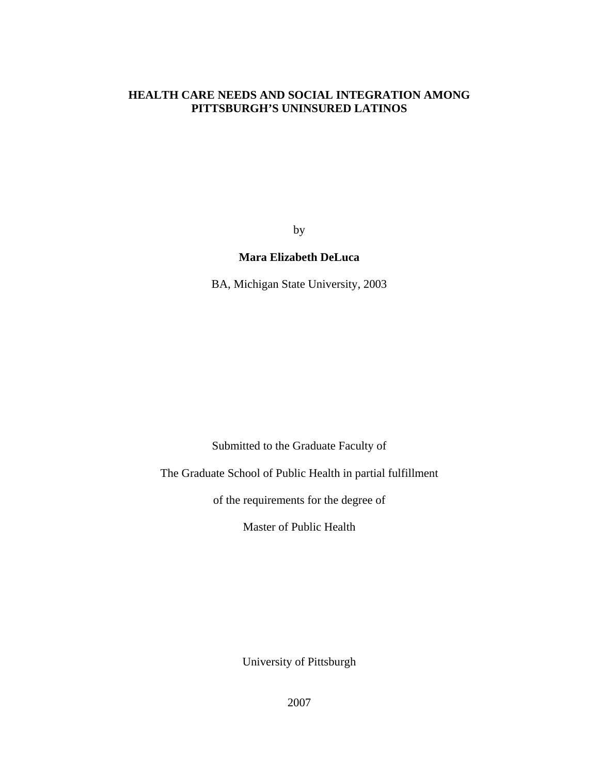# **HEALTH CARE NEEDS AND SOCIAL INTEGRATION AMONG PITTSBURGH'S UNINSURED LATINOS**

by

## **Mara Elizabeth DeLuca**

BA, Michigan State University, 2003

Submitted to the Graduate Faculty of

The Graduate School of Public Health in partial fulfillment

of the requirements for the degree of

Master of Public Health

University of Pittsburgh

2007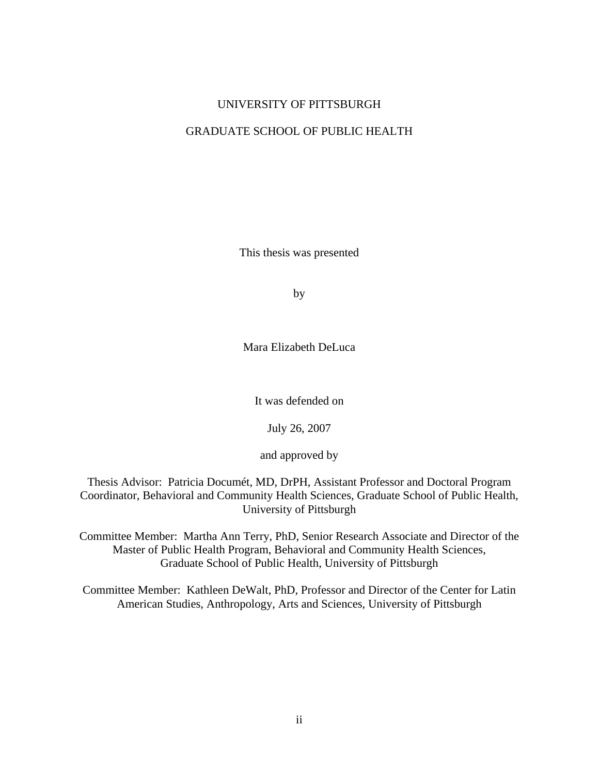# UNIVERSITY OF PITTSBURGH

# GRADUATE SCHOOL OF PUBLIC HEALTH

This thesis was presented

by

Mara Elizabeth DeLuca

It was defended on

July 26, 2007

and approved by

Thesis Advisor: Patricia Documét, MD, DrPH, Assistant Professor and Doctoral Program Coordinator, Behavioral and Community Health Sciences, Graduate School of Public Health, University of Pittsburgh

Committee Member: Martha Ann Terry, PhD, Senior Research Associate and Director of the Master of Public Health Program, Behavioral and Community Health Sciences, Graduate School of Public Health, University of Pittsburgh

Committee Member: Kathleen DeWalt, PhD, Professor and Director of the Center for Latin American Studies, Anthropology, Arts and Sciences, University of Pittsburgh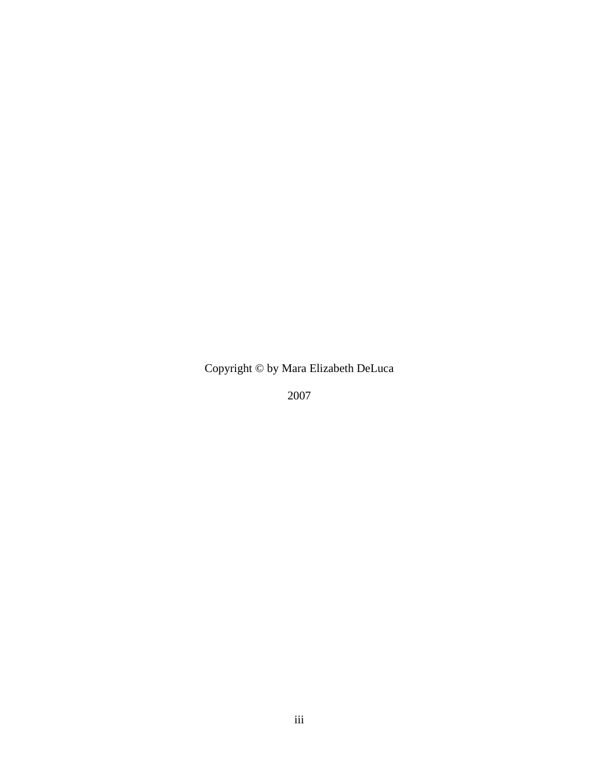Copyright © by Mara Elizabeth DeLuca

2007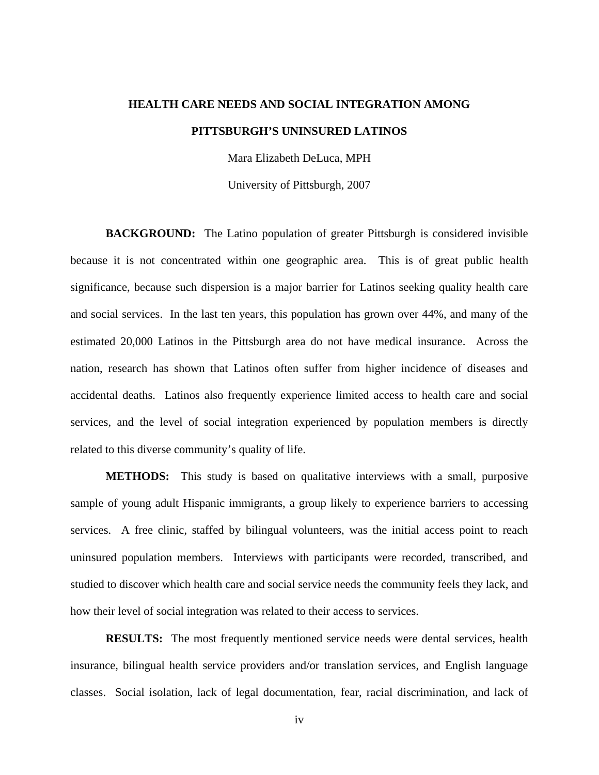# **HEALTH CARE NEEDS AND SOCIAL INTEGRATION AMONG PITTSBURGH'S UNINSURED LATINOS**

Mara Elizabeth DeLuca, MPH

University of Pittsburgh, 2007

**BACKGROUND:** The Latino population of greater Pittsburgh is considered invisible because it is not concentrated within one geographic area. This is of great public health significance, because such dispersion is a major barrier for Latinos seeking quality health care and social services. In the last ten years, this population has grown over 44%, and many of the estimated 20,000 Latinos in the Pittsburgh area do not have medical insurance. Across the nation, research has shown that Latinos often suffer from higher incidence of diseases and accidental deaths. Latinos also frequently experience limited access to health care and social services, and the level of social integration experienced by population members is directly related to this diverse community's quality of life.

**METHODS:** This study is based on qualitative interviews with a small, purposive sample of young adult Hispanic immigrants, a group likely to experience barriers to accessing services. A free clinic, staffed by bilingual volunteers, was the initial access point to reach uninsured population members. Interviews with participants were recorded, transcribed, and studied to discover which health care and social service needs the community feels they lack, and how their level of social integration was related to their access to services.

**RESULTS:** The most frequently mentioned service needs were dental services, health insurance, bilingual health service providers and/or translation services, and English language classes. Social isolation, lack of legal documentation, fear, racial discrimination, and lack of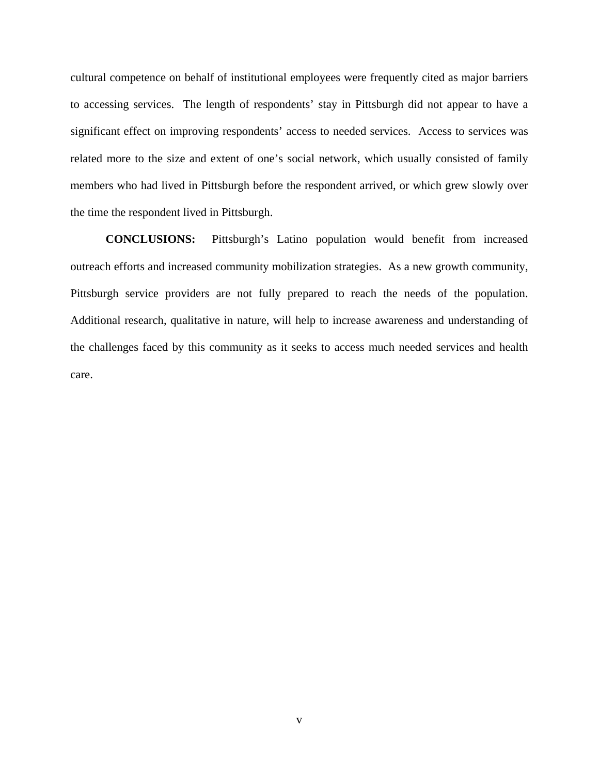cultural competence on behalf of institutional employees were frequently cited as major barriers to accessing services. The length of respondents' stay in Pittsburgh did not appear to have a significant effect on improving respondents' access to needed services. Access to services was related more to the size and extent of one's social network, which usually consisted of family members who had lived in Pittsburgh before the respondent arrived, or which grew slowly over the time the respondent lived in Pittsburgh.

**CONCLUSIONS:** Pittsburgh's Latino population would benefit from increased outreach efforts and increased community mobilization strategies. As a new growth community, Pittsburgh service providers are not fully prepared to reach the needs of the population. Additional research, qualitative in nature, will help to increase awareness and understanding of the challenges faced by this community as it seeks to access much needed services and health care.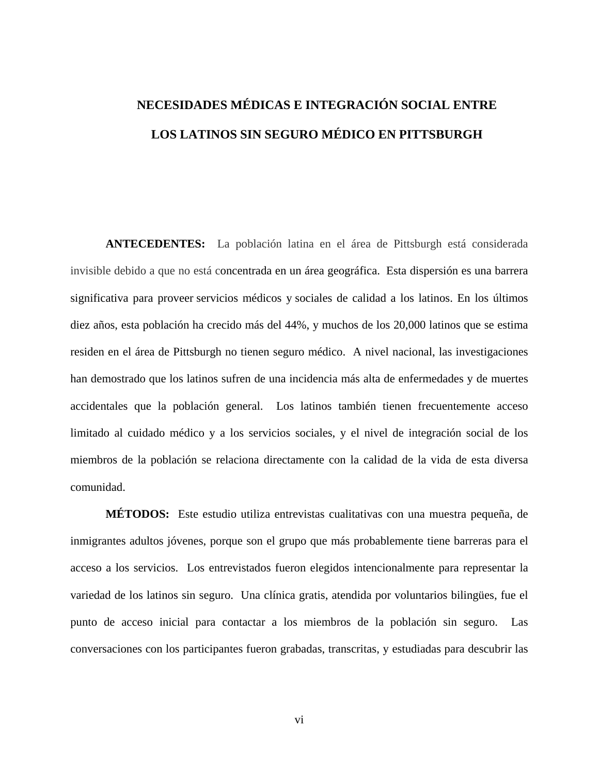# **NECESIDADES MÉDICAS E INTEGRACIÓN SOCIAL ENTRE LOS LATINOS SIN SEGURO MÉDICO EN PITTSBURGH**

**ANTECEDENTES:** La población latina en el área de Pittsburgh está considerada invisible debido a que no está concentrada en un área geográfica. Esta dispersión es una barrera significativa para proveer servicios médicos y sociales de calidad a los latinos. En los últimos diez años, esta población ha crecido más del 44%, y muchos de los 20,000 latinos que se estima residen en el área de Pittsburgh no tienen seguro médico. A nivel nacional, las investigaciones han demostrado que los latinos sufren de una incidencia más alta de enfermedades y de muertes accidentales que la población general. Los latinos también tienen frecuentemente acceso limitado al cuidado médico y a los servicios sociales, y el nivel de integración social de los miembros de la población se relaciona directamente con la calidad de la vida de esta diversa comunidad.

**MÉTODOS:** Este estudio utiliza entrevistas cualitativas con una muestra pequeña, de inmigrantes adultos jóvenes, porque son el grupo que más probablemente tiene barreras para el acceso a los servicios. Los entrevistados fueron elegidos intencionalmente para representar la variedad de los latinos sin seguro. Una clínica gratis, atendida por voluntarios bilingües, fue el punto de acceso inicial para contactar a los miembros de la población sin seguro. Las conversaciones con los participantes fueron grabadas, transcritas, y estudiadas para descubrir las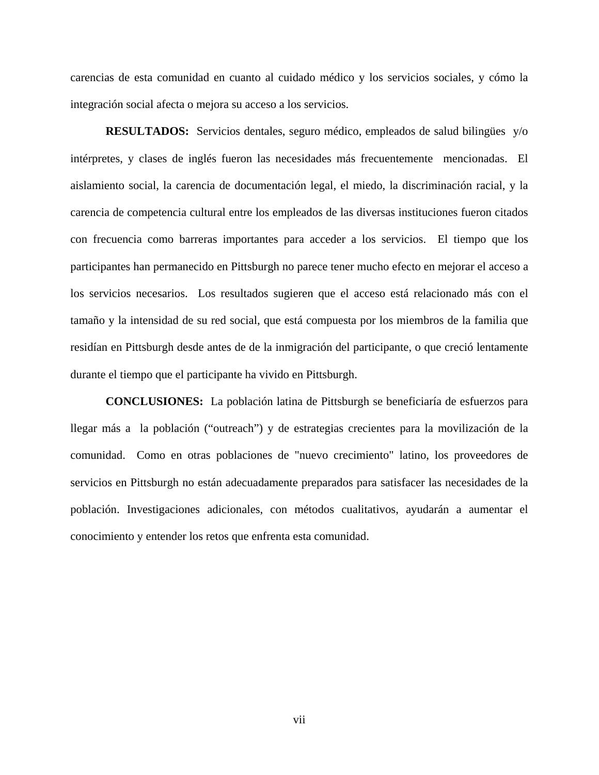carencias de esta comunidad en cuanto al cuidado médico y los servicios sociales, y cómo la integración social afecta o mejora su acceso a los servicios.

**RESULTADOS:** Servicios dentales, seguro médico, empleados de salud bilingües y/o intérpretes, y clases de inglés fueron las necesidades más frecuentemente mencionadas. El aislamiento social, la carencia de documentación legal, el miedo, la discriminación racial, y la carencia de competencia cultural entre los empleados de las diversas instituciones fueron citados con frecuencia como barreras importantes para acceder a los servicios. El tiempo que los participantes han permanecido en Pittsburgh no parece tener mucho efecto en mejorar el acceso a los servicios necesarios. Los resultados sugieren que el acceso está relacionado más con el tamaño y la intensidad de su red social, que está compuesta por los miembros de la familia que residían en Pittsburgh desde antes de de la inmigración del participante, o que creció lentamente durante el tiempo que el participante ha vivido en Pittsburgh.

**CONCLUSIONES:** La población latina de Pittsburgh se beneficiaría de esfuerzos para llegar más a la población ("outreach") y de estrategias crecientes para la movilización de la comunidad. Como en otras poblaciones de "nuevo crecimiento" latino, los proveedores de servicios en Pittsburgh no están adecuadamente preparados para satisfacer las necesidades de la población. Investigaciones adicionales, con métodos cualitativos, ayudarán a aumentar el conocimiento y entender los retos que enfrenta esta comunidad.

vii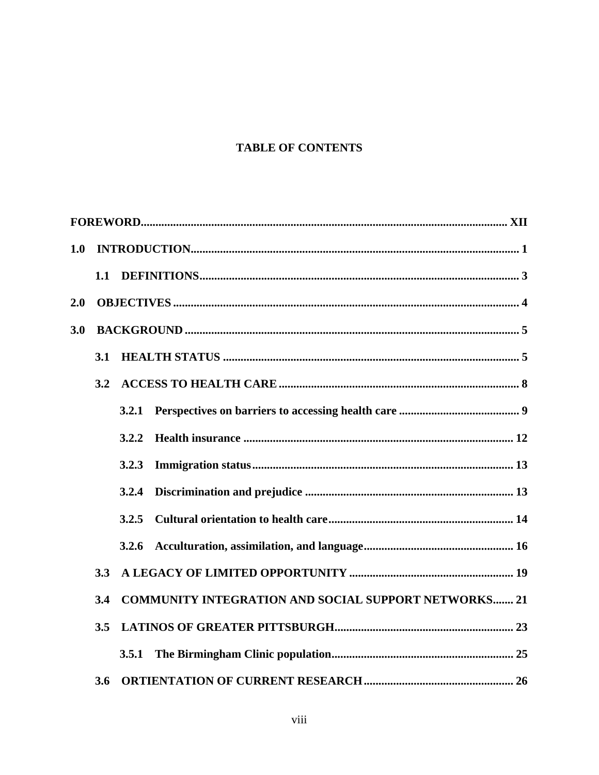# **TABLE OF CONTENTS**

| 1.0 |     |       |                                                             |
|-----|-----|-------|-------------------------------------------------------------|
|     | 1.1 |       |                                                             |
| 2.0 |     |       |                                                             |
| 3.0 |     |       |                                                             |
|     | 3.1 |       |                                                             |
|     | 3.2 |       |                                                             |
|     |     | 3.2.1 |                                                             |
|     |     | 3.2.2 |                                                             |
|     |     | 3.2.3 |                                                             |
|     |     | 3.2.4 |                                                             |
|     |     | 3.2.5 |                                                             |
|     |     | 3.2.6 |                                                             |
|     | 3.3 |       |                                                             |
|     | 3.4 |       | <b>COMMUNITY INTEGRATION AND SOCIAL SUPPORT NETWORKS 21</b> |
|     | 3.5 |       |                                                             |
|     |     | 3.5.1 |                                                             |
|     | 3.6 |       |                                                             |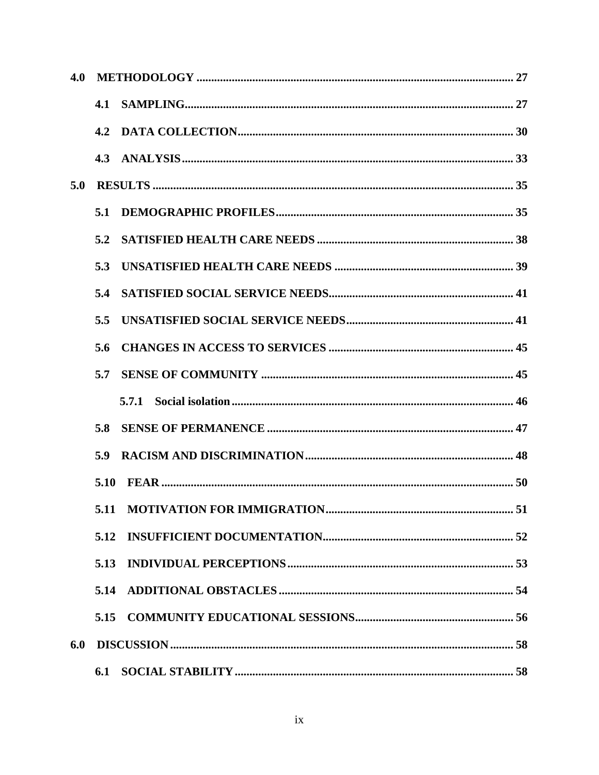| 4.0 |      |  |  |  |
|-----|------|--|--|--|
|     | 4.1  |  |  |  |
|     | 4.2  |  |  |  |
|     |      |  |  |  |
| 5.0 |      |  |  |  |
|     | 5.1  |  |  |  |
|     | 5.2  |  |  |  |
|     | 5.3  |  |  |  |
|     | 5.4  |  |  |  |
|     | 5.5  |  |  |  |
|     | 5.6  |  |  |  |
|     | 5.7  |  |  |  |
|     |      |  |  |  |
|     | 5.8  |  |  |  |
|     | 5.9  |  |  |  |
|     | 5.10 |  |  |  |
|     |      |  |  |  |
|     | 5.12 |  |  |  |
|     | 5.13 |  |  |  |
|     | 5.14 |  |  |  |
|     |      |  |  |  |
| 6.0 |      |  |  |  |
|     |      |  |  |  |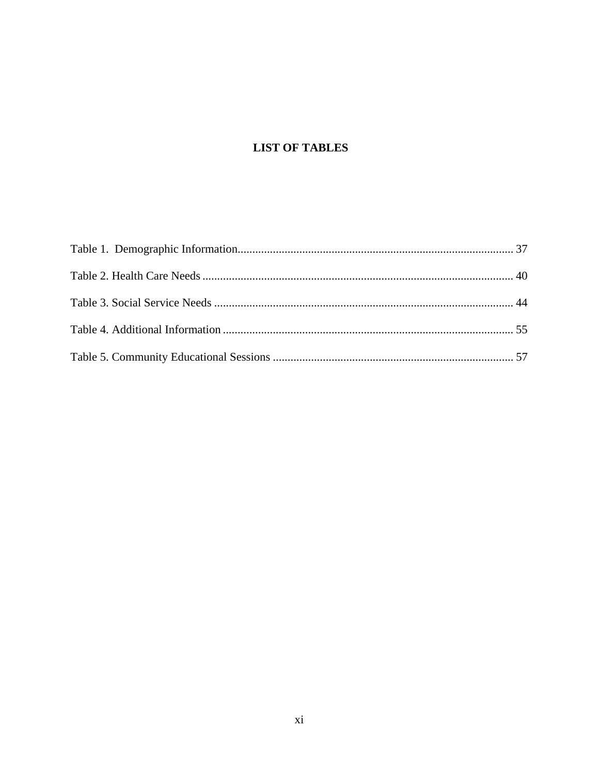# **LIST OF TABLES**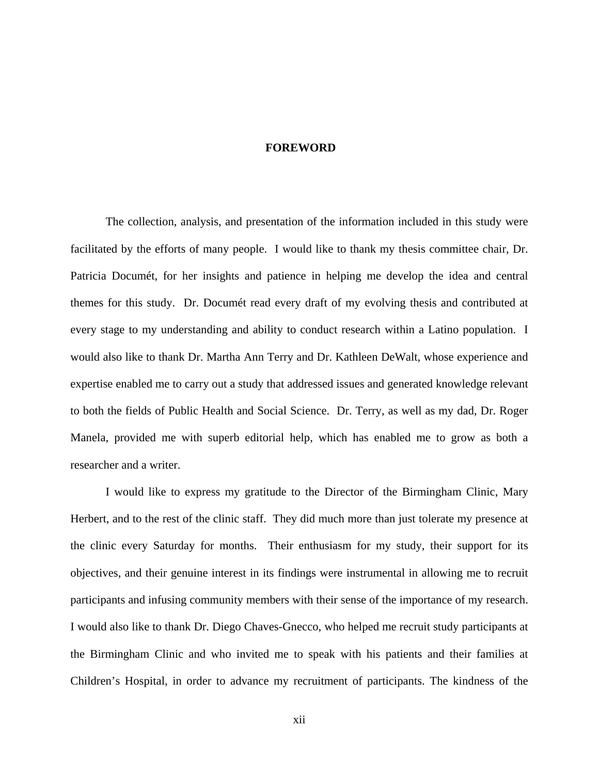#### **FOREWORD**

<span id="page-11-0"></span>The collection, analysis, and presentation of the information included in this study were facilitated by the efforts of many people. I would like to thank my thesis committee chair, Dr. Patricia Documét, for her insights and patience in helping me develop the idea and central themes for this study. Dr. Documét read every draft of my evolving thesis and contributed at every stage to my understanding and ability to conduct research within a Latino population. I would also like to thank Dr. Martha Ann Terry and Dr. Kathleen DeWalt, whose experience and expertise enabled me to carry out a study that addressed issues and generated knowledge relevant to both the fields of Public Health and Social Science. Dr. Terry, as well as my dad, Dr. Roger Manela, provided me with superb editorial help, which has enabled me to grow as both a researcher and a writer.

I would like to express my gratitude to the Director of the Birmingham Clinic, Mary Herbert, and to the rest of the clinic staff. They did much more than just tolerate my presence at the clinic every Saturday for months. Their enthusiasm for my study, their support for its objectives, and their genuine interest in its findings were instrumental in allowing me to recruit participants and infusing community members with their sense of the importance of my research. I would also like to thank Dr. Diego Chaves-Gnecco, who helped me recruit study participants at the Birmingham Clinic and who invited me to speak with his patients and their families at Children's Hospital, in order to advance my recruitment of participants. The kindness of the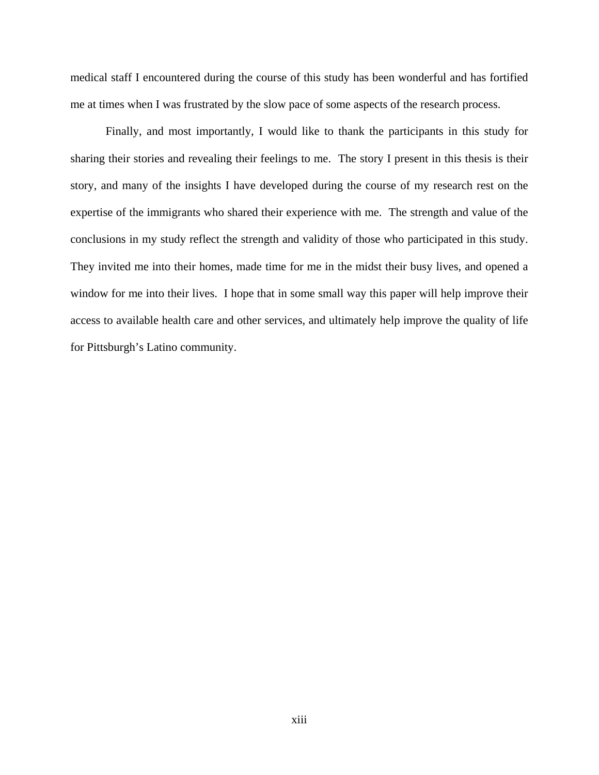medical staff I encountered during the course of this study has been wonderful and has fortified me at times when I was frustrated by the slow pace of some aspects of the research process.

Finally, and most importantly, I would like to thank the participants in this study for sharing their stories and revealing their feelings to me. The story I present in this thesis is their story, and many of the insights I have developed during the course of my research rest on the expertise of the immigrants who shared their experience with me. The strength and value of the conclusions in my study reflect the strength and validity of those who participated in this study. They invited me into their homes, made time for me in the midst their busy lives, and opened a window for me into their lives. I hope that in some small way this paper will help improve their access to available health care and other services, and ultimately help improve the quality of life for Pittsburgh's Latino community.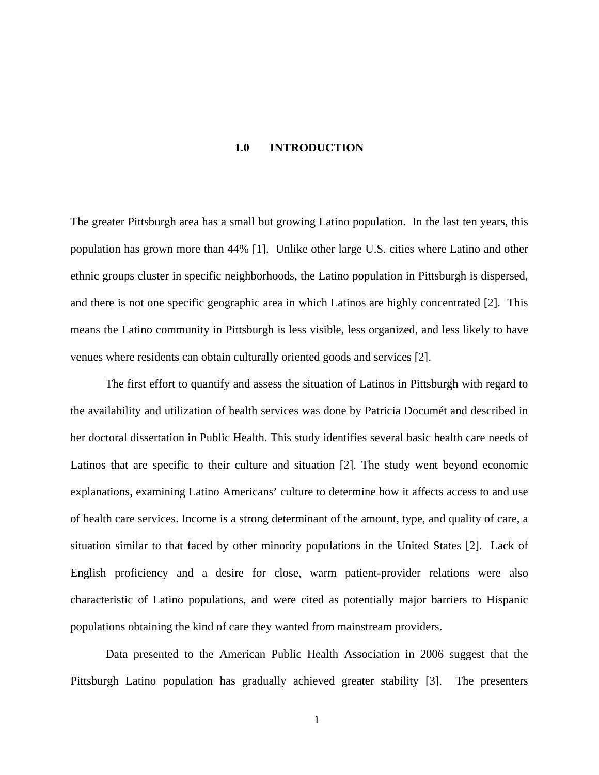#### **1.0 INTRODUCTION**

<span id="page-13-0"></span>The greater Pittsburgh area has a small but growing Latino population. In the last ten years, this population has grown more than 44% [1]. Unlike other large U.S. cities where Latino and other ethnic groups cluster in specific neighborhoods, the Latino population in Pittsburgh is dispersed, and there is not one specific geographic area in which Latinos are highly concentrated [2]. This means the Latino community in Pittsburgh is less visible, less organized, and less likely to have venues where residents can obtain culturally oriented goods and services [2].

The first effort to quantify and assess the situation of Latinos in Pittsburgh with regard to the availability and utilization of health services was done by Patricia Documét and described in her doctoral dissertation in Public Health. This study identifies several basic health care needs of Latinos that are specific to their culture and situation [2]. The study went beyond economic explanations, examining Latino Americans' culture to determine how it affects access to and use of health care services. Income is a strong determinant of the amount, type, and quality of care, a situation similar to that faced by other minority populations in the United States [2]. Lack of English proficiency and a desire for close, warm patient-provider relations were also characteristic of Latino populations, and were cited as potentially major barriers to Hispanic populations obtaining the kind of care they wanted from mainstream providers.

Data presented to the American Public Health Association in 2006 suggest that the Pittsburgh Latino population has gradually achieved greater stability [3]. The presenters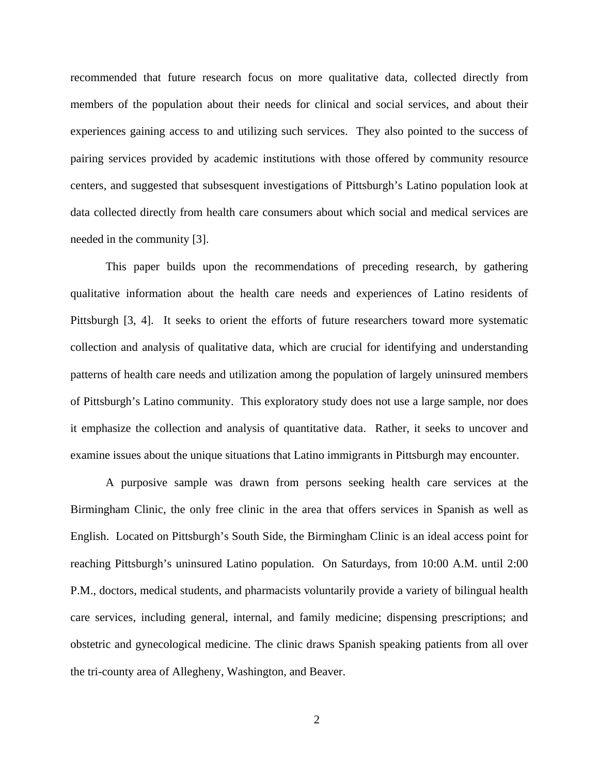recommended that future research focus on more qualitative data, collected directly from members of the population about their needs for clinical and social services, and about their experiences gaining access to and utilizing such services. They also pointed to the success of pairing services provided by academic institutions with those offered by community resource centers, and suggested that subsesquent investigations of Pittsburgh's Latino population look at data collected directly from health care consumers about which social and medical services are needed in the community [3].

This paper builds upon the recommendations of preceding research, by gathering qualitative information about the health care needs and experiences of Latino residents of Pittsburgh [3, 4]. It seeks to orient the efforts of future researchers toward more systematic collection and analysis of qualitative data, which are crucial for identifying and understanding patterns of health care needs and utilization among the population of largely uninsured members of Pittsburgh's Latino community. This exploratory study does not use a large sample, nor does it emphasize the collection and analysis of quantitative data. Rather, it seeks to uncover and examine issues about the unique situations that Latino immigrants in Pittsburgh may encounter.

A purposive sample was drawn from persons seeking health care services at the Birmingham Clinic, the only free clinic in the area that offers services in Spanish as well as English. Located on Pittsburgh's South Side, the Birmingham Clinic is an ideal access point for reaching Pittsburgh's uninsured Latino population. On Saturdays, from 10:00 A.M. until 2:00 P.M., doctors, medical students, and pharmacists voluntarily provide a variety of bilingual health care services, including general, internal, and family medicine; dispensing prescriptions; and obstetric and gynecological medicine. The clinic draws Spanish speaking patients from all over the tri-county area of Allegheny, Washington, and Beaver.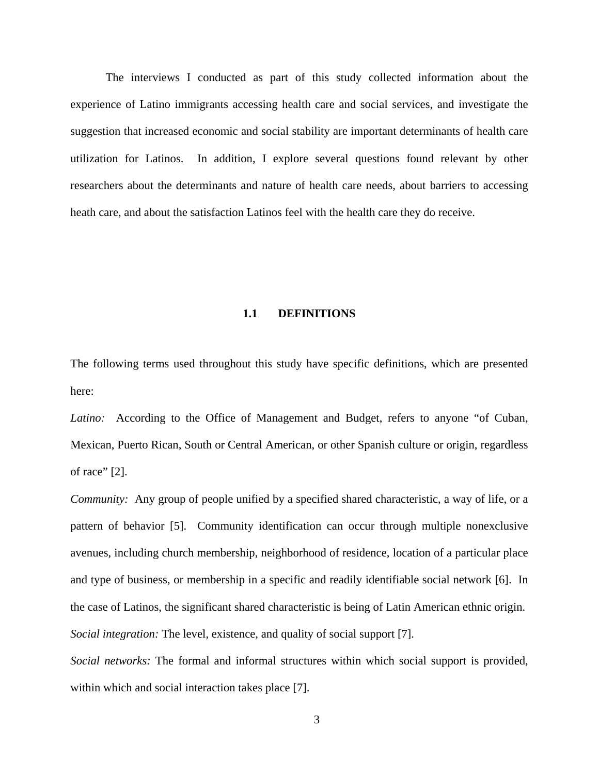<span id="page-15-0"></span>The interviews I conducted as part of this study collected information about the experience of Latino immigrants accessing health care and social services, and investigate the suggestion that increased economic and social stability are important determinants of health care utilization for Latinos. In addition, I explore several questions found relevant by other researchers about the determinants and nature of health care needs, about barriers to accessing heath care, and about the satisfaction Latinos feel with the health care they do receive.

#### **1.1 DEFINITIONS**

The following terms used throughout this study have specific definitions, which are presented here:

Latino: According to the Office of Management and Budget, refers to anyone "of Cuban, Mexican, Puerto Rican, South or Central American, or other Spanish culture or origin, regardless of race" [2].

*Community:* Any group of people unified by a specified shared characteristic, a way of life, or a pattern of behavior [5]. Community identification can occur through multiple nonexclusive avenues, including church membership, neighborhood of residence, location of a particular place and type of business, or membership in a specific and readily identifiable social network [6]. In the case of Latinos, the significant shared characteristic is being of Latin American ethnic origin. *Social integration:* The level, existence, and quality of social support [7].

*Social networks:* The formal and informal structures within which social support is provided, within which and social interaction takes place [7].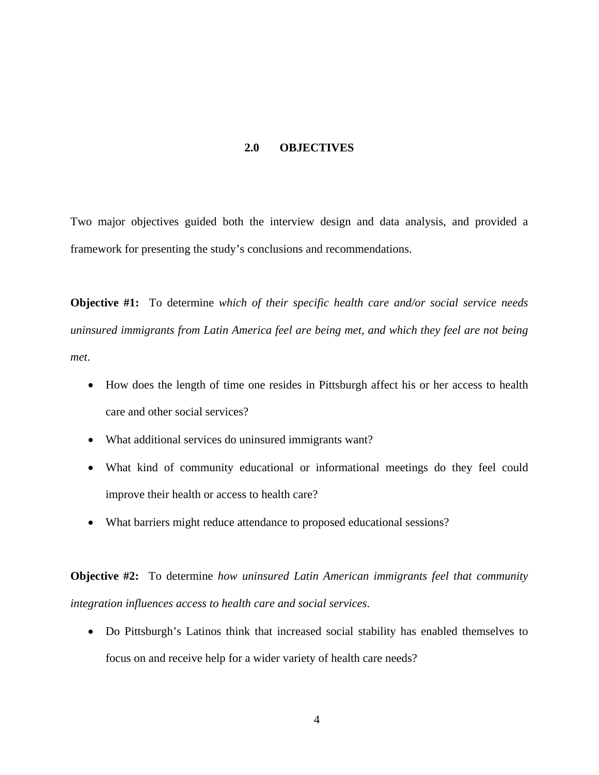#### **2.0 OBJECTIVES**

<span id="page-16-0"></span>Two major objectives guided both the interview design and data analysis, and provided a framework for presenting the study's conclusions and recommendations.

**Objective #1:** To determine *which of their specific health care and/or social service needs uninsured immigrants from Latin America feel are being met, and which they feel are not being met*.

- How does the length of time one resides in Pittsburgh affect his or her access to health care and other social services?
- What additional services do uninsured immigrants want?
- What kind of community educational or informational meetings do they feel could improve their health or access to health care?
- What barriers might reduce attendance to proposed educational sessions?

**Objective #2:** To determine *how uninsured Latin American immigrants feel that community integration influences access to health care and social services*.

• Do Pittsburgh's Latinos think that increased social stability has enabled themselves to focus on and receive help for a wider variety of health care needs?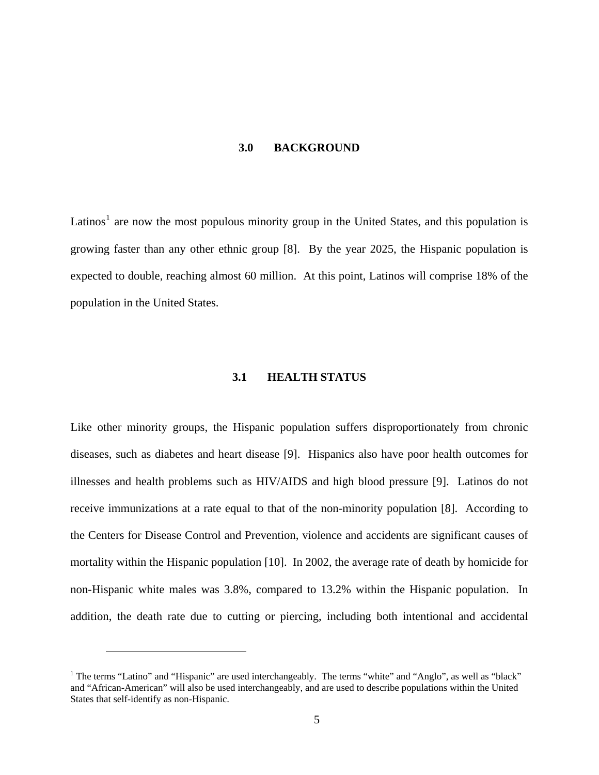#### **3.0 BACKGROUND**

<span id="page-17-0"></span>Latinos<sup>[1](#page-17-0)</sup> are now the most populous minority group in the United States, and this population is growing faster than any other ethnic group [8]. By the year 2025, the Hispanic population is expected to double, reaching almost 60 million. At this point, Latinos will comprise 18% of the population in the United States.

# **3.1 HEALTH STATUS**

Like other minority groups, the Hispanic population suffers disproportionately from chronic diseases, such as diabetes and heart disease [9]. Hispanics also have poor health outcomes for illnesses and health problems such as HIV/AIDS and high blood pressure [9]. Latinos do not receive immunizations at a rate equal to that of the non-minority population [8]. According to the Centers for Disease Control and Prevention, violence and accidents are significant causes of mortality within the Hispanic population [10]. In 2002, the average rate of death by homicide for non-Hispanic white males was 3.8%, compared to 13.2% within the Hispanic population. In addition, the death rate due to cutting or piercing, including both intentional and accidental

 $\overline{a}$ 

<sup>&</sup>lt;sup>1</sup> The terms "Latino" and "Hispanic" are used interchangeably. The terms "white" and "Anglo", as well as "black" and "African-American" will also be used interchangeably, and are used to describe populations within the United States that self-identify as non-Hispanic.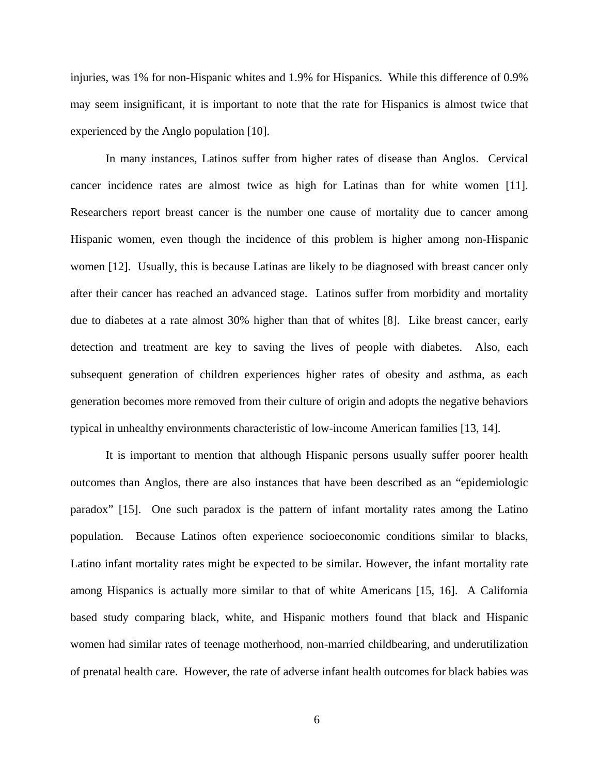injuries, was 1% for non-Hispanic whites and 1.9% for Hispanics. While this difference of 0.9% may seem insignificant, it is important to note that the rate for Hispanics is almost twice that experienced by the Anglo population [10].

In many instances, Latinos suffer from higher rates of disease than Anglos. Cervical cancer incidence rates are almost twice as high for Latinas than for white women [11]. Researchers report breast cancer is the number one cause of mortality due to cancer among Hispanic women, even though the incidence of this problem is higher among non-Hispanic women [12]. Usually, this is because Latinas are likely to be diagnosed with breast cancer only after their cancer has reached an advanced stage. Latinos suffer from morbidity and mortality due to diabetes at a rate almost 30% higher than that of whites [8]. Like breast cancer, early detection and treatment are key to saving the lives of people with diabetes. Also, each subsequent generation of children experiences higher rates of obesity and asthma, as each generation becomes more removed from their culture of origin and adopts the negative behaviors typical in unhealthy environments characteristic of low-income American families [13, 14].

It is important to mention that although Hispanic persons usually suffer poorer health outcomes than Anglos, there are also instances that have been described as an "epidemiologic paradox" [15]. One such paradox is the pattern of infant mortality rates among the Latino population. Because Latinos often experience socioeconomic conditions similar to blacks, Latino infant mortality rates might be expected to be similar. However, the infant mortality rate among Hispanics is actually more similar to that of white Americans [15, 16]. A California based study comparing black, white, and Hispanic mothers found that black and Hispanic women had similar rates of teenage motherhood, non-married childbearing, and underutilization of prenatal health care. However, the rate of adverse infant health outcomes for black babies was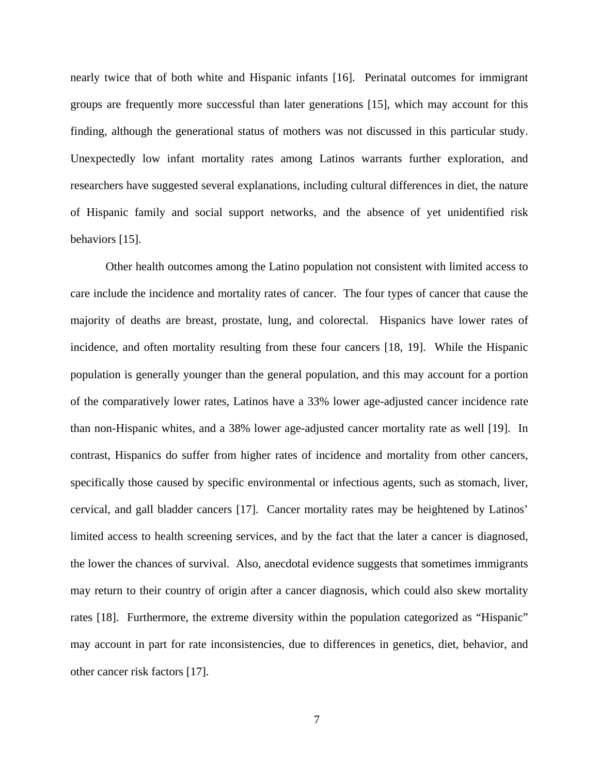nearly twice that of both white and Hispanic infants [16]. Perinatal outcomes for immigrant groups are frequently more successful than later generations [15], which may account for this finding, although the generational status of mothers was not discussed in this particular study. Unexpectedly low infant mortality rates among Latinos warrants further exploration, and researchers have suggested several explanations, including cultural differences in diet, the nature of Hispanic family and social support networks, and the absence of yet unidentified risk behaviors [15].

Other health outcomes among the Latino population not consistent with limited access to care include the incidence and mortality rates of cancer. The four types of cancer that cause the majority of deaths are breast, prostate, lung, and colorectal. Hispanics have lower rates of incidence, and often mortality resulting from these four cancers [18, 19]. While the Hispanic population is generally younger than the general population, and this may account for a portion of the comparatively lower rates, Latinos have a 33% lower age-adjusted cancer incidence rate than non-Hispanic whites, and a 38% lower age-adjusted cancer mortality rate as well [19]. In contrast, Hispanics do suffer from higher rates of incidence and mortality from other cancers, specifically those caused by specific environmental or infectious agents, such as stomach, liver, cervical, and gall bladder cancers [17]. Cancer mortality rates may be heightened by Latinos' limited access to health screening services, and by the fact that the later a cancer is diagnosed, the lower the chances of survival. Also, anecdotal evidence suggests that sometimes immigrants may return to their country of origin after a cancer diagnosis, which could also skew mortality rates [18]. Furthermore, the extreme diversity within the population categorized as "Hispanic" may account in part for rate inconsistencies, due to differences in genetics, diet, behavior, and other cancer risk factors [17].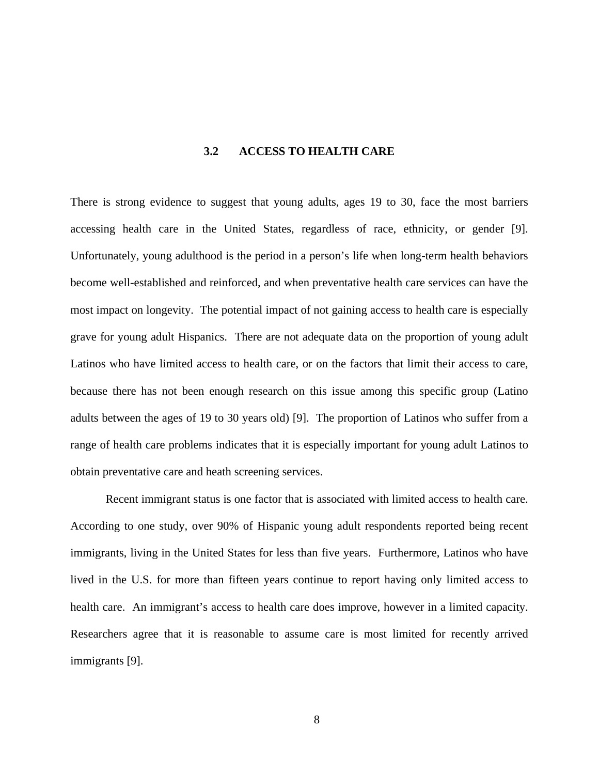# **3.2 ACCESS TO HEALTH CARE**

<span id="page-20-0"></span>There is strong evidence to suggest that young adults, ages 19 to 30, face the most barriers accessing health care in the United States, regardless of race, ethnicity, or gender [9]. Unfortunately, young adulthood is the period in a person's life when long-term health behaviors become well-established and reinforced, and when preventative health care services can have the most impact on longevity. The potential impact of not gaining access to health care is especially grave for young adult Hispanics. There are not adequate data on the proportion of young adult Latinos who have limited access to health care, or on the factors that limit their access to care, because there has not been enough research on this issue among this specific group (Latino adults between the ages of 19 to 30 years old) [9]. The proportion of Latinos who suffer from a range of health care problems indicates that it is especially important for young adult Latinos to obtain preventative care and heath screening services.

Recent immigrant status is one factor that is associated with limited access to health care. According to one study, over 90% of Hispanic young adult respondents reported being recent immigrants, living in the United States for less than five years. Furthermore, Latinos who have lived in the U.S. for more than fifteen years continue to report having only limited access to health care. An immigrant's access to health care does improve, however in a limited capacity. Researchers agree that it is reasonable to assume care is most limited for recently arrived immigrants [9].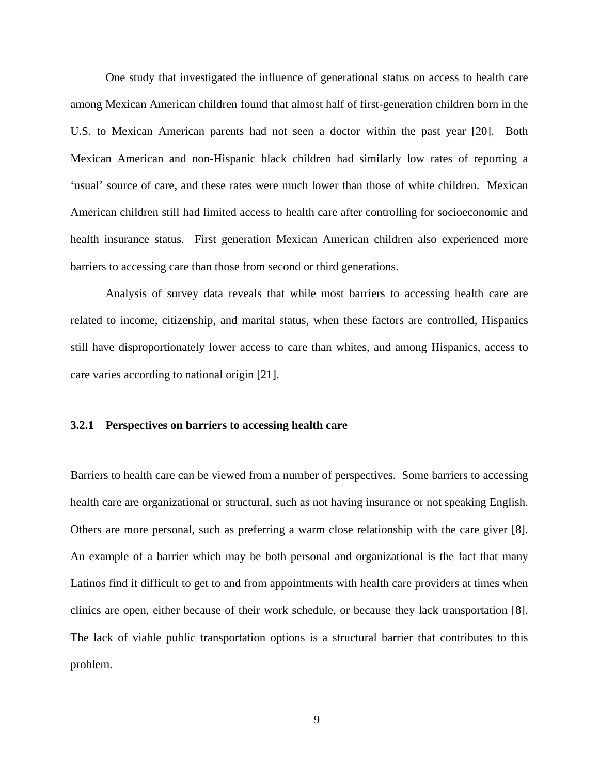<span id="page-21-0"></span>One study that investigated the influence of generational status on access to health care among Mexican American children found that almost half of first-generation children born in the U.S. to Mexican American parents had not seen a doctor within the past year [20]. Both Mexican American and non-Hispanic black children had similarly low rates of reporting a 'usual' source of care, and these rates were much lower than those of white children. Mexican American children still had limited access to health care after controlling for socioeconomic and health insurance status. First generation Mexican American children also experienced more barriers to accessing care than those from second or third generations.

Analysis of survey data reveals that while most barriers to accessing health care are related to income, citizenship, and marital status, when these factors are controlled, Hispanics still have disproportionately lower access to care than whites, and among Hispanics, access to care varies according to national origin [21].

## **3.2.1 Perspectives on barriers to accessing health care**

Barriers to health care can be viewed from a number of perspectives. Some barriers to accessing health care are organizational or structural, such as not having insurance or not speaking English. Others are more personal, such as preferring a warm close relationship with the care giver [8]. An example of a barrier which may be both personal and organizational is the fact that many Latinos find it difficult to get to and from appointments with health care providers at times when clinics are open, either because of their work schedule, or because they lack transportation [8]. The lack of viable public transportation options is a structural barrier that contributes to this problem.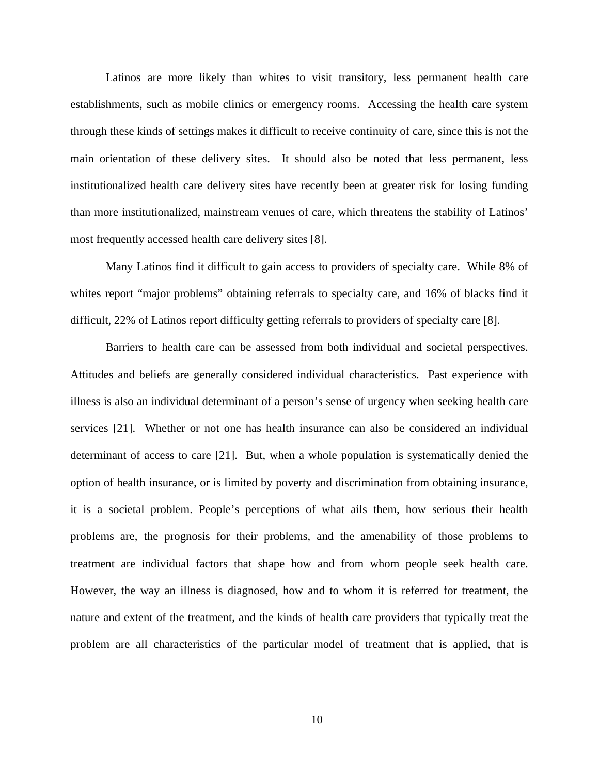Latinos are more likely than whites to visit transitory, less permanent health care establishments, such as mobile clinics or emergency rooms. Accessing the health care system through these kinds of settings makes it difficult to receive continuity of care, since this is not the main orientation of these delivery sites. It should also be noted that less permanent, less institutionalized health care delivery sites have recently been at greater risk for losing funding than more institutionalized, mainstream venues of care, which threatens the stability of Latinos' most frequently accessed health care delivery sites [8].

Many Latinos find it difficult to gain access to providers of specialty care. While 8% of whites report "major problems" obtaining referrals to specialty care, and 16% of blacks find it difficult, 22% of Latinos report difficulty getting referrals to providers of specialty care [8].

Barriers to health care can be assessed from both individual and societal perspectives. Attitudes and beliefs are generally considered individual characteristics. Past experience with illness is also an individual determinant of a person's sense of urgency when seeking health care services [21]. Whether or not one has health insurance can also be considered an individual determinant of access to care [21]. But, when a whole population is systematically denied the option of health insurance, or is limited by poverty and discrimination from obtaining insurance, it is a societal problem. People's perceptions of what ails them, how serious their health problems are, the prognosis for their problems, and the amenability of those problems to treatment are individual factors that shape how and from whom people seek health care. However, the way an illness is diagnosed, how and to whom it is referred for treatment, the nature and extent of the treatment, and the kinds of health care providers that typically treat the problem are all characteristics of the particular model of treatment that is applied, that is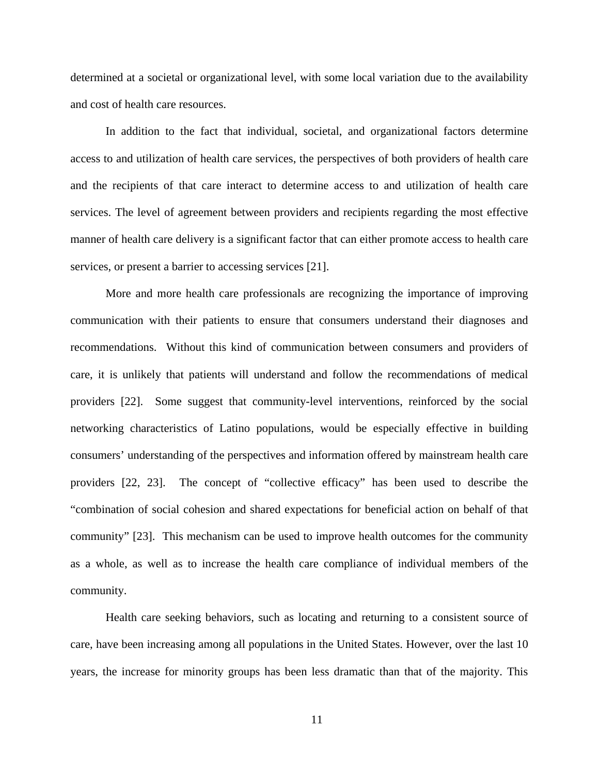determined at a societal or organizational level, with some local variation due to the availability and cost of health care resources.

In addition to the fact that individual, societal, and organizational factors determine access to and utilization of health care services, the perspectives of both providers of health care and the recipients of that care interact to determine access to and utilization of health care services. The level of agreement between providers and recipients regarding the most effective manner of health care delivery is a significant factor that can either promote access to health care services, or present a barrier to accessing services [21].

More and more health care professionals are recognizing the importance of improving communication with their patients to ensure that consumers understand their diagnoses and recommendations. Without this kind of communication between consumers and providers of care, it is unlikely that patients will understand and follow the recommendations of medical providers [22]. Some suggest that community-level interventions, reinforced by the social networking characteristics of Latino populations, would be especially effective in building consumers' understanding of the perspectives and information offered by mainstream health care providers [22, 23]. The concept of "collective efficacy" has been used to describe the "combination of social cohesion and shared expectations for beneficial action on behalf of that community" [23]. This mechanism can be used to improve health outcomes for the community as a whole, as well as to increase the health care compliance of individual members of the community.

Health care seeking behaviors, such as locating and returning to a consistent source of care, have been increasing among all populations in the United States. However, over the last 10 years, the increase for minority groups has been less dramatic than that of the majority. This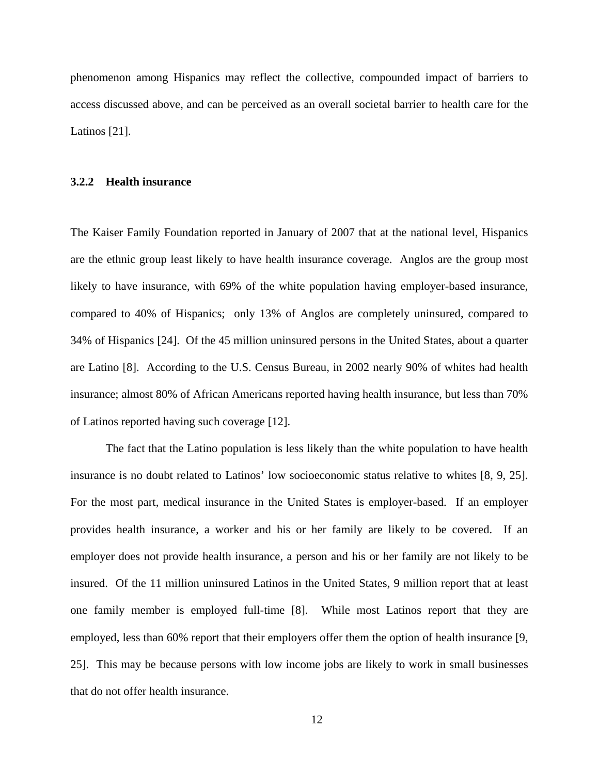<span id="page-24-0"></span>phenomenon among Hispanics may reflect the collective, compounded impact of barriers to access discussed above, and can be perceived as an overall societal barrier to health care for the Latinos [21].

#### **3.2.2 Health insurance**

The Kaiser Family Foundation reported in January of 2007 that at the national level, Hispanics are the ethnic group least likely to have health insurance coverage. Anglos are the group most likely to have insurance, with 69% of the white population having employer-based insurance, compared to 40% of Hispanics; only 13% of Anglos are completely uninsured, compared to 34% of Hispanics [24]. Of the 45 million uninsured persons in the United States, about a quarter are Latino [8]. According to the U.S. Census Bureau, in 2002 nearly 90% of whites had health insurance; almost 80% of African Americans reported having health insurance, but less than 70% of Latinos reported having such coverage [12].

The fact that the Latino population is less likely than the white population to have health insurance is no doubt related to Latinos' low socioeconomic status relative to whites [8, 9, 25]. For the most part, medical insurance in the United States is employer-based. If an employer provides health insurance, a worker and his or her family are likely to be covered. If an employer does not provide health insurance, a person and his or her family are not likely to be insured. Of the 11 million uninsured Latinos in the United States, 9 million report that at least one family member is employed full-time [8]. While most Latinos report that they are employed, less than 60% report that their employers offer them the option of health insurance [9, 25]. This may be because persons with low income jobs are likely to work in small businesses that do not offer health insurance.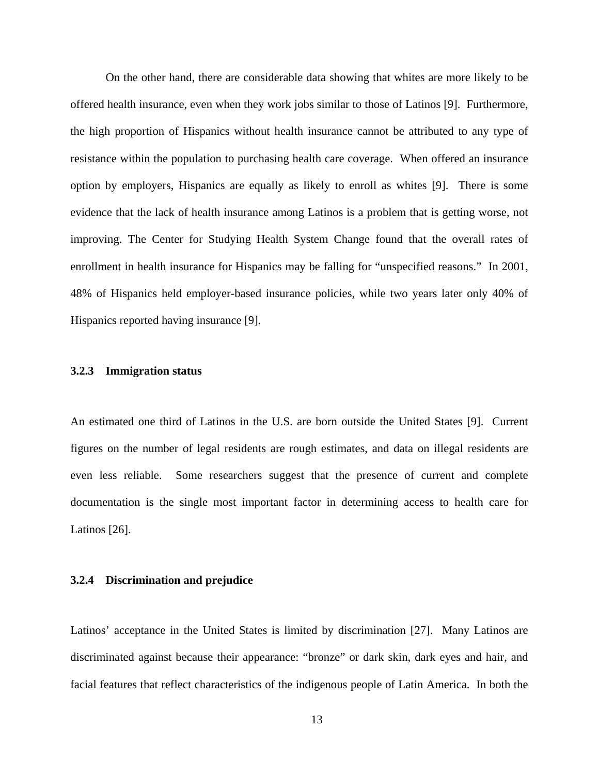<span id="page-25-0"></span>On the other hand, there are considerable data showing that whites are more likely to be offered health insurance, even when they work jobs similar to those of Latinos [9]. Furthermore, the high proportion of Hispanics without health insurance cannot be attributed to any type of resistance within the population to purchasing health care coverage. When offered an insurance option by employers, Hispanics are equally as likely to enroll as whites [9]. There is some evidence that the lack of health insurance among Latinos is a problem that is getting worse, not improving. The Center for Studying Health System Change found that the overall rates of enrollment in health insurance for Hispanics may be falling for "unspecified reasons." In 2001, 48% of Hispanics held employer-based insurance policies, while two years later only 40% of Hispanics reported having insurance [9].

#### **3.2.3 Immigration status**

An estimated one third of Latinos in the U.S. are born outside the United States [9]. Current figures on the number of legal residents are rough estimates, and data on illegal residents are even less reliable. Some researchers suggest that the presence of current and complete documentation is the single most important factor in determining access to health care for Latinos [26].

#### **3.2.4 Discrimination and prejudice**

Latinos' acceptance in the United States is limited by discrimination [27]. Many Latinos are discriminated against because their appearance: "bronze" or dark skin, dark eyes and hair, and facial features that reflect characteristics of the indigenous people of Latin America. In both the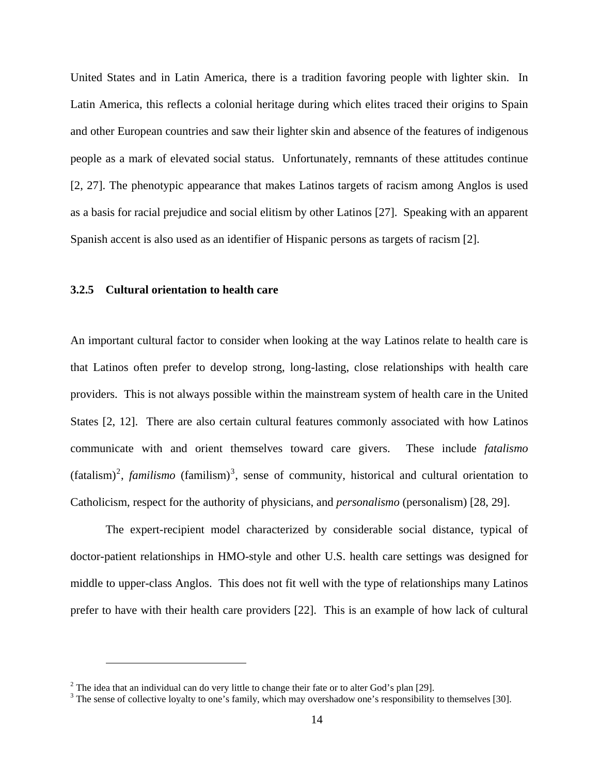<span id="page-26-0"></span>United States and in Latin America, there is a tradition favoring people with lighter skin. In Latin America, this reflects a colonial heritage during which elites traced their origins to Spain and other European countries and saw their lighter skin and absence of the features of indigenous people as a mark of elevated social status. Unfortunately, remnants of these attitudes continue [2, 27]. The phenotypic appearance that makes Latinos targets of racism among Anglos is used as a basis for racial prejudice and social elitism by other Latinos [27]. Speaking with an apparent Spanish accent is also used as an identifier of Hispanic persons as targets of racism [2].

#### **3.2.5 Cultural orientation to health care**

 $\overline{a}$ 

An important cultural factor to consider when looking at the way Latinos relate to health care is that Latinos often prefer to develop strong, long-lasting, close relationships with health care providers. This is not always possible within the mainstream system of health care in the United States [2, 12]. There are also certain cultural features commonly associated with how Latinos communicate with and orient themselves toward care givers. These include *fatalismo*  $(\text{fatalism})^2$  $(\text{fatalism})^2$ , *familismo*  $(\text{family})^3$  $(\text{family})^3$ , sense of community, historical and cultural orientation to Catholicism, respect for the authority of physicians, and *personalismo* (personalism) [28, 29].

The expert-recipient model characterized by considerable social distance, typical of doctor-patient relationships in HMO-style and other U.S. health care settings was designed for middle to upper-class Anglos. This does not fit well with the type of relationships many Latinos prefer to have with their health care providers [22]. This is an example of how lack of cultural

<sup>&</sup>lt;sup>2</sup> The idea that an individual can do very little to change their fate or to alter God's plan [29].

<sup>&</sup>lt;sup>3</sup> The sense of collective loyalty to one's family, which may overshadow one's responsibility to themselves [30].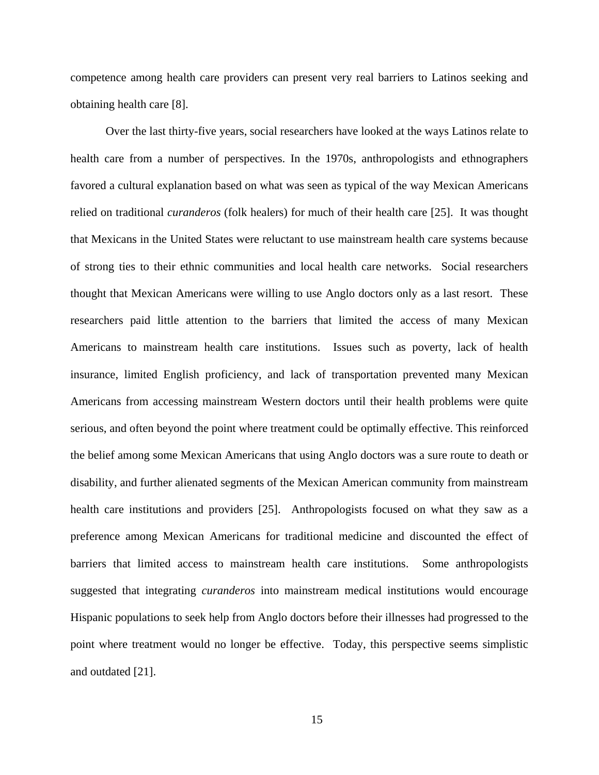competence among health care providers can present very real barriers to Latinos seeking and obtaining health care [8].

Over the last thirty-five years, social researchers have looked at the ways Latinos relate to health care from a number of perspectives. In the 1970s, anthropologists and ethnographers favored a cultural explanation based on what was seen as typical of the way Mexican Americans relied on traditional *curanderos* (folk healers) for much of their health care [25]. It was thought that Mexicans in the United States were reluctant to use mainstream health care systems because of strong ties to their ethnic communities and local health care networks. Social researchers thought that Mexican Americans were willing to use Anglo doctors only as a last resort. These researchers paid little attention to the barriers that limited the access of many Mexican Americans to mainstream health care institutions. Issues such as poverty, lack of health insurance, limited English proficiency, and lack of transportation prevented many Mexican Americans from accessing mainstream Western doctors until their health problems were quite serious, and often beyond the point where treatment could be optimally effective. This reinforced the belief among some Mexican Americans that using Anglo doctors was a sure route to death or disability, and further alienated segments of the Mexican American community from mainstream health care institutions and providers [25]. Anthropologists focused on what they saw as a preference among Mexican Americans for traditional medicine and discounted the effect of barriers that limited access to mainstream health care institutions. Some anthropologists suggested that integrating *curanderos* into mainstream medical institutions would encourage Hispanic populations to seek help from Anglo doctors before their illnesses had progressed to the point where treatment would no longer be effective. Today, this perspective seems simplistic and outdated [21].

15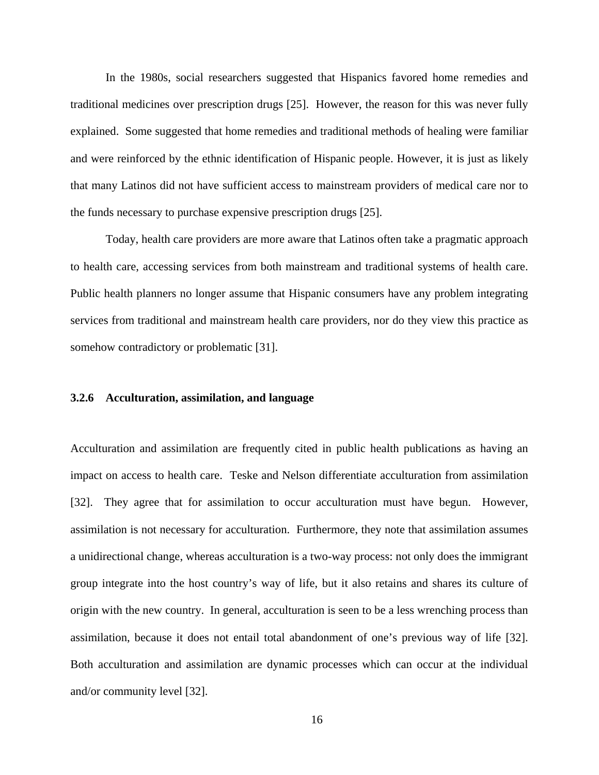<span id="page-28-0"></span>In the 1980s, social researchers suggested that Hispanics favored home remedies and traditional medicines over prescription drugs [25]. However, the reason for this was never fully explained. Some suggested that home remedies and traditional methods of healing were familiar and were reinforced by the ethnic identification of Hispanic people. However, it is just as likely that many Latinos did not have sufficient access to mainstream providers of medical care nor to the funds necessary to purchase expensive prescription drugs [25].

Today, health care providers are more aware that Latinos often take a pragmatic approach to health care, accessing services from both mainstream and traditional systems of health care. Public health planners no longer assume that Hispanic consumers have any problem integrating services from traditional and mainstream health care providers, nor do they view this practice as somehow contradictory or problematic [31].

## **3.2.6 Acculturation, assimilation, and language**

Acculturation and assimilation are frequently cited in public health publications as having an impact on access to health care. Teske and Nelson differentiate acculturation from assimilation [32]. They agree that for assimilation to occur acculturation must have begun. However, assimilation is not necessary for acculturation. Furthermore, they note that assimilation assumes a unidirectional change, whereas acculturation is a two-way process: not only does the immigrant group integrate into the host country's way of life, but it also retains and shares its culture of origin with the new country. In general, acculturation is seen to be a less wrenching process than assimilation, because it does not entail total abandonment of one's previous way of life [32]. Both acculturation and assimilation are dynamic processes which can occur at the individual and/or community level [32].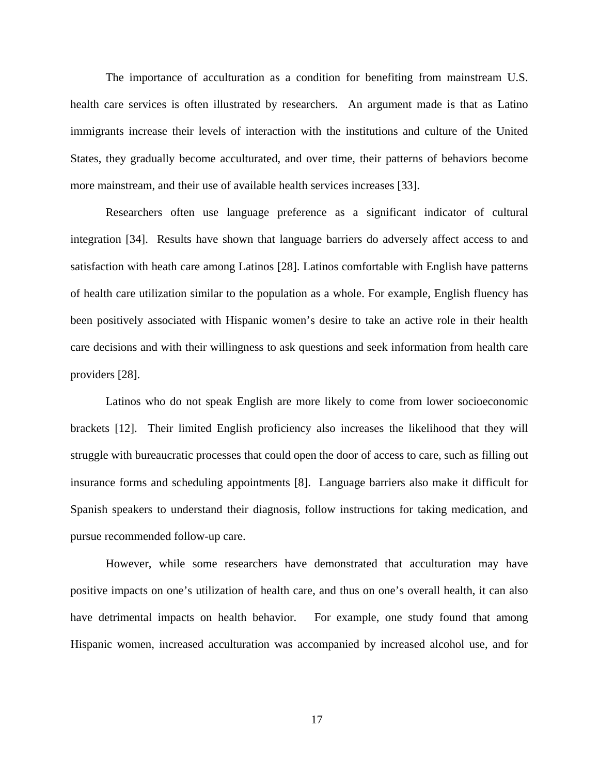The importance of acculturation as a condition for benefiting from mainstream U.S. health care services is often illustrated by researchers. An argument made is that as Latino immigrants increase their levels of interaction with the institutions and culture of the United States, they gradually become acculturated, and over time, their patterns of behaviors become more mainstream, and their use of available health services increases [33].

Researchers often use language preference as a significant indicator of cultural integration [34]. Results have shown that language barriers do adversely affect access to and satisfaction with heath care among Latinos [28]. Latinos comfortable with English have patterns of health care utilization similar to the population as a whole. For example, English fluency has been positively associated with Hispanic women's desire to take an active role in their health care decisions and with their willingness to ask questions and seek information from health care providers [28].

Latinos who do not speak English are more likely to come from lower socioeconomic brackets [12]. Their limited English proficiency also increases the likelihood that they will struggle with bureaucratic processes that could open the door of access to care, such as filling out insurance forms and scheduling appointments [8]. Language barriers also make it difficult for Spanish speakers to understand their diagnosis, follow instructions for taking medication, and pursue recommended follow-up care.

However, while some researchers have demonstrated that acculturation may have positive impacts on one's utilization of health care, and thus on one's overall health, it can also have detrimental impacts on health behavior. For example, one study found that among Hispanic women, increased acculturation was accompanied by increased alcohol use, and for

17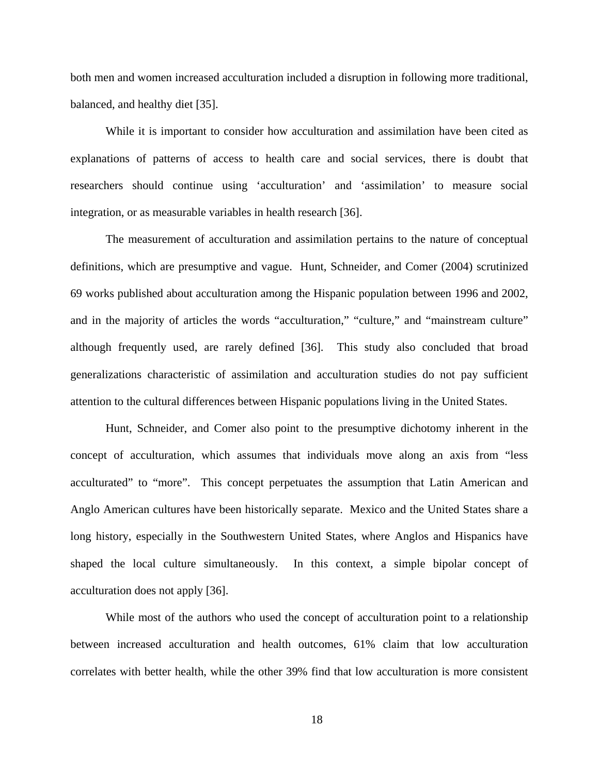both men and women increased acculturation included a disruption in following more traditional, balanced, and healthy diet [35].

While it is important to consider how acculturation and assimilation have been cited as explanations of patterns of access to health care and social services, there is doubt that researchers should continue using 'acculturation' and 'assimilation' to measure social integration, or as measurable variables in health research [36].

The measurement of acculturation and assimilation pertains to the nature of conceptual definitions, which are presumptive and vague. Hunt, Schneider, and Comer (2004) scrutinized 69 works published about acculturation among the Hispanic population between 1996 and 2002, and in the majority of articles the words "acculturation," "culture," and "mainstream culture" although frequently used, are rarely defined [36]. This study also concluded that broad generalizations characteristic of assimilation and acculturation studies do not pay sufficient attention to the cultural differences between Hispanic populations living in the United States.

Hunt, Schneider, and Comer also point to the presumptive dichotomy inherent in the concept of acculturation, which assumes that individuals move along an axis from "less acculturated" to "more". This concept perpetuates the assumption that Latin American and Anglo American cultures have been historically separate. Mexico and the United States share a long history, especially in the Southwestern United States, where Anglos and Hispanics have shaped the local culture simultaneously. In this context, a simple bipolar concept of acculturation does not apply [36].

While most of the authors who used the concept of acculturation point to a relationship between increased acculturation and health outcomes, 61% claim that low acculturation correlates with better health, while the other 39% find that low acculturation is more consistent

18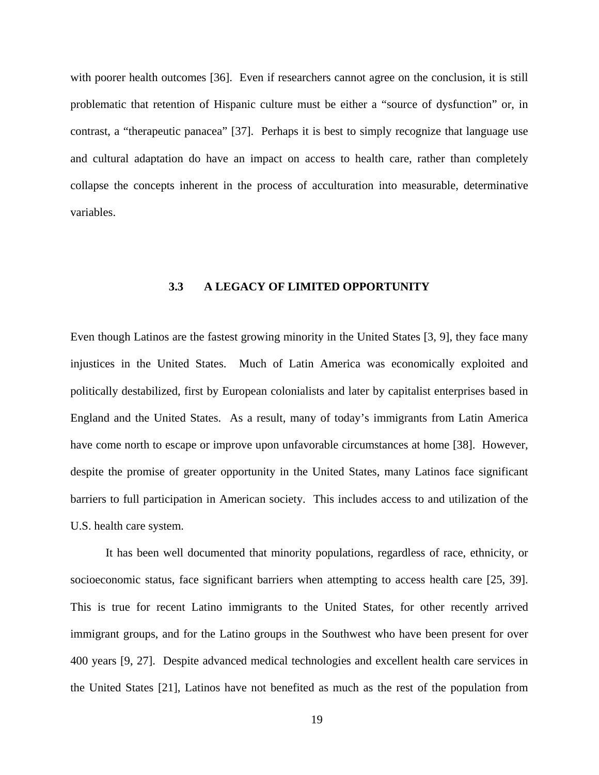<span id="page-31-0"></span>with poorer health outcomes [36]. Even if researchers cannot agree on the conclusion, it is still problematic that retention of Hispanic culture must be either a "source of dysfunction" or, in contrast, a "therapeutic panacea" [37]. Perhaps it is best to simply recognize that language use and cultural adaptation do have an impact on access to health care, rather than completely collapse the concepts inherent in the process of acculturation into measurable, determinative variables.

#### **3.3 A LEGACY OF LIMITED OPPORTUNITY**

Even though Latinos are the fastest growing minority in the United States [3, 9], they face many injustices in the United States. Much of Latin America was economically exploited and politically destabilized, first by European colonialists and later by capitalist enterprises based in England and the United States. As a result, many of today's immigrants from Latin America have come north to escape or improve upon unfavorable circumstances at home [38]. However, despite the promise of greater opportunity in the United States, many Latinos face significant barriers to full participation in American society. This includes access to and utilization of the U.S. health care system.

It has been well documented that minority populations, regardless of race, ethnicity, or socioeconomic status, face significant barriers when attempting to access health care [25, 39]. This is true for recent Latino immigrants to the United States, for other recently arrived immigrant groups, and for the Latino groups in the Southwest who have been present for over 400 years [9, 27]. Despite advanced medical technologies and excellent health care services in the United States [21], Latinos have not benefited as much as the rest of the population from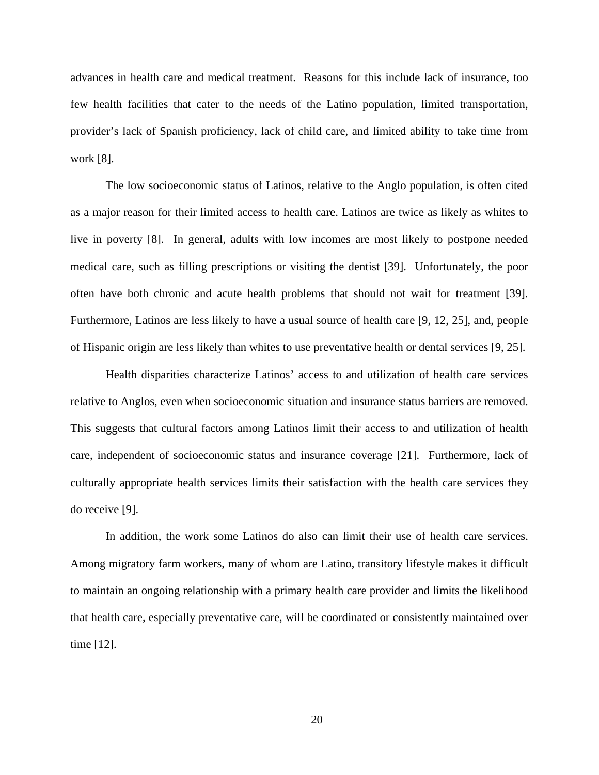advances in health care and medical treatment. Reasons for this include lack of insurance, too few health facilities that cater to the needs of the Latino population, limited transportation, provider's lack of Spanish proficiency, lack of child care, and limited ability to take time from work [8].

The low socioeconomic status of Latinos, relative to the Anglo population, is often cited as a major reason for their limited access to health care. Latinos are twice as likely as whites to live in poverty [8]. In general, adults with low incomes are most likely to postpone needed medical care, such as filling prescriptions or visiting the dentist [39]. Unfortunately, the poor often have both chronic and acute health problems that should not wait for treatment [39]. Furthermore, Latinos are less likely to have a usual source of health care [9, 12, 25], and, people of Hispanic origin are less likely than whites to use preventative health or dental services [9, 25].

Health disparities characterize Latinos' access to and utilization of health care services relative to Anglos, even when socioeconomic situation and insurance status barriers are removed. This suggests that cultural factors among Latinos limit their access to and utilization of health care, independent of socioeconomic status and insurance coverage [21]. Furthermore, lack of culturally appropriate health services limits their satisfaction with the health care services they do receive [9].

In addition, the work some Latinos do also can limit their use of health care services. Among migratory farm workers, many of whom are Latino, transitory lifestyle makes it difficult to maintain an ongoing relationship with a primary health care provider and limits the likelihood that health care, especially preventative care, will be coordinated or consistently maintained over time [12].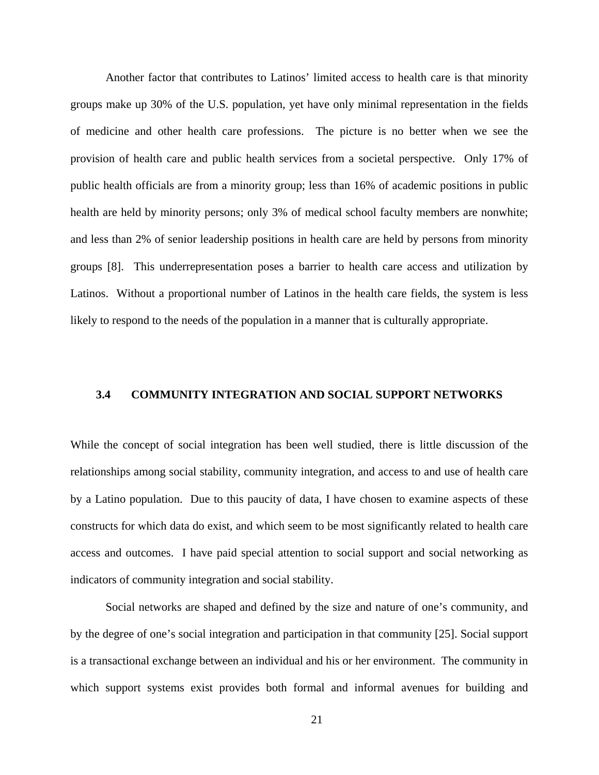<span id="page-33-0"></span>Another factor that contributes to Latinos' limited access to health care is that minority groups make up 30% of the U.S. population, yet have only minimal representation in the fields of medicine and other health care professions. The picture is no better when we see the provision of health care and public health services from a societal perspective. Only 17% of public health officials are from a minority group; less than 16% of academic positions in public health are held by minority persons; only 3% of medical school faculty members are nonwhite; and less than 2% of senior leadership positions in health care are held by persons from minority groups [8]. This underrepresentation poses a barrier to health care access and utilization by Latinos. Without a proportional number of Latinos in the health care fields, the system is less likely to respond to the needs of the population in a manner that is culturally appropriate.

# **3.4 COMMUNITY INTEGRATION AND SOCIAL SUPPORT NETWORKS**

While the concept of social integration has been well studied, there is little discussion of the relationships among social stability, community integration, and access to and use of health care by a Latino population. Due to this paucity of data, I have chosen to examine aspects of these constructs for which data do exist, and which seem to be most significantly related to health care access and outcomes. I have paid special attention to social support and social networking as indicators of community integration and social stability.

Social networks are shaped and defined by the size and nature of one's community, and by the degree of one's social integration and participation in that community [25]. Social support is a transactional exchange between an individual and his or her environment. The community in which support systems exist provides both formal and informal avenues for building and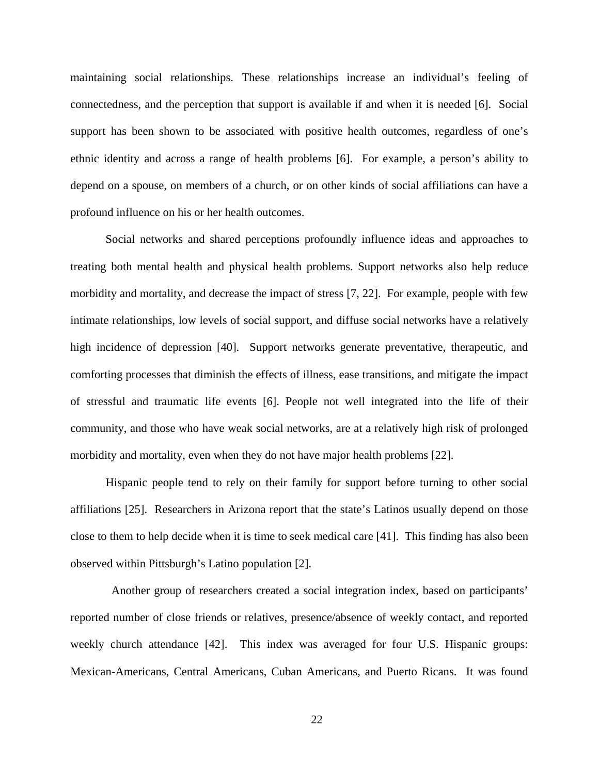maintaining social relationships. These relationships increase an individual's feeling of connectedness, and the perception that support is available if and when it is needed [6]. Social support has been shown to be associated with positive health outcomes, regardless of one's ethnic identity and across a range of health problems [6]. For example, a person's ability to depend on a spouse, on members of a church, or on other kinds of social affiliations can have a profound influence on his or her health outcomes.

Social networks and shared perceptions profoundly influence ideas and approaches to treating both mental health and physical health problems. Support networks also help reduce morbidity and mortality, and decrease the impact of stress [7, 22]. For example, people with few intimate relationships, low levels of social support, and diffuse social networks have a relatively high incidence of depression [40]. Support networks generate preventative, therapeutic, and comforting processes that diminish the effects of illness, ease transitions, and mitigate the impact of stressful and traumatic life events [6]. People not well integrated into the life of their community, and those who have weak social networks, are at a relatively high risk of prolonged morbidity and mortality, even when they do not have major health problems [22].

Hispanic people tend to rely on their family for support before turning to other social affiliations [25]. Researchers in Arizona report that the state's Latinos usually depend on those close to them to help decide when it is time to seek medical care [41]. This finding has also been observed within Pittsburgh's Latino population [2].

 Another group of researchers created a social integration index, based on participants' reported number of close friends or relatives, presence/absence of weekly contact, and reported weekly church attendance [42]. This index was averaged for four U.S. Hispanic groups: Mexican-Americans, Central Americans, Cuban Americans, and Puerto Ricans. It was found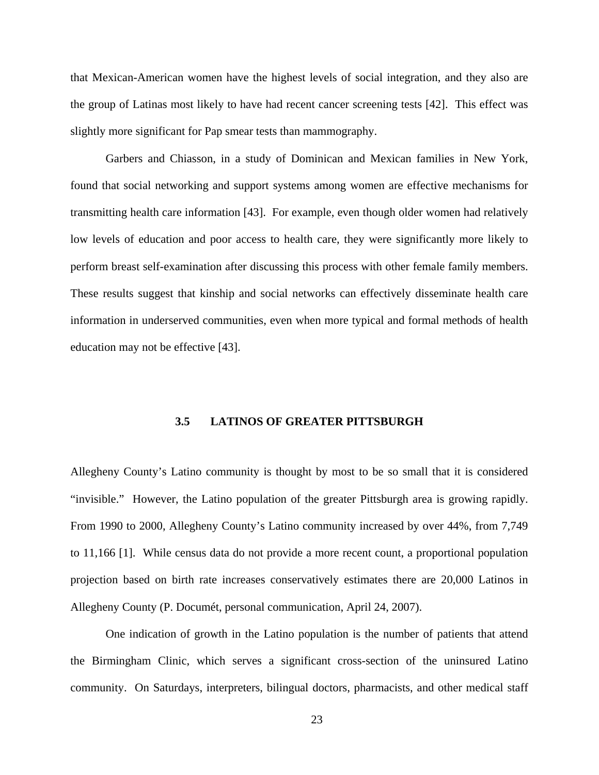<span id="page-35-0"></span>that Mexican-American women have the highest levels of social integration, and they also are the group of Latinas most likely to have had recent cancer screening tests [42]. This effect was slightly more significant for Pap smear tests than mammography.

Garbers and Chiasson, in a study of Dominican and Mexican families in New York, found that social networking and support systems among women are effective mechanisms for transmitting health care information [43]. For example, even though older women had relatively low levels of education and poor access to health care, they were significantly more likely to perform breast self-examination after discussing this process with other female family members. These results suggest that kinship and social networks can effectively disseminate health care information in underserved communities, even when more typical and formal methods of health education may not be effective [43].

## **3.5 LATINOS OF GREATER PITTSBURGH**

Allegheny County's Latino community is thought by most to be so small that it is considered "invisible." However, the Latino population of the greater Pittsburgh area is growing rapidly. From 1990 to 2000, Allegheny County's Latino community increased by over 44%, from 7,749 to 11,166 [1]. While census data do not provide a more recent count, a proportional population projection based on birth rate increases conservatively estimates there are 20,000 Latinos in Allegheny County (P. Documét, personal communication, April 24, 2007).

One indication of growth in the Latino population is the number of patients that attend the Birmingham Clinic, which serves a significant cross-section of the uninsured Latino community. On Saturdays, interpreters, bilingual doctors, pharmacists, and other medical staff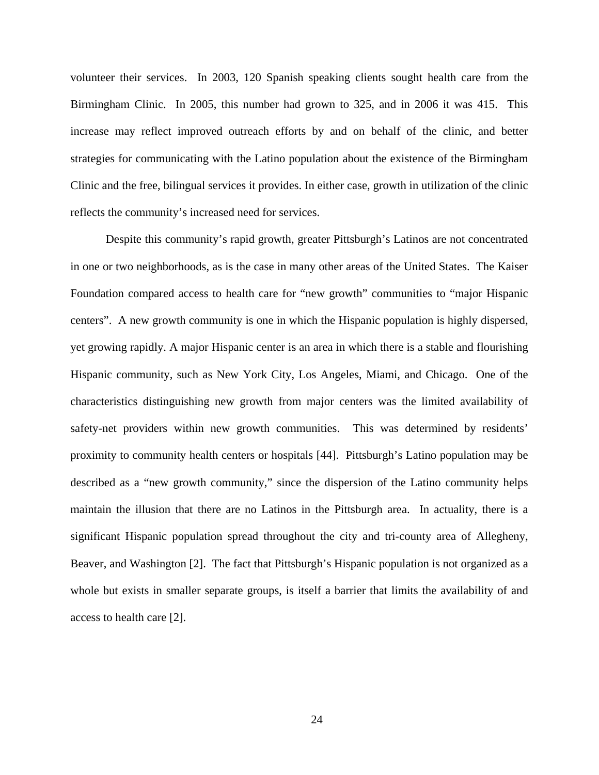volunteer their services. In 2003, 120 Spanish speaking clients sought health care from the Birmingham Clinic. In 2005, this number had grown to 325, and in 2006 it was 415. This increase may reflect improved outreach efforts by and on behalf of the clinic, and better strategies for communicating with the Latino population about the existence of the Birmingham Clinic and the free, bilingual services it provides. In either case, growth in utilization of the clinic reflects the community's increased need for services.

Despite this community's rapid growth, greater Pittsburgh's Latinos are not concentrated in one or two neighborhoods, as is the case in many other areas of the United States. The Kaiser Foundation compared access to health care for "new growth" communities to "major Hispanic centers". A new growth community is one in which the Hispanic population is highly dispersed, yet growing rapidly. A major Hispanic center is an area in which there is a stable and flourishing Hispanic community, such as New York City, Los Angeles, Miami, and Chicago. One of the characteristics distinguishing new growth from major centers was the limited availability of safety-net providers within new growth communities. This was determined by residents' proximity to community health centers or hospitals [44]. Pittsburgh's Latino population may be described as a "new growth community," since the dispersion of the Latino community helps maintain the illusion that there are no Latinos in the Pittsburgh area. In actuality, there is a significant Hispanic population spread throughout the city and tri-county area of Allegheny, Beaver, and Washington [2]. The fact that Pittsburgh's Hispanic population is not organized as a whole but exists in smaller separate groups, is itself a barrier that limits the availability of and access to health care [2].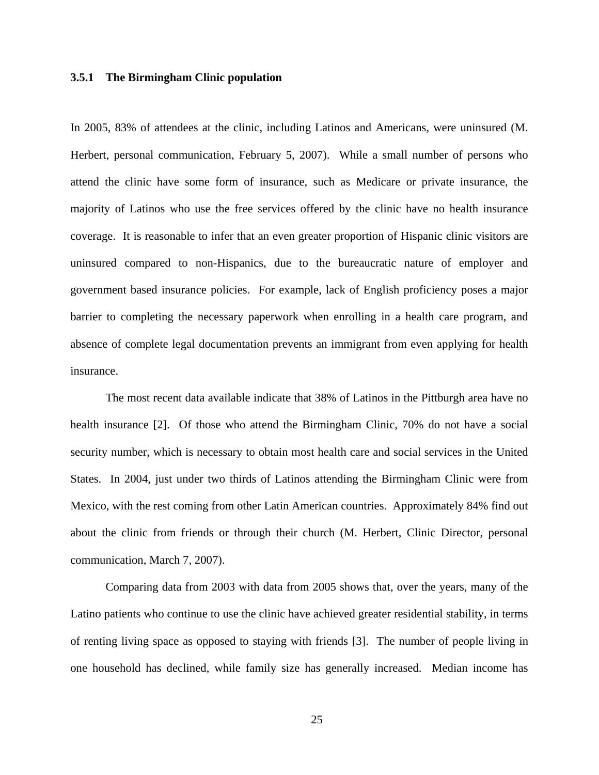### **3.5.1 The Birmingham Clinic population**

In 2005, 83% of attendees at the clinic, including Latinos and Americans, were uninsured (M. Herbert, personal communication, February 5, 2007). While a small number of persons who attend the clinic have some form of insurance, such as Medicare or private insurance, the majority of Latinos who use the free services offered by the clinic have no health insurance coverage. It is reasonable to infer that an even greater proportion of Hispanic clinic visitors are uninsured compared to non-Hispanics, due to the bureaucratic nature of employer and government based insurance policies. For example, lack of English proficiency poses a major barrier to completing the necessary paperwork when enrolling in a health care program, and absence of complete legal documentation prevents an immigrant from even applying for health insurance.

The most recent data available indicate that 38% of Latinos in the Pittburgh area have no health insurance [2]. Of those who attend the Birmingham Clinic, 70% do not have a social security number, which is necessary to obtain most health care and social services in the United States. In 2004, just under two thirds of Latinos attending the Birmingham Clinic were from Mexico, with the rest coming from other Latin American countries. Approximately 84% find out about the clinic from friends or through their church (M. Herbert, Clinic Director, personal communication, March 7, 2007).

Comparing data from 2003 with data from 2005 shows that, over the years, many of the Latino patients who continue to use the clinic have achieved greater residential stability, in terms of renting living space as opposed to staying with friends [3]. The number of people living in one household has declined, while family size has generally increased. Median income has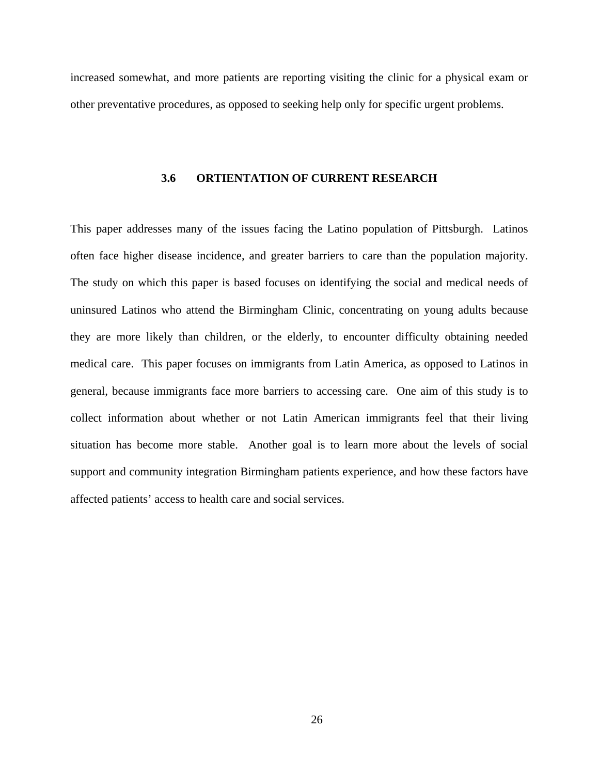increased somewhat, and more patients are reporting visiting the clinic for a physical exam or other preventative procedures, as opposed to seeking help only for specific urgent problems.

#### **3.6 ORTIENTATION OF CURRENT RESEARCH**

This paper addresses many of the issues facing the Latino population of Pittsburgh. Latinos often face higher disease incidence, and greater barriers to care than the population majority. The study on which this paper is based focuses on identifying the social and medical needs of uninsured Latinos who attend the Birmingham Clinic, concentrating on young adults because they are more likely than children, or the elderly, to encounter difficulty obtaining needed medical care. This paper focuses on immigrants from Latin America, as opposed to Latinos in general, because immigrants face more barriers to accessing care. One aim of this study is to collect information about whether or not Latin American immigrants feel that their living situation has become more stable. Another goal is to learn more about the levels of social support and community integration Birmingham patients experience, and how these factors have affected patients' access to health care and social services.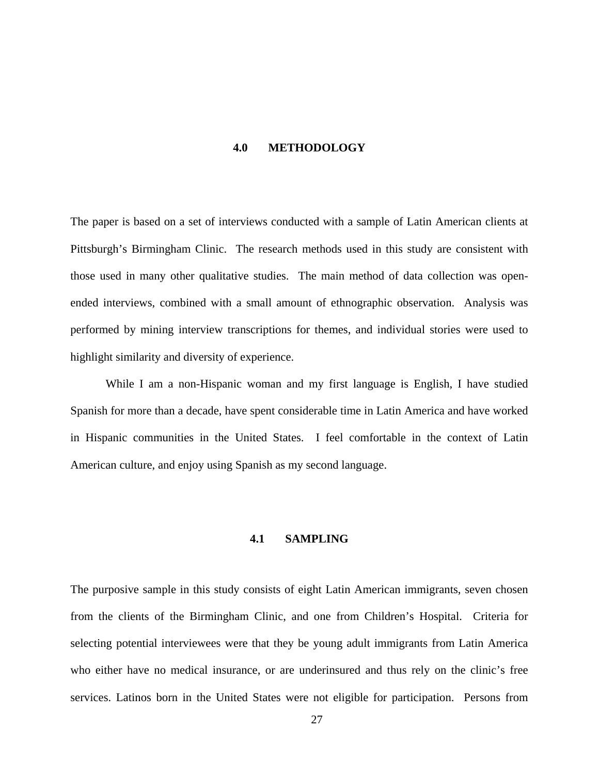### **4.0 METHODOLOGY**

The paper is based on a set of interviews conducted with a sample of Latin American clients at Pittsburgh's Birmingham Clinic. The research methods used in this study are consistent with those used in many other qualitative studies. The main method of data collection was openended interviews, combined with a small amount of ethnographic observation. Analysis was performed by mining interview transcriptions for themes, and individual stories were used to highlight similarity and diversity of experience.

While I am a non-Hispanic woman and my first language is English, I have studied Spanish for more than a decade, have spent considerable time in Latin America and have worked in Hispanic communities in the United States. I feel comfortable in the context of Latin American culture, and enjoy using Spanish as my second language.

# **4.1 SAMPLING**

The purposive sample in this study consists of eight Latin American immigrants, seven chosen from the clients of the Birmingham Clinic, and one from Children's Hospital. Criteria for selecting potential interviewees were that they be young adult immigrants from Latin America who either have no medical insurance, or are underinsured and thus rely on the clinic's free services. Latinos born in the United States were not eligible for participation. Persons from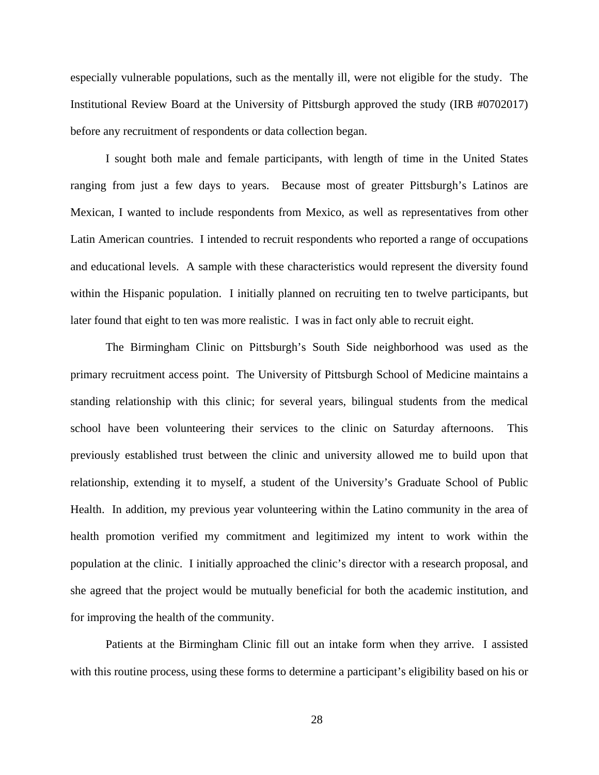especially vulnerable populations, such as the mentally ill, were not eligible for the study. The Institutional Review Board at the University of Pittsburgh approved the study (IRB #0702017) before any recruitment of respondents or data collection began.

I sought both male and female participants, with length of time in the United States ranging from just a few days to years. Because most of greater Pittsburgh's Latinos are Mexican, I wanted to include respondents from Mexico, as well as representatives from other Latin American countries. I intended to recruit respondents who reported a range of occupations and educational levels. A sample with these characteristics would represent the diversity found within the Hispanic population. I initially planned on recruiting ten to twelve participants, but later found that eight to ten was more realistic. I was in fact only able to recruit eight.

The Birmingham Clinic on Pittsburgh's South Side neighborhood was used as the primary recruitment access point. The University of Pittsburgh School of Medicine maintains a standing relationship with this clinic; for several years, bilingual students from the medical school have been volunteering their services to the clinic on Saturday afternoons. This previously established trust between the clinic and university allowed me to build upon that relationship, extending it to myself, a student of the University's Graduate School of Public Health. In addition, my previous year volunteering within the Latino community in the area of health promotion verified my commitment and legitimized my intent to work within the population at the clinic. I initially approached the clinic's director with a research proposal, and she agreed that the project would be mutually beneficial for both the academic institution, and for improving the health of the community.

Patients at the Birmingham Clinic fill out an intake form when they arrive. I assisted with this routine process, using these forms to determine a participant's eligibility based on his or

28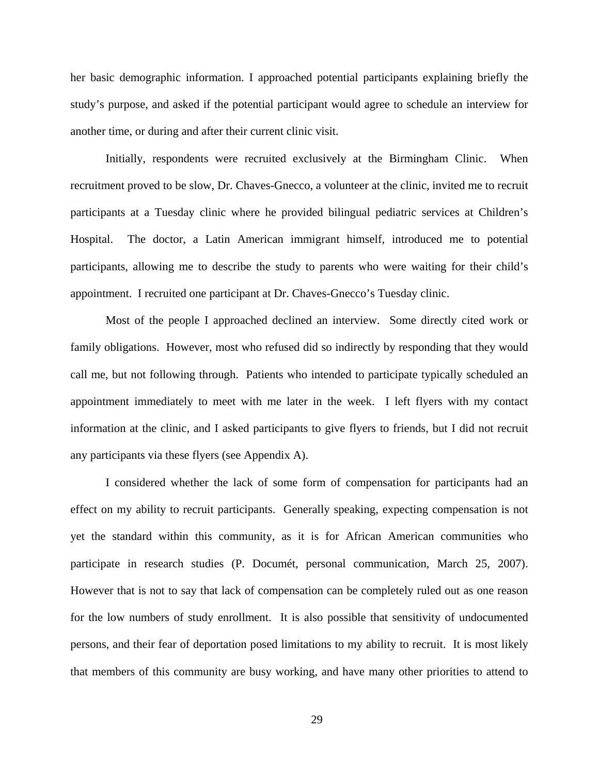her basic demographic information. I approached potential participants explaining briefly the study's purpose, and asked if the potential participant would agree to schedule an interview for another time, or during and after their current clinic visit.

Initially, respondents were recruited exclusively at the Birmingham Clinic. When recruitment proved to be slow, Dr. Chaves-Gnecco, a volunteer at the clinic, invited me to recruit participants at a Tuesday clinic where he provided bilingual pediatric services at Children's Hospital. The doctor, a Latin American immigrant himself, introduced me to potential participants, allowing me to describe the study to parents who were waiting for their child's appointment. I recruited one participant at Dr. Chaves-Gnecco's Tuesday clinic.

Most of the people I approached declined an interview. Some directly cited work or family obligations. However, most who refused did so indirectly by responding that they would call me, but not following through. Patients who intended to participate typically scheduled an appointment immediately to meet with me later in the week. I left flyers with my contact information at the clinic, and I asked participants to give flyers to friends, but I did not recruit any participants via these flyers (see Appendix A).

I considered whether the lack of some form of compensation for participants had an effect on my ability to recruit participants. Generally speaking, expecting compensation is not yet the standard within this community, as it is for African American communities who participate in research studies (P. Documét, personal communication, March 25, 2007). However that is not to say that lack of compensation can be completely ruled out as one reason for the low numbers of study enrollment. It is also possible that sensitivity of undocumented persons, and their fear of deportation posed limitations to my ability to recruit. It is most likely that members of this community are busy working, and have many other priorities to attend to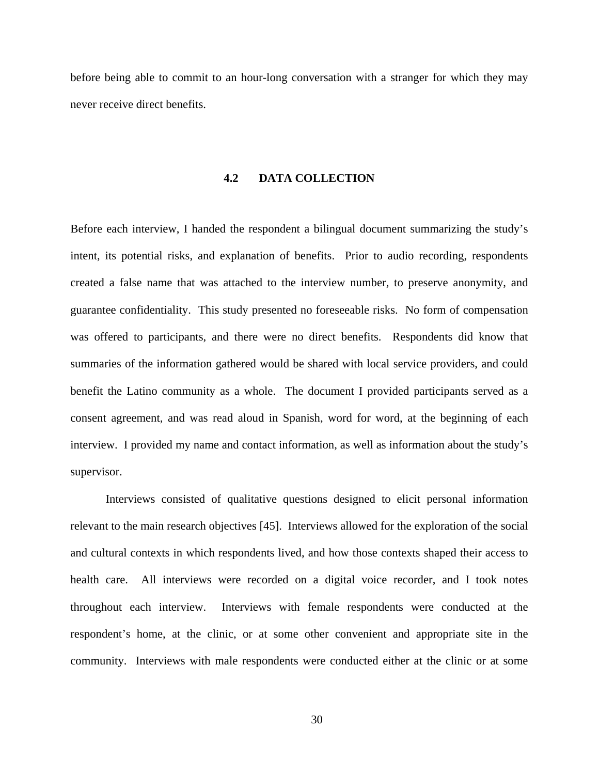before being able to commit to an hour-long conversation with a stranger for which they may never receive direct benefits.

# **4.2 DATA COLLECTION**

Before each interview, I handed the respondent a bilingual document summarizing the study's intent, its potential risks, and explanation of benefits. Prior to audio recording, respondents created a false name that was attached to the interview number, to preserve anonymity, and guarantee confidentiality. This study presented no foreseeable risks. No form of compensation was offered to participants, and there were no direct benefits. Respondents did know that summaries of the information gathered would be shared with local service providers, and could benefit the Latino community as a whole. The document I provided participants served as a consent agreement, and was read aloud in Spanish, word for word, at the beginning of each interview. I provided my name and contact information, as well as information about the study's supervisor.

Interviews consisted of qualitative questions designed to elicit personal information relevant to the main research objectives [45]. Interviews allowed for the exploration of the social and cultural contexts in which respondents lived, and how those contexts shaped their access to health care. All interviews were recorded on a digital voice recorder, and I took notes throughout each interview. Interviews with female respondents were conducted at the respondent's home, at the clinic, or at some other convenient and appropriate site in the community. Interviews with male respondents were conducted either at the clinic or at some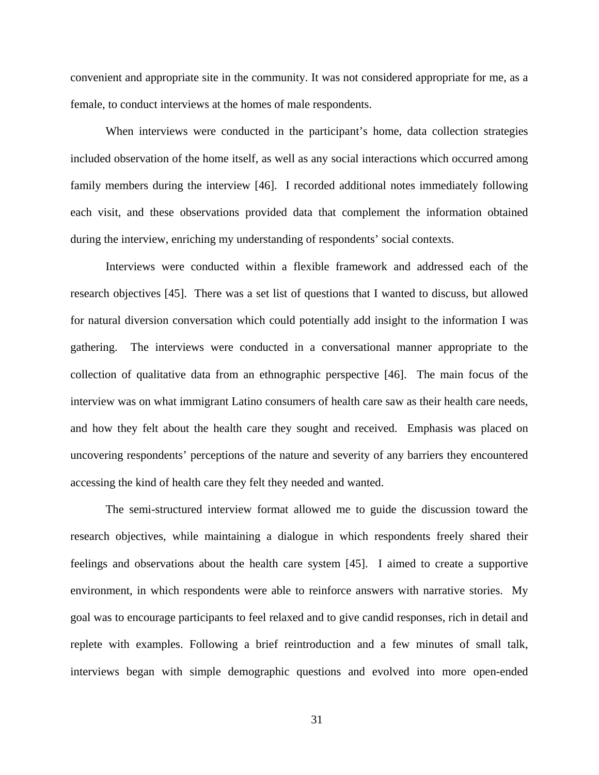convenient and appropriate site in the community. It was not considered appropriate for me, as a female, to conduct interviews at the homes of male respondents.

When interviews were conducted in the participant's home, data collection strategies included observation of the home itself, as well as any social interactions which occurred among family members during the interview [46]. I recorded additional notes immediately following each visit, and these observations provided data that complement the information obtained during the interview, enriching my understanding of respondents' social contexts.

Interviews were conducted within a flexible framework and addressed each of the research objectives [45]. There was a set list of questions that I wanted to discuss, but allowed for natural diversion conversation which could potentially add insight to the information I was gathering. The interviews were conducted in a conversational manner appropriate to the collection of qualitative data from an ethnographic perspective [46]. The main focus of the interview was on what immigrant Latino consumers of health care saw as their health care needs, and how they felt about the health care they sought and received. Emphasis was placed on uncovering respondents' perceptions of the nature and severity of any barriers they encountered accessing the kind of health care they felt they needed and wanted.

The semi-structured interview format allowed me to guide the discussion toward the research objectives, while maintaining a dialogue in which respondents freely shared their feelings and observations about the health care system [45]. I aimed to create a supportive environment, in which respondents were able to reinforce answers with narrative stories. My goal was to encourage participants to feel relaxed and to give candid responses, rich in detail and replete with examples. Following a brief reintroduction and a few minutes of small talk, interviews began with simple demographic questions and evolved into more open-ended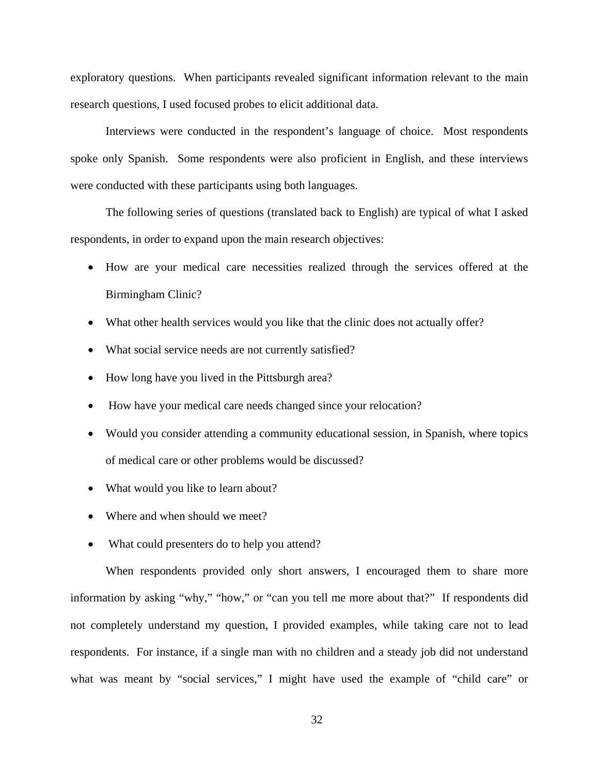exploratory questions. When participants revealed significant information relevant to the main research questions, I used focused probes to elicit additional data.

Interviews were conducted in the respondent's language of choice. Most respondents spoke only Spanish. Some respondents were also proficient in English, and these interviews were conducted with these participants using both languages.

The following series of questions (translated back to English) are typical of what I asked respondents, in order to expand upon the main research objectives:

- How are your medical care necessities realized through the services offered at the Birmingham Clinic?
- What other health services would you like that the clinic does not actually offer?
- What social service needs are not currently satisfied?
- How long have you lived in the Pittsburgh area?
- How have your medical care needs changed since your relocation?
- Would you consider attending a community educational session, in Spanish, where topics of medical care or other problems would be discussed?
- What would you like to learn about?
- Where and when should we meet?
- What could presenters do to help you attend?

When respondents provided only short answers, I encouraged them to share more information by asking "why," "how," or "can you tell me more about that?" If respondents did not completely understand my question, I provided examples, while taking care not to lead respondents. For instance, if a single man with no children and a steady job did not understand what was meant by "social services," I might have used the example of "child care" or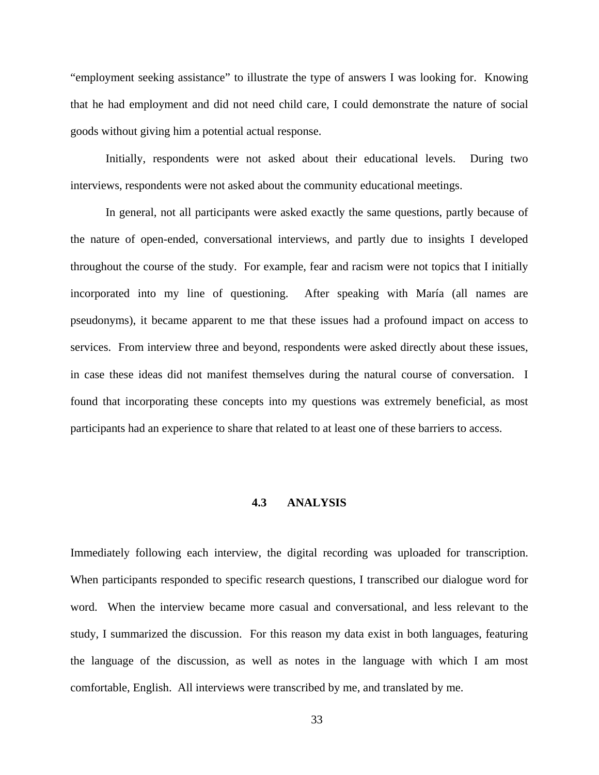"employment seeking assistance" to illustrate the type of answers I was looking for. Knowing that he had employment and did not need child care, I could demonstrate the nature of social goods without giving him a potential actual response.

Initially, respondents were not asked about their educational levels. During two interviews, respondents were not asked about the community educational meetings.

In general, not all participants were asked exactly the same questions, partly because of the nature of open-ended, conversational interviews, and partly due to insights I developed throughout the course of the study. For example, fear and racism were not topics that I initially incorporated into my line of questioning. After speaking with María (all names are pseudonyms), it became apparent to me that these issues had a profound impact on access to services. From interview three and beyond, respondents were asked directly about these issues, in case these ideas did not manifest themselves during the natural course of conversation. I found that incorporating these concepts into my questions was extremely beneficial, as most participants had an experience to share that related to at least one of these barriers to access.

## **4.3 ANALYSIS**

Immediately following each interview, the digital recording was uploaded for transcription. When participants responded to specific research questions, I transcribed our dialogue word for word. When the interview became more casual and conversational, and less relevant to the study, I summarized the discussion. For this reason my data exist in both languages, featuring the language of the discussion, as well as notes in the language with which I am most comfortable, English. All interviews were transcribed by me, and translated by me.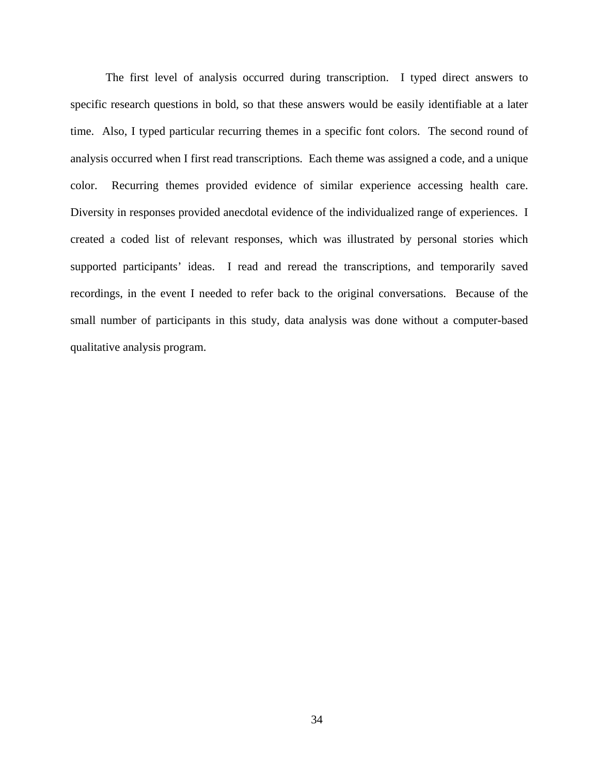The first level of analysis occurred during transcription. I typed direct answers to specific research questions in bold, so that these answers would be easily identifiable at a later time. Also, I typed particular recurring themes in a specific font colors. The second round of analysis occurred when I first read transcriptions. Each theme was assigned a code, and a unique color. Recurring themes provided evidence of similar experience accessing health care. Diversity in responses provided anecdotal evidence of the individualized range of experiences. I created a coded list of relevant responses, which was illustrated by personal stories which supported participants' ideas. I read and reread the transcriptions, and temporarily saved recordings, in the event I needed to refer back to the original conversations. Because of the small number of participants in this study, data analysis was done without a computer-based qualitative analysis program.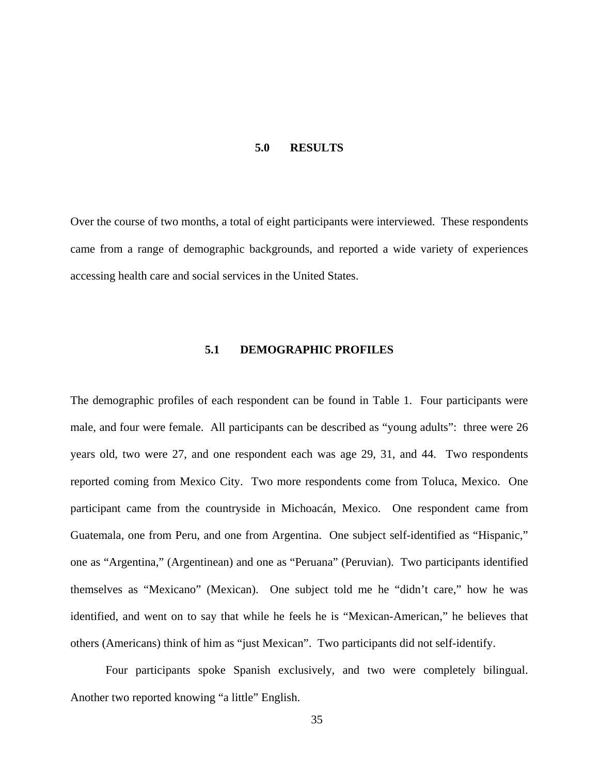#### **5.0 RESULTS**

Over the course of two months, a total of eight participants were interviewed. These respondents came from a range of demographic backgrounds, and reported a wide variety of experiences accessing health care and social services in the United States.

# **5.1 DEMOGRAPHIC PROFILES**

The demographic profiles of each respondent can be found in Table 1. Four participants were male, and four were female. All participants can be described as "young adults": three were 26 years old, two were 27, and one respondent each was age 29, 31, and 44. Two respondents reported coming from Mexico City. Two more respondents come from Toluca, Mexico. One participant came from the countryside in Michoacán, Mexico. One respondent came from Guatemala, one from Peru, and one from Argentina. One subject self-identified as "Hispanic," one as "Argentina," (Argentinean) and one as "Peruana" (Peruvian). Two participants identified themselves as "Mexicano" (Mexican). One subject told me he "didn't care," how he was identified, and went on to say that while he feels he is "Mexican-American," he believes that others (Americans) think of him as "just Mexican". Two participants did not self-identify.

Four participants spoke Spanish exclusively, and two were completely bilingual. Another two reported knowing "a little" English.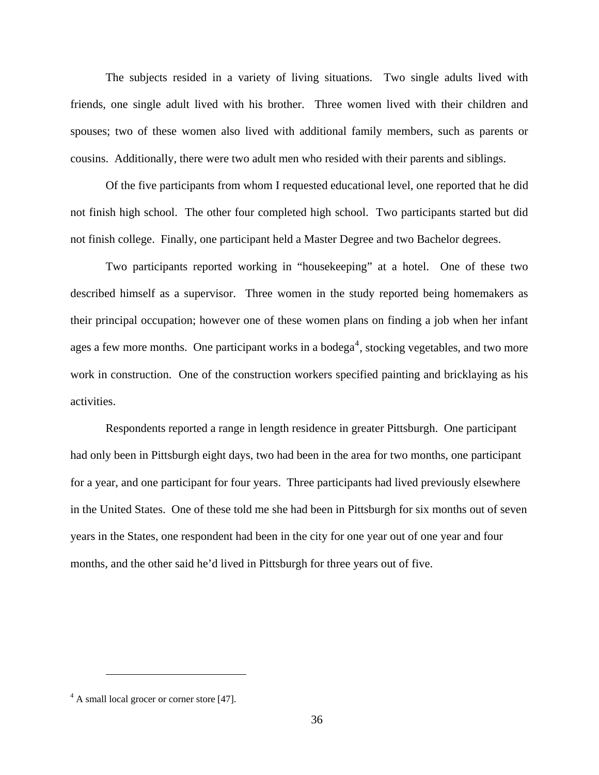<span id="page-48-0"></span>The subjects resided in a variety of living situations. Two single adults lived with friends, one single adult lived with his brother. Three women lived with their children and spouses; two of these women also lived with additional family members, such as parents or cousins. Additionally, there were two adult men who resided with their parents and siblings.

Of the five participants from whom I requested educational level, one reported that he did not finish high school. The other four completed high school. Two participants started but did not finish college. Finally, one participant held a Master Degree and two Bachelor degrees.

Two participants reported working in "housekeeping" at a hotel. One of these two described himself as a supervisor. Three women in the study reported being homemakers as their principal occupation; however one of these women plans on finding a job when her infant ages a few more months. One participant works in a bodega<sup>[4](#page-48-0)</sup>, stocking vegetables, and two more work in construction. One of the construction workers specified painting and bricklaying as his activities.

 Respondents reported a range in length residence in greater Pittsburgh. One participant had only been in Pittsburgh eight days, two had been in the area for two months, one participant for a year, and one participant for four years. Three participants had lived previously elsewhere in the United States. One of these told me she had been in Pittsburgh for six months out of seven years in the States, one respondent had been in the city for one year out of one year and four months, and the other said he'd lived in Pittsburgh for three years out of five.

 $\overline{a}$ 

<sup>&</sup>lt;sup>4</sup> A small local grocer or corner store [47].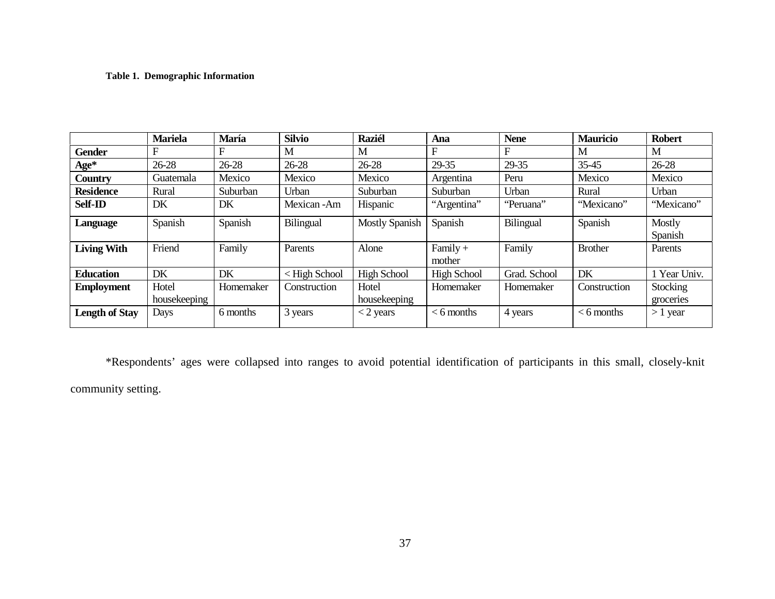# **Table 1. Demographic Information**

|                       | <b>Mariela</b> | María     | <b>Silvio</b>                                                                                                                             | <b>Raziél</b>         | Ana                  | <b>Nene</b>  | <b>Mauricio</b> | <b>Robert</b>     |
|-----------------------|----------------|-----------|-------------------------------------------------------------------------------------------------------------------------------------------|-----------------------|----------------------|--------------|-----------------|-------------------|
| <b>Gender</b>         | F              | F         | M                                                                                                                                         | M                     | F                    | F            | M               | M                 |
| $Age*$                | $26 - 28$      | 26-28     | $26 - 28$                                                                                                                                 | 26-28                 | 29-35                | 29-35        | 35-45           | 26-28             |
| Country               | Guatemala      | Mexico    | Mexico                                                                                                                                    | Mexico                | Argentina            | Peru         | Mexico          | Mexico            |
| <b>Residence</b>      | Rural          | Suburban  | Urban                                                                                                                                     | Suburban              | Suburban             | Urban        | Rural           | Urban             |
| <b>Self-ID</b>        | DK             | DK        | Mexican-Am                                                                                                                                | Hispanic              | "Argentina"          | "Peruana"    | "Mexicano"      | "Mexicano"        |
| Language              | Spanish        | Spanish   | Bilingual                                                                                                                                 | <b>Mostly Spanish</b> | Spanish              | Bilingual    | Spanish         | Mostly<br>Spanish |
| <b>Living With</b>    | Friend         | Family    | Parents                                                                                                                                   | Alone                 | $Family +$<br>mother | Family       | <b>Brother</b>  | Parents           |
| <b>Education</b>      | DK             | DK        | <high school<="" th=""><th><b>High School</b></th><th><b>High School</b></th><th>Grad. School</th><th>DK</th><th>1 Year Univ.</th></high> | <b>High School</b>    | <b>High School</b>   | Grad. School | DK              | 1 Year Univ.      |
| <b>Employment</b>     | Hotel          | Homemaker | Construction                                                                                                                              | Hotel                 | Homemaker            | Homemaker    | Construction    | Stocking          |
|                       | housekeeping   |           |                                                                                                                                           | housekeeping          |                      |              |                 | groceries         |
| <b>Length of Stay</b> | Days           | 6 months  | 3 years                                                                                                                                   | $<$ 2 years           | $<$ 6 months         | 4 years      | $<$ 6 months    | $>1$ year         |

\*Respondents' ages were collapsed into ranges to avoid potential identification of participants in this small, closely-knit community setting.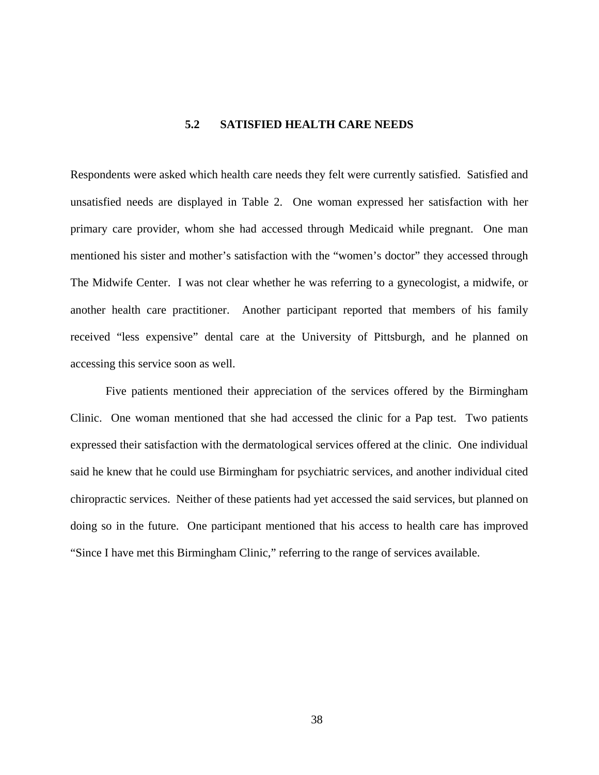# **5.2 SATISFIED HEALTH CARE NEEDS**

Respondents were asked which health care needs they felt were currently satisfied. Satisfied and unsatisfied needs are displayed in Table 2. One woman expressed her satisfaction with her primary care provider, whom she had accessed through Medicaid while pregnant. One man mentioned his sister and mother's satisfaction with the "women's doctor" they accessed through The Midwife Center. I was not clear whether he was referring to a gynecologist, a midwife, or another health care practitioner. Another participant reported that members of his family received "less expensive" dental care at the University of Pittsburgh, and he planned on accessing this service soon as well.

Five patients mentioned their appreciation of the services offered by the Birmingham Clinic. One woman mentioned that she had accessed the clinic for a Pap test. Two patients expressed their satisfaction with the dermatological services offered at the clinic. One individual said he knew that he could use Birmingham for psychiatric services, and another individual cited chiropractic services. Neither of these patients had yet accessed the said services, but planned on doing so in the future. One participant mentioned that his access to health care has improved "Since I have met this Birmingham Clinic," referring to the range of services available.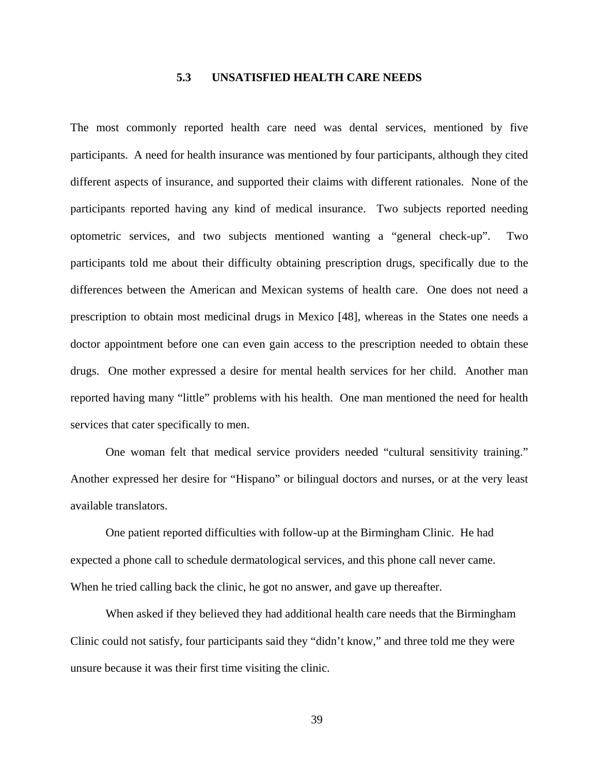# **5.3 UNSATISFIED HEALTH CARE NEEDS**

The most commonly reported health care need was dental services, mentioned by five participants. A need for health insurance was mentioned by four participants, although they cited different aspects of insurance, and supported their claims with different rationales. None of the participants reported having any kind of medical insurance. Two subjects reported needing optometric services, and two subjects mentioned wanting a "general check-up". Two participants told me about their difficulty obtaining prescription drugs, specifically due to the differences between the American and Mexican systems of health care. One does not need a prescription to obtain most medicinal drugs in Mexico [48], whereas in the States one needs a doctor appointment before one can even gain access to the prescription needed to obtain these drugs. One mother expressed a desire for mental health services for her child. Another man reported having many "little" problems with his health. One man mentioned the need for health services that cater specifically to men.

One woman felt that medical service providers needed "cultural sensitivity training." Another expressed her desire for "Hispano" or bilingual doctors and nurses, or at the very least available translators.

One patient reported difficulties with follow-up at the Birmingham Clinic. He had expected a phone call to schedule dermatological services, and this phone call never came. When he tried calling back the clinic, he got no answer, and gave up thereafter.

When asked if they believed they had additional health care needs that the Birmingham Clinic could not satisfy, four participants said they "didn't know," and three told me they were unsure because it was their first time visiting the clinic.

39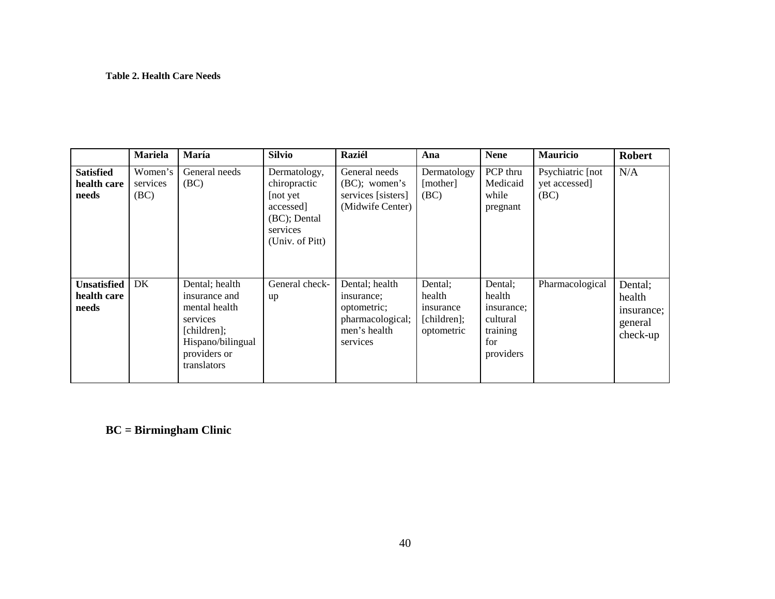### **Table 2. Health Care Needs**

|                                            | <b>Mariela</b>              | María                                                                                                                           | <b>Silvio</b>                                                                                         | <b>Raziél</b>                                                                               | Ana                                                         | <b>Nene</b>                                                                 | <b>Mauricio</b>                            | <b>Robert</b>                                          |
|--------------------------------------------|-----------------------------|---------------------------------------------------------------------------------------------------------------------------------|-------------------------------------------------------------------------------------------------------|---------------------------------------------------------------------------------------------|-------------------------------------------------------------|-----------------------------------------------------------------------------|--------------------------------------------|--------------------------------------------------------|
| <b>Satisfied</b><br>health care<br>needs   | Women's<br>services<br>(BC) | General needs<br>(BC)                                                                                                           | Dermatology,<br>chiropractic<br>[not yet]<br>accessed]<br>(BC); Dental<br>services<br>(Univ. of Pitt) | General needs<br>$(BC)$ ; women's<br>services [sisters]<br>(Midwife Center)                 | Dermatology<br>[mother]<br>(BC)                             | PCP thru<br>Medicaid<br>while<br>pregnant                                   | Psychiatric [not]<br>yet accessed]<br>(BC) | N/A                                                    |
| <b>Unsatisfied</b><br>health care<br>needs | DK                          | Dental; health<br>insurance and<br>mental health<br>services<br>[children];<br>Hispano/bilingual<br>providers or<br>translators | General check-<br>up                                                                                  | Dental; health<br>insurance;<br>optometric;<br>pharmacological;<br>men's health<br>services | Dental;<br>health<br>insurance<br>[children];<br>optometric | Dental;<br>health<br>insurance;<br>cultural<br>training<br>for<br>providers | Pharmacological                            | Dental;<br>health<br>insurance;<br>general<br>check-up |

**BC = Birmingham Clinic**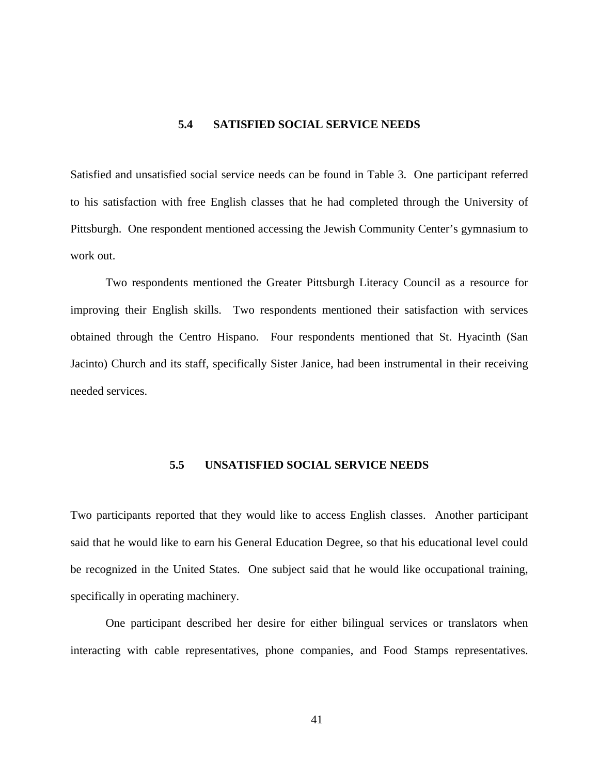# **5.4 SATISFIED SOCIAL SERVICE NEEDS**

Satisfied and unsatisfied social service needs can be found in Table 3. One participant referred to his satisfaction with free English classes that he had completed through the University of Pittsburgh. One respondent mentioned accessing the Jewish Community Center's gymnasium to work out.

Two respondents mentioned the Greater Pittsburgh Literacy Council as a resource for improving their English skills. Two respondents mentioned their satisfaction with services obtained through the Centro Hispano. Four respondents mentioned that St. Hyacinth (San Jacinto) Church and its staff, specifically Sister Janice, had been instrumental in their receiving needed services.

# **5.5 UNSATISFIED SOCIAL SERVICE NEEDS**

Two participants reported that they would like to access English classes. Another participant said that he would like to earn his General Education Degree, so that his educational level could be recognized in the United States. One subject said that he would like occupational training, specifically in operating machinery.

One participant described her desire for either bilingual services or translators when interacting with cable representatives, phone companies, and Food Stamps representatives.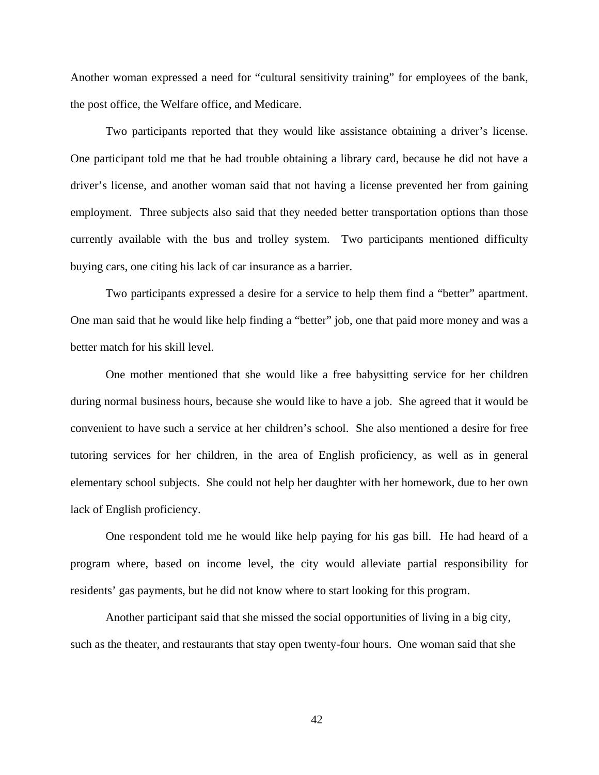Another woman expressed a need for "cultural sensitivity training" for employees of the bank, the post office, the Welfare office, and Medicare.

Two participants reported that they would like assistance obtaining a driver's license. One participant told me that he had trouble obtaining a library card, because he did not have a driver's license, and another woman said that not having a license prevented her from gaining employment. Three subjects also said that they needed better transportation options than those currently available with the bus and trolley system. Two participants mentioned difficulty buying cars, one citing his lack of car insurance as a barrier.

Two participants expressed a desire for a service to help them find a "better" apartment. One man said that he would like help finding a "better" job, one that paid more money and was a better match for his skill level.

One mother mentioned that she would like a free babysitting service for her children during normal business hours, because she would like to have a job. She agreed that it would be convenient to have such a service at her children's school. She also mentioned a desire for free tutoring services for her children, in the area of English proficiency, as well as in general elementary school subjects. She could not help her daughter with her homework, due to her own lack of English proficiency.

One respondent told me he would like help paying for his gas bill. He had heard of a program where, based on income level, the city would alleviate partial responsibility for residents' gas payments, but he did not know where to start looking for this program.

Another participant said that she missed the social opportunities of living in a big city, such as the theater, and restaurants that stay open twenty-four hours. One woman said that she

42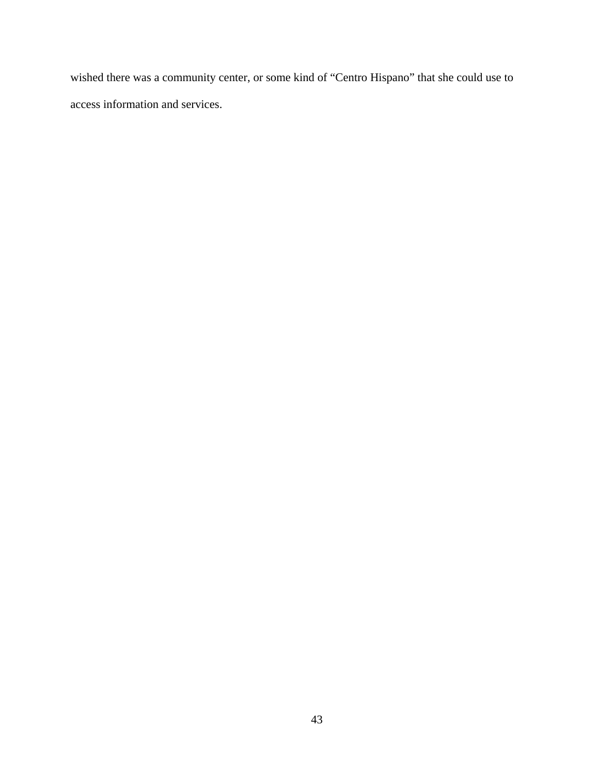wished there was a community center, or some kind of "Centro Hispano" that she could use to access information and services.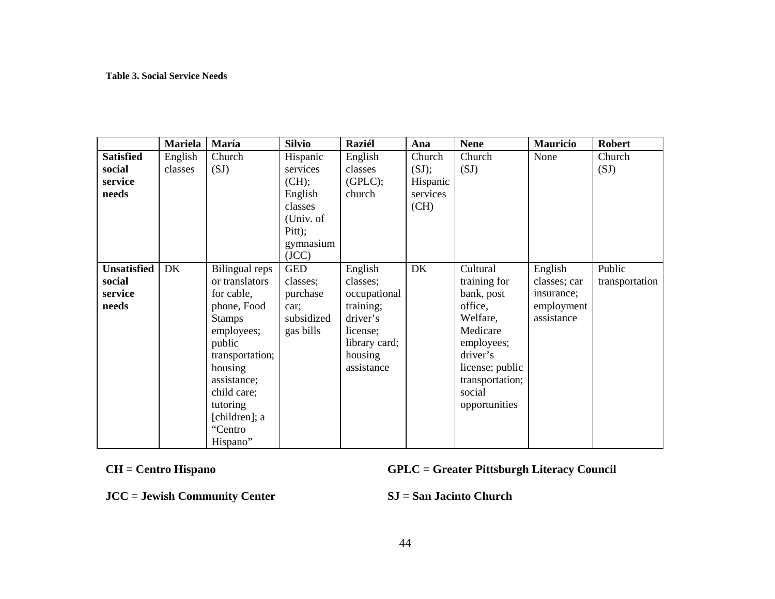### **Table 3. Social Service Needs**

|                    | <b>Mariela</b> | María           | <b>Silvio</b> | <b>Raziél</b> | Ana      | <b>Nene</b>     | <b>Mauricio</b> | <b>Robert</b>  |
|--------------------|----------------|-----------------|---------------|---------------|----------|-----------------|-----------------|----------------|
| <b>Satisfied</b>   | English        | Church          | Hispanic      | English       | Church   | Church          | None            | Church         |
| social             | classes        | (SJ)            | services      | classes       | (SJ);    | (SJ)            |                 | (SJ)           |
| service            |                |                 | (CH);         | (GPLC);       | Hispanic |                 |                 |                |
| needs              |                |                 | English       | church        | services |                 |                 |                |
|                    |                |                 | classes       |               | (CH)     |                 |                 |                |
|                    |                |                 | (Univ. of     |               |          |                 |                 |                |
|                    |                |                 | Pitt);        |               |          |                 |                 |                |
|                    |                |                 | gymnasium     |               |          |                 |                 |                |
|                    |                |                 | (JCC)         |               |          |                 |                 |                |
| <b>Unsatisfied</b> | DK             | Bilingual reps  | <b>GED</b>    | English       | DK       | Cultural        | English         | Public         |
| social             |                | or translators  | classes;      | classes;      |          | training for    | classes; car    | transportation |
| service            |                | for cable,      | purchase      | occupational  |          | bank, post      | insurance;      |                |
| needs              |                | phone, Food     | car:          | training;     |          | office,         | employment      |                |
|                    |                | <b>Stamps</b>   | subsidized    | driver's      |          | Welfare,        | assistance      |                |
|                    |                | employees;      | gas bills     | license;      |          | Medicare        |                 |                |
|                    |                | public          |               | library card; |          | employees;      |                 |                |
|                    |                | transportation; |               | housing       |          | driver's        |                 |                |
|                    |                | housing         |               | assistance    |          | license; public |                 |                |
|                    |                | assistance;     |               |               |          | transportation; |                 |                |
|                    |                | child care;     |               |               |          | social          |                 |                |
|                    |                | tutoring        |               |               |          | opportunities   |                 |                |
|                    |                | [children]; a   |               |               |          |                 |                 |                |
|                    |                | "Centro         |               |               |          |                 |                 |                |
|                    |                | Hispano"        |               |               |          |                 |                 |                |

**CH = Centro Hispano GPLC = Greater Pittsburgh Literacy Council** 

**JCC = Jewish Community Center SJ = San Jacinto Church**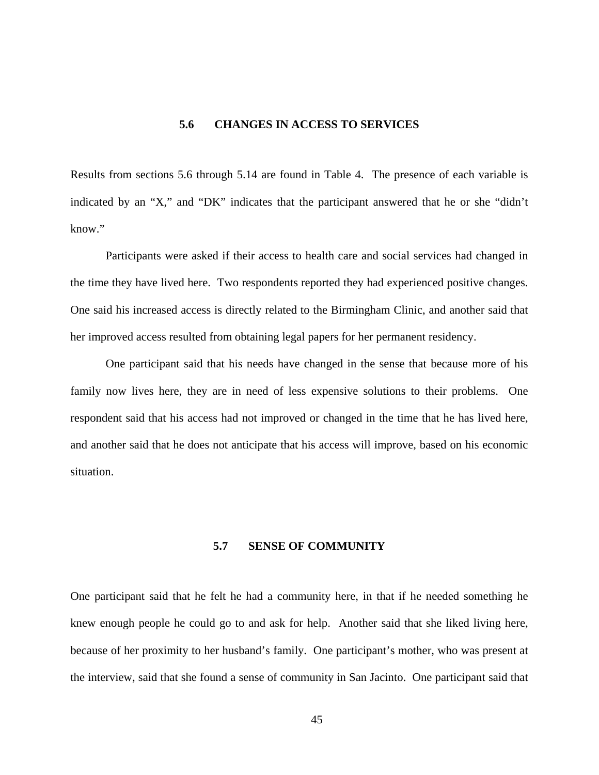# **5.6 CHANGES IN ACCESS TO SERVICES**

Results from sections 5.6 through 5.14 are found in Table 4. The presence of each variable is indicated by an "X," and "DK" indicates that the participant answered that he or she "didn't know."

Participants were asked if their access to health care and social services had changed in the time they have lived here. Two respondents reported they had experienced positive changes. One said his increased access is directly related to the Birmingham Clinic, and another said that her improved access resulted from obtaining legal papers for her permanent residency.

One participant said that his needs have changed in the sense that because more of his family now lives here, they are in need of less expensive solutions to their problems. One respondent said that his access had not improved or changed in the time that he has lived here, and another said that he does not anticipate that his access will improve, based on his economic situation.

### **5.7 SENSE OF COMMUNITY**

One participant said that he felt he had a community here, in that if he needed something he knew enough people he could go to and ask for help. Another said that she liked living here, because of her proximity to her husband's family. One participant's mother, who was present at the interview, said that she found a sense of community in San Jacinto. One participant said that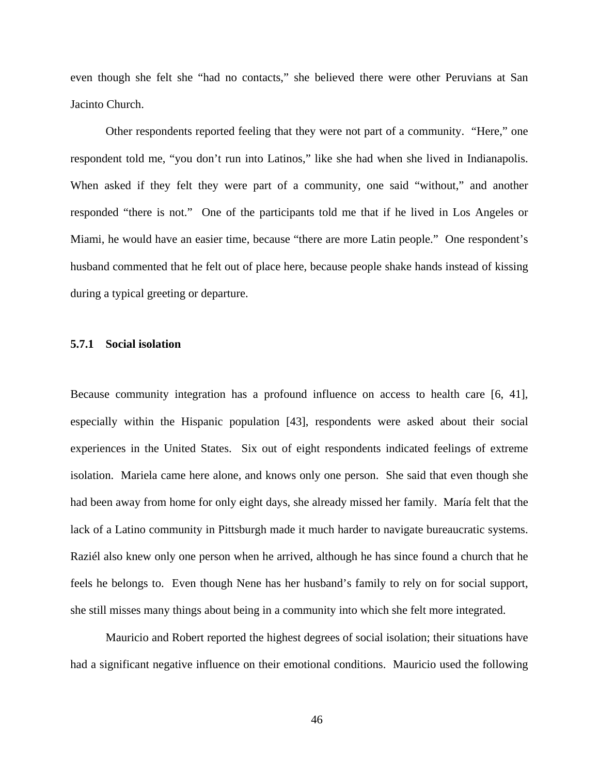even though she felt she "had no contacts," she believed there were other Peruvians at San Jacinto Church.

Other respondents reported feeling that they were not part of a community. "Here," one respondent told me, "you don't run into Latinos," like she had when she lived in Indianapolis. When asked if they felt they were part of a community, one said "without," and another responded "there is not." One of the participants told me that if he lived in Los Angeles or Miami, he would have an easier time, because "there are more Latin people." One respondent's husband commented that he felt out of place here, because people shake hands instead of kissing during a typical greeting or departure.

### **5.7.1 Social isolation**

Because community integration has a profound influence on access to health care [6, 41], especially within the Hispanic population [43], respondents were asked about their social experiences in the United States. Six out of eight respondents indicated feelings of extreme isolation. Mariela came here alone, and knows only one person. She said that even though she had been away from home for only eight days, she already missed her family. María felt that the lack of a Latino community in Pittsburgh made it much harder to navigate bureaucratic systems. Raziél also knew only one person when he arrived, although he has since found a church that he feels he belongs to. Even though Nene has her husband's family to rely on for social support, she still misses many things about being in a community into which she felt more integrated.

Mauricio and Robert reported the highest degrees of social isolation; their situations have had a significant negative influence on their emotional conditions. Mauricio used the following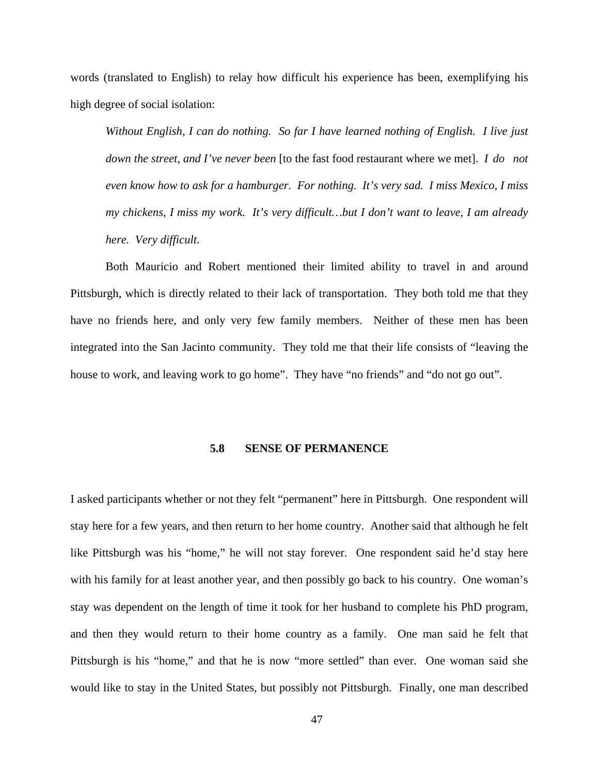words (translated to English) to relay how difficult his experience has been, exemplifying his high degree of social isolation:

*Without English, I can do nothing. So far I have learned nothing of English. I live just down the street, and I've never been* [to the fast food restaurant where we met]. *I do not even know how to ask for a hamburger. For nothing. It's very sad. I miss Mexico, I miss my chickens, I miss my work. It's very difficult…but I don't want to leave, I am already here. Very difficult.*

Both Mauricio and Robert mentioned their limited ability to travel in and around Pittsburgh, which is directly related to their lack of transportation. They both told me that they have no friends here, and only very few family members. Neither of these men has been integrated into the San Jacinto community. They told me that their life consists of "leaving the house to work, and leaving work to go home". They have "no friends" and "do not go out".

#### **5.8 SENSE OF PERMANENCE**

I asked participants whether or not they felt "permanent" here in Pittsburgh. One respondent will stay here for a few years, and then return to her home country. Another said that although he felt like Pittsburgh was his "home," he will not stay forever. One respondent said he'd stay here with his family for at least another year, and then possibly go back to his country. One woman's stay was dependent on the length of time it took for her husband to complete his PhD program, and then they would return to their home country as a family. One man said he felt that Pittsburgh is his "home," and that he is now "more settled" than ever. One woman said she would like to stay in the United States, but possibly not Pittsburgh. Finally, one man described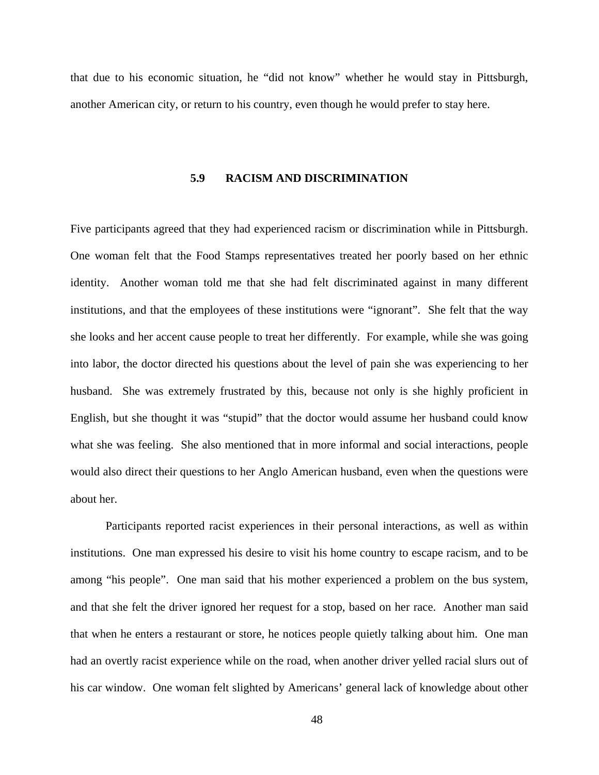that due to his economic situation, he "did not know" whether he would stay in Pittsburgh, another American city, or return to his country, even though he would prefer to stay here.

## **5.9 RACISM AND DISCRIMINATION**

Five participants agreed that they had experienced racism or discrimination while in Pittsburgh. One woman felt that the Food Stamps representatives treated her poorly based on her ethnic identity. Another woman told me that she had felt discriminated against in many different institutions, and that the employees of these institutions were "ignorant". She felt that the way she looks and her accent cause people to treat her differently. For example, while she was going into labor, the doctor directed his questions about the level of pain she was experiencing to her husband. She was extremely frustrated by this, because not only is she highly proficient in English, but she thought it was "stupid" that the doctor would assume her husband could know what she was feeling. She also mentioned that in more informal and social interactions, people would also direct their questions to her Anglo American husband, even when the questions were about her.

Participants reported racist experiences in their personal interactions, as well as within institutions. One man expressed his desire to visit his home country to escape racism, and to be among "his people". One man said that his mother experienced a problem on the bus system, and that she felt the driver ignored her request for a stop, based on her race. Another man said that when he enters a restaurant or store, he notices people quietly talking about him. One man had an overtly racist experience while on the road, when another driver yelled racial slurs out of his car window. One woman felt slighted by Americans' general lack of knowledge about other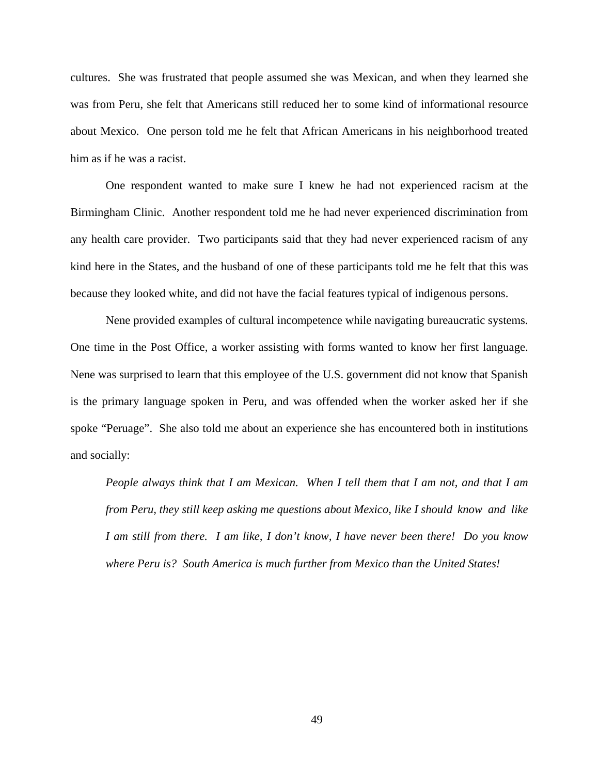cultures. She was frustrated that people assumed she was Mexican, and when they learned she was from Peru, she felt that Americans still reduced her to some kind of informational resource about Mexico. One person told me he felt that African Americans in his neighborhood treated him as if he was a racist.

One respondent wanted to make sure I knew he had not experienced racism at the Birmingham Clinic. Another respondent told me he had never experienced discrimination from any health care provider. Two participants said that they had never experienced racism of any kind here in the States, and the husband of one of these participants told me he felt that this was because they looked white, and did not have the facial features typical of indigenous persons.

Nene provided examples of cultural incompetence while navigating bureaucratic systems. One time in the Post Office, a worker assisting with forms wanted to know her first language. Nene was surprised to learn that this employee of the U.S. government did not know that Spanish is the primary language spoken in Peru, and was offended when the worker asked her if she spoke "Peruage". She also told me about an experience she has encountered both in institutions and socially:

*People always think that I am Mexican. When I tell them that I am not, and that I am from Peru, they still keep asking me questions about Mexico, like I should know and like I am still from there. I am like, I don't know, I have never been there! Do you know where Peru is? South America is much further from Mexico than the United States!*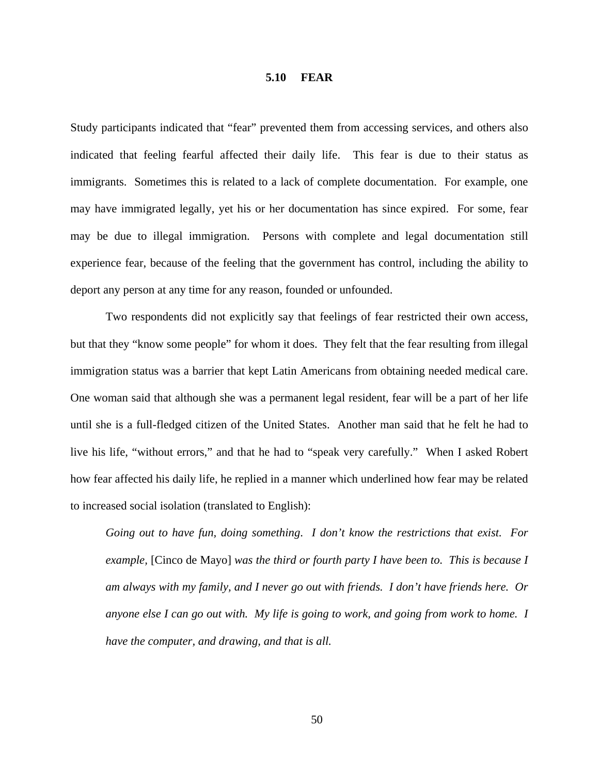#### **5.10 FEAR**

Study participants indicated that "fear" prevented them from accessing services, and others also indicated that feeling fearful affected their daily life. This fear is due to their status as immigrants. Sometimes this is related to a lack of complete documentation. For example, one may have immigrated legally, yet his or her documentation has since expired. For some, fear may be due to illegal immigration. Persons with complete and legal documentation still experience fear, because of the feeling that the government has control, including the ability to deport any person at any time for any reason, founded or unfounded.

Two respondents did not explicitly say that feelings of fear restricted their own access, but that they "know some people" for whom it does. They felt that the fear resulting from illegal immigration status was a barrier that kept Latin Americans from obtaining needed medical care. One woman said that although she was a permanent legal resident, fear will be a part of her life until she is a full-fledged citizen of the United States. Another man said that he felt he had to live his life, "without errors," and that he had to "speak very carefully." When I asked Robert how fear affected his daily life, he replied in a manner which underlined how fear may be related to increased social isolation (translated to English):

*Going out to have fun, doing something*. *I don't know the restrictions that exist. For example,* [Cinco de Mayo] *was the third or fourth party I have been to*. *This is because I am always with my family, and I never go out with friends. I don't have friends here. Or anyone else I can go out with. My life is going to work, and going from work to home. I have the computer, and drawing, and that is all.*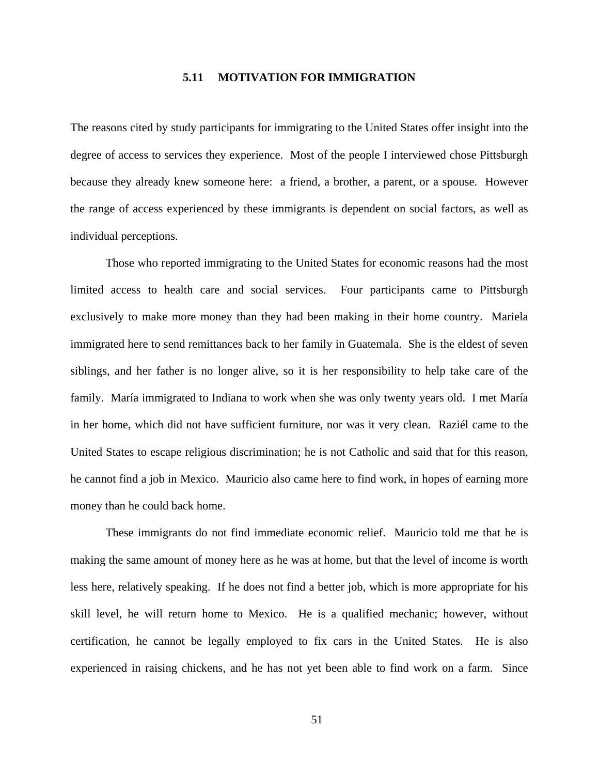### **5.11 MOTIVATION FOR IMMIGRATION**

The reasons cited by study participants for immigrating to the United States offer insight into the degree of access to services they experience. Most of the people I interviewed chose Pittsburgh because they already knew someone here: a friend, a brother, a parent, or a spouse. However the range of access experienced by these immigrants is dependent on social factors, as well as individual perceptions.

Those who reported immigrating to the United States for economic reasons had the most limited access to health care and social services. Four participants came to Pittsburgh exclusively to make more money than they had been making in their home country. Mariela immigrated here to send remittances back to her family in Guatemala. She is the eldest of seven siblings, and her father is no longer alive, so it is her responsibility to help take care of the family. María immigrated to Indiana to work when she was only twenty years old. I met María in her home, which did not have sufficient furniture, nor was it very clean. Raziél came to the United States to escape religious discrimination; he is not Catholic and said that for this reason, he cannot find a job in Mexico. Mauricio also came here to find work, in hopes of earning more money than he could back home.

These immigrants do not find immediate economic relief. Mauricio told me that he is making the same amount of money here as he was at home, but that the level of income is worth less here, relatively speaking. If he does not find a better job, which is more appropriate for his skill level, he will return home to Mexico. He is a qualified mechanic; however, without certification, he cannot be legally employed to fix cars in the United States. He is also experienced in raising chickens, and he has not yet been able to find work on a farm. Since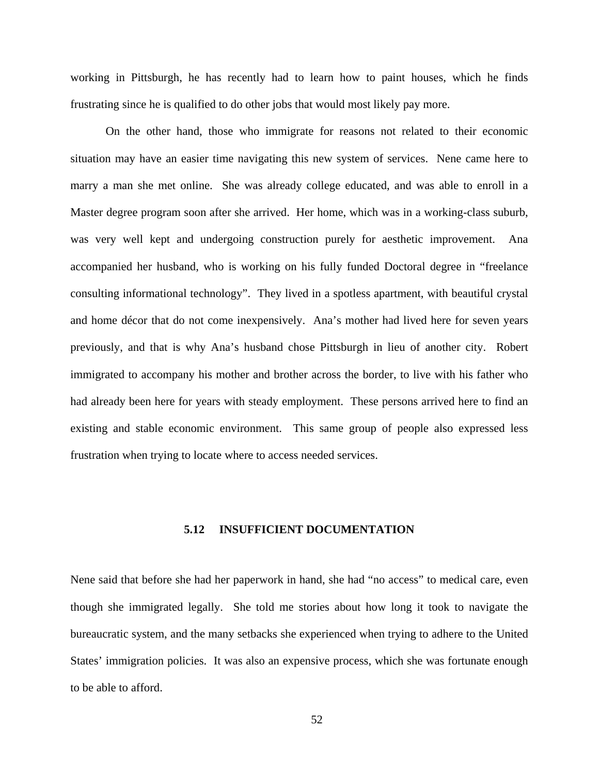working in Pittsburgh, he has recently had to learn how to paint houses, which he finds frustrating since he is qualified to do other jobs that would most likely pay more.

On the other hand, those who immigrate for reasons not related to their economic situation may have an easier time navigating this new system of services. Nene came here to marry a man she met online. She was already college educated, and was able to enroll in a Master degree program soon after she arrived. Her home, which was in a working-class suburb, was very well kept and undergoing construction purely for aesthetic improvement. Ana accompanied her husband, who is working on his fully funded Doctoral degree in "freelance consulting informational technology". They lived in a spotless apartment, with beautiful crystal and home décor that do not come inexpensively. Ana's mother had lived here for seven years previously, and that is why Ana's husband chose Pittsburgh in lieu of another city. Robert immigrated to accompany his mother and brother across the border, to live with his father who had already been here for years with steady employment. These persons arrived here to find an existing and stable economic environment. This same group of people also expressed less frustration when trying to locate where to access needed services.

## **5.12 INSUFFICIENT DOCUMENTATION**

Nene said that before she had her paperwork in hand, she had "no access" to medical care, even though she immigrated legally. She told me stories about how long it took to navigate the bureaucratic system, and the many setbacks she experienced when trying to adhere to the United States' immigration policies. It was also an expensive process, which she was fortunate enough to be able to afford.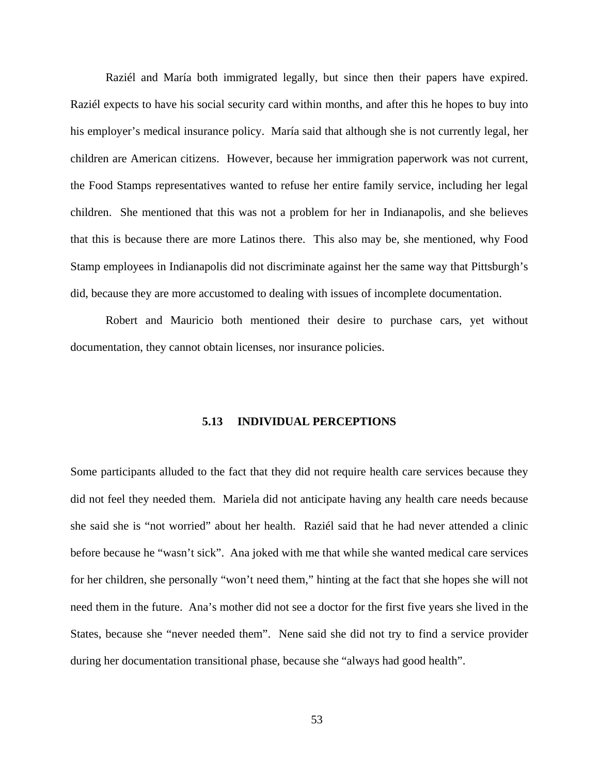Raziél and María both immigrated legally, but since then their papers have expired. Raziél expects to have his social security card within months, and after this he hopes to buy into his employer's medical insurance policy. María said that although she is not currently legal, her children are American citizens. However, because her immigration paperwork was not current, the Food Stamps representatives wanted to refuse her entire family service, including her legal children. She mentioned that this was not a problem for her in Indianapolis, and she believes that this is because there are more Latinos there. This also may be, she mentioned, why Food Stamp employees in Indianapolis did not discriminate against her the same way that Pittsburgh's did, because they are more accustomed to dealing with issues of incomplete documentation.

Robert and Mauricio both mentioned their desire to purchase cars, yet without documentation, they cannot obtain licenses, nor insurance policies.

## **5.13 INDIVIDUAL PERCEPTIONS**

Some participants alluded to the fact that they did not require health care services because they did not feel they needed them. Mariela did not anticipate having any health care needs because she said she is "not worried" about her health. Raziél said that he had never attended a clinic before because he "wasn't sick". Ana joked with me that while she wanted medical care services for her children, she personally "won't need them," hinting at the fact that she hopes she will not need them in the future. Ana's mother did not see a doctor for the first five years she lived in the States, because she "never needed them". Nene said she did not try to find a service provider during her documentation transitional phase, because she "always had good health".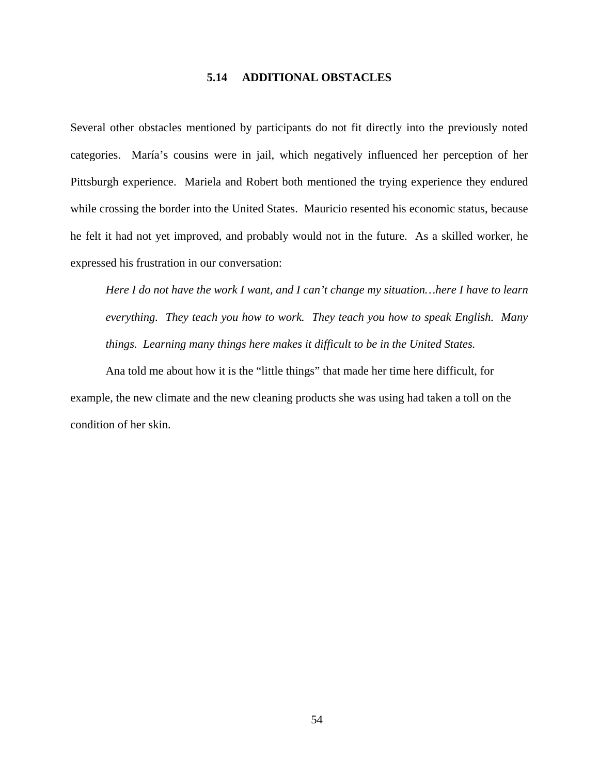### **5.14 ADDITIONAL OBSTACLES**

Several other obstacles mentioned by participants do not fit directly into the previously noted categories. María's cousins were in jail, which negatively influenced her perception of her Pittsburgh experience. Mariela and Robert both mentioned the trying experience they endured while crossing the border into the United States. Mauricio resented his economic status, because he felt it had not yet improved, and probably would not in the future. As a skilled worker, he expressed his frustration in our conversation:

*Here I do not have the work I want, and I can't change my situation…here I have to learn everything. They teach you how to work. They teach you how to speak English. Many things. Learning many things here makes it difficult to be in the United States.* 

Ana told me about how it is the "little things" that made her time here difficult, for example, the new climate and the new cleaning products she was using had taken a toll on the condition of her skin.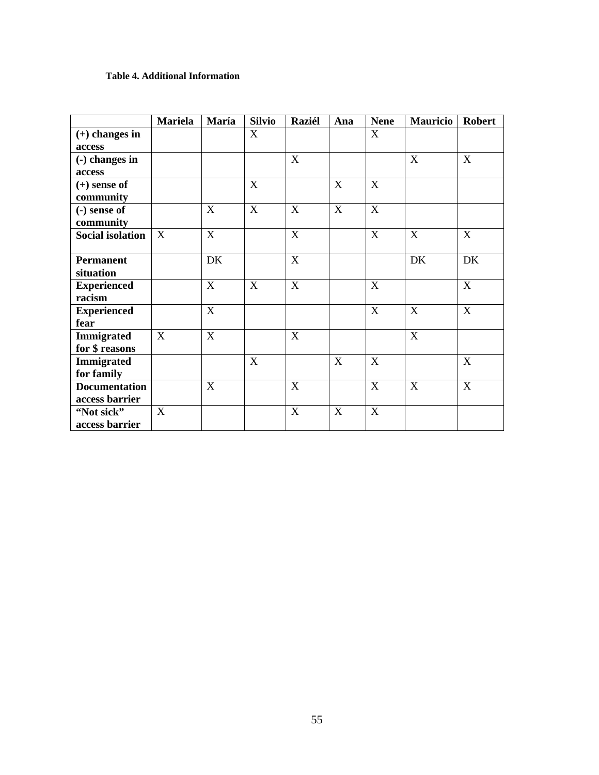## **Table 4. Additional Information**

|                                        | <b>Mariela</b> | María       | <b>Silvio</b> | <b>Raziél</b> | Ana         | <b>Nene</b> | <b>Mauricio</b> | <b>Robert</b> |
|----------------------------------------|----------------|-------------|---------------|---------------|-------------|-------------|-----------------|---------------|
| $(+)$ changes in<br>access             |                |             | X             |               |             | X           |                 |               |
| $(-)$ changes in<br>access             |                |             |               | X             |             |             | X               | X             |
| $(+)$ sense of<br>community            |                |             | X             |               | X           | X           |                 |               |
| $(-)$ sense of<br>community            |                | X           | X             | X             | X           | X           |                 |               |
| <b>Social isolation</b>                | X              | X           |               | X             |             | X           | X               | X             |
| <b>Permanent</b><br>situation          |                | DK          |               | X             |             |             | DK              | DK            |
| <b>Experienced</b><br>racism           |                | X           | X             | X             |             | X           |                 | $\mathbf{X}$  |
| <b>Experienced</b><br>fear             |                | $\mathbf X$ |               |               |             | X           | X               | $\mathbf X$   |
| <b>Immigrated</b><br>for \$ reasons    | X              | X           |               | X             |             |             | $\mathbf X$     |               |
| <b>Immigrated</b><br>for family        |                |             | $\mathbf X$   |               | X           | $\mathbf X$ |                 | X             |
| <b>Documentation</b><br>access barrier |                | X           |               | $\mathbf X$   |             | $\mathbf X$ | $\mathbf X$     | $\mathbf X$   |
| "Not sick"<br>access barrier           | X              |             |               | $\mathbf X$   | $\mathbf X$ | $\mathbf X$ |                 |               |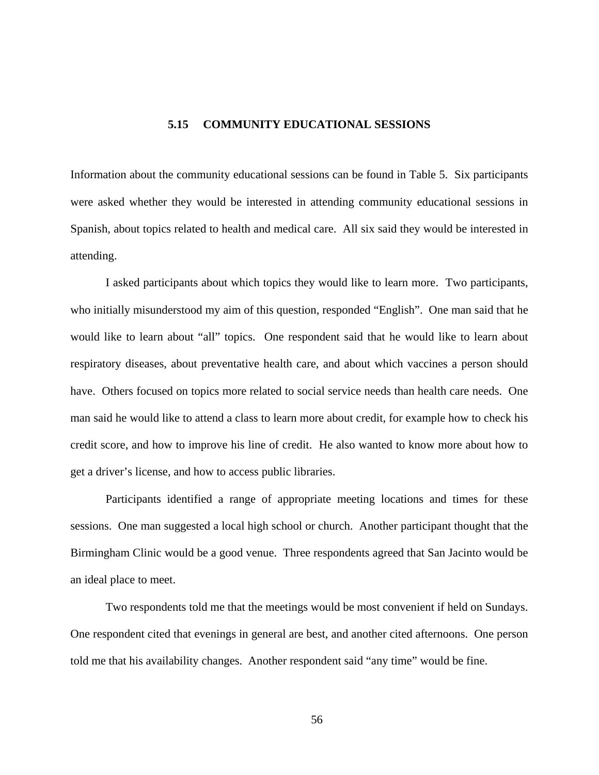### **5.15 COMMUNITY EDUCATIONAL SESSIONS**

Information about the community educational sessions can be found in Table 5. Six participants were asked whether they would be interested in attending community educational sessions in Spanish, about topics related to health and medical care. All six said they would be interested in attending.

I asked participants about which topics they would like to learn more. Two participants, who initially misunderstood my aim of this question, responded "English". One man said that he would like to learn about "all" topics. One respondent said that he would like to learn about respiratory diseases, about preventative health care, and about which vaccines a person should have. Others focused on topics more related to social service needs than health care needs. One man said he would like to attend a class to learn more about credit, for example how to check his credit score, and how to improve his line of credit. He also wanted to know more about how to get a driver's license, and how to access public libraries.

Participants identified a range of appropriate meeting locations and times for these sessions. One man suggested a local high school or church. Another participant thought that the Birmingham Clinic would be a good venue. Three respondents agreed that San Jacinto would be an ideal place to meet.

Two respondents told me that the meetings would be most convenient if held on Sundays. One respondent cited that evenings in general are best, and another cited afternoons. One person told me that his availability changes. Another respondent said "any time" would be fine.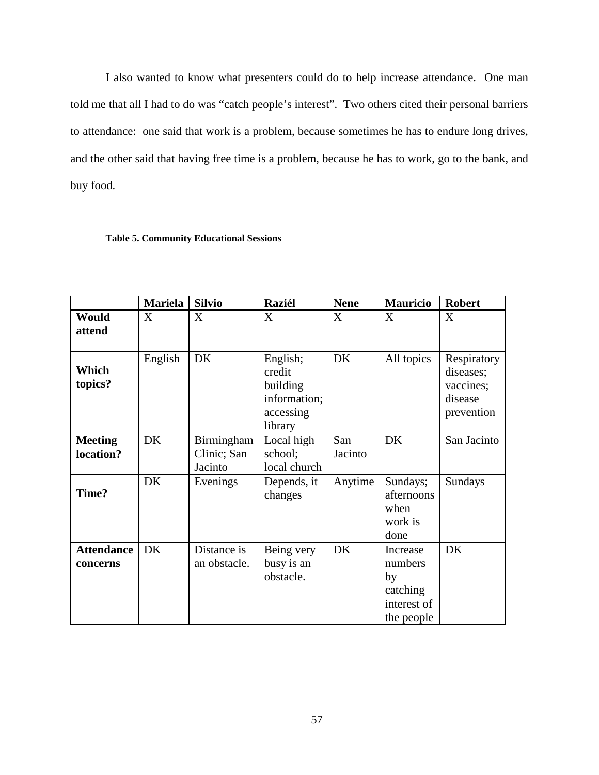I also wanted to know what presenters could do to help increase attendance. One man told me that all I had to do was "catch people's interest". Two others cited their personal barriers to attendance: one said that work is a problem, because sometimes he has to endure long drives, and the other said that having free time is a problem, because he has to work, go to the bank, and buy food.

#### **Table 5. Community Educational Sessions**

|                               | <b>Mariela</b> | <b>Silvio</b>                        | <b>Raziél</b>                                                          | <b>Nene</b>    | <b>Mauricio</b>                                                    | <b>Robert</b>                                                  |
|-------------------------------|----------------|--------------------------------------|------------------------------------------------------------------------|----------------|--------------------------------------------------------------------|----------------------------------------------------------------|
| Would<br>attend               | X              | X                                    | X                                                                      | X              | X                                                                  | X                                                              |
| Which<br>topics?              | English        | <b>DK</b>                            | English;<br>credit<br>building<br>information;<br>accessing<br>library | DK             | All topics                                                         | Respiratory<br>diseases;<br>vaccines;<br>disease<br>prevention |
| <b>Meeting</b><br>location?   | DK             | Birmingham<br>Clinic; San<br>Jacinto | Local high<br>school;<br>local church                                  | San<br>Jacinto | DK                                                                 | San Jacinto                                                    |
| Time?                         | DK             | Evenings                             | Depends, it<br>changes                                                 | Anytime        | Sundays;<br>afternoons<br>when<br>work is<br>done                  | Sundays                                                        |
| <b>Attendance</b><br>concerns | DK             | Distance is<br>an obstacle.          | Being very<br>busy is an<br>obstacle.                                  | DK             | Increase<br>numbers<br>by<br>catching<br>interest of<br>the people | DK                                                             |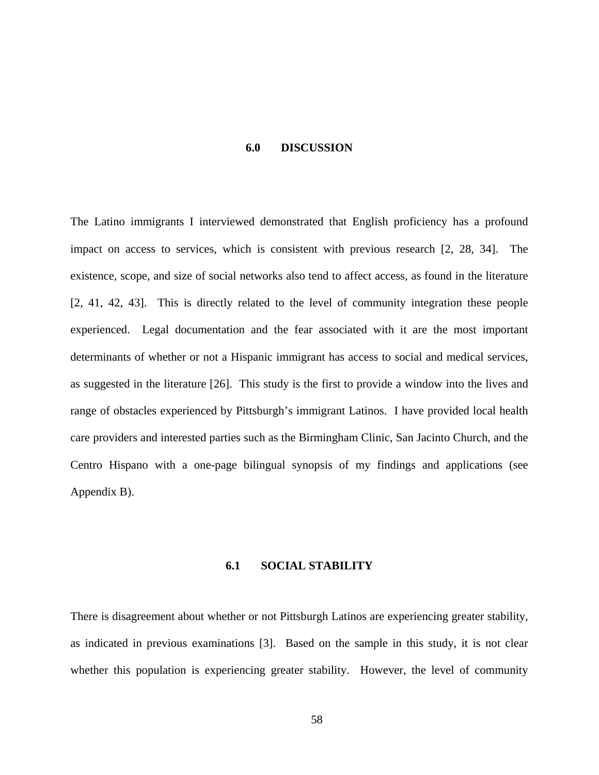#### **6.0 DISCUSSION**

The Latino immigrants I interviewed demonstrated that English proficiency has a profound impact on access to services, which is consistent with previous research [2, 28, 34]. The existence, scope, and size of social networks also tend to affect access, as found in the literature [2, 41, 42, 43]. This is directly related to the level of community integration these people experienced. Legal documentation and the fear associated with it are the most important determinants of whether or not a Hispanic immigrant has access to social and medical services, as suggested in the literature [26]. This study is the first to provide a window into the lives and range of obstacles experienced by Pittsburgh's immigrant Latinos. I have provided local health care providers and interested parties such as the Birmingham Clinic, San Jacinto Church, and the Centro Hispano with a one-page bilingual synopsis of my findings and applications (see Appendix B).

## **6.1 SOCIAL STABILITY**

There is disagreement about whether or not Pittsburgh Latinos are experiencing greater stability, as indicated in previous examinations [3]. Based on the sample in this study, it is not clear whether this population is experiencing greater stability. However, the level of community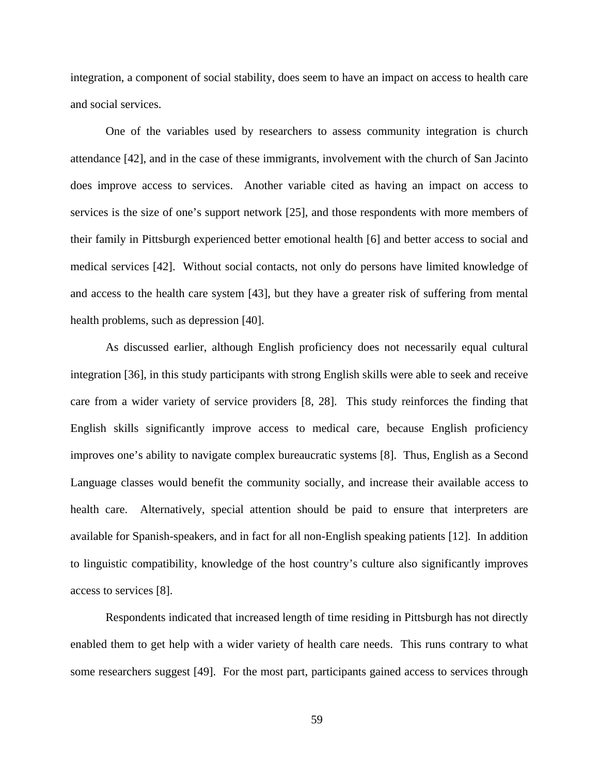integration, a component of social stability, does seem to have an impact on access to health care and social services.

One of the variables used by researchers to assess community integration is church attendance [42], and in the case of these immigrants, involvement with the church of San Jacinto does improve access to services. Another variable cited as having an impact on access to services is the size of one's support network [25], and those respondents with more members of their family in Pittsburgh experienced better emotional health [6] and better access to social and medical services [42]. Without social contacts, not only do persons have limited knowledge of and access to the health care system [43], but they have a greater risk of suffering from mental health problems, such as depression [40].

Language classes would benefit the community socially, and increase their available access to health care. Alternatively, special attention should be paid to ensure that interpreters are available for Spanish-speakers, and in fact for all non-English speaking patients [12]. In addition to linguistic compatibility, knowledge of the host country's culture also significantly improves access to services [8]. As discussed earlier, although English proficiency does not necessarily equal cultural integration [36], in this study participants with strong English skills were able to seek and receive care from a wider variety of service providers [8, 28]. This study reinforces the finding that English skills significantly improve access to medical care, because English proficiency improves one's ability to navigate complex bureaucratic systems [8]. Thus, English as a Second

Respondents indicated that increased length of time residing in Pittsburgh has not directly enabled them to get help with a wider variety of health care needs. This runs contrary to what some researchers suggest [49]. For the most part, participants gained access to services through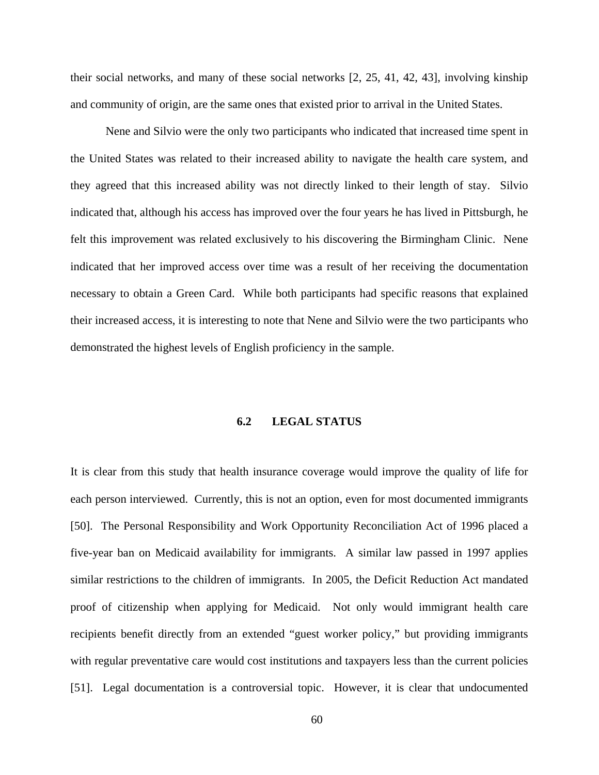their social networks, and many of these social networks [2, 25, 41, 42, 43], involving kinship and community of origin, are the same ones that existed prior to arrival in the United States.

their increased access, it is interesting to note that Nene and Silvio were the two participants who demons trated the highest levels of English proficiency in the sample. Nene and Silvio were the only two participants who indicated that increased time spent in the United States was related to their increased ability to navigate the health care system, and they agreed that this increased ability was not directly linked to their length of stay. Silvio indicated that, although his access has improved over the four years he has lived in Pittsburgh, he felt this improvement was related exclusively to his discovering the Birmingham Clinic. Nene indicated that her improved access over time was a result of her receiving the documentation necessary to obtain a Green Card. While both participants had specific reasons that explained

## **6.2 LEGAL STATUS**

each person interviewed. Currently, this is not an option, even for most documented immigrants [50]. The Personal Responsibility and Work Opportunity Reconciliation Act of 1996 placed a five-year ban on Medicaid availability for immigrants. A similar law passed in 1997 applies similar restrictions to the children of immigrants. In 2005, the Deficit Reduction Act mandated proof of citizenship when applying for Medicaid. Not only would immigrant health care recipients benefit directly from an extended "guest worker policy," but providing immigrants with regular preventative care would cost institutions and taxpayers less than the current policies [51]. Legal documentation is a controversial topic. However, it is clear that undocumented It is clear from this study that health insurance coverage would improve the quality of life for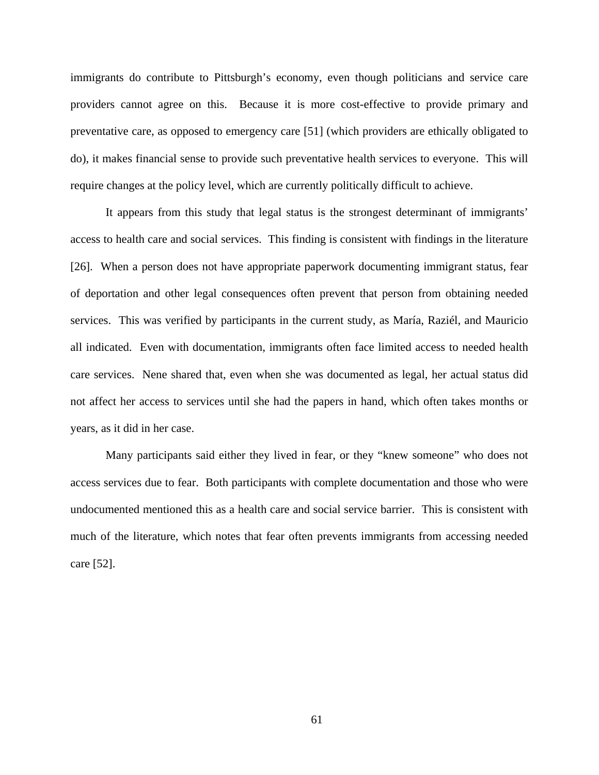immigrants do contribute to Pittsburgh's economy, even though politicians and service care providers cannot agree on this. Because it is more cost-effective to provide primary and prevent ative care, as opposed to emergency care [51] (which providers are ethically obligated to do), it makes financial sense to provide such preventative health services to everyone. This will require changes at the policy level, which are currently politically difficult to achieve.

all indicated. Even with documentation, immigrants often face limited access to needed health care services. Nene shared that, even when she was documented as legal, her actual status did not affect her access to services until she had the papers in hand, which often takes months or years, as it did in her case. It appears from this study that legal status is the strongest determinant of immigrants' access to health care and social services. This finding is consistent with findings in the literature [26]. When a person does not have appropriate paperwork documenting immigrant status, fear of deportation and other legal consequences often prevent that person from obtaining needed services. This was verified by participants in the current study, as María, Raziél, and Mauricio

Many participants said either they lived in fear, or they "knew someone" who does not access services due to fear. Both participants with complete documentation and those who were undocumented mentioned this as a health care and social service barrier. This is consistent with care [52]. much of the literature, which notes that fear often prevents immigrants from accessing needed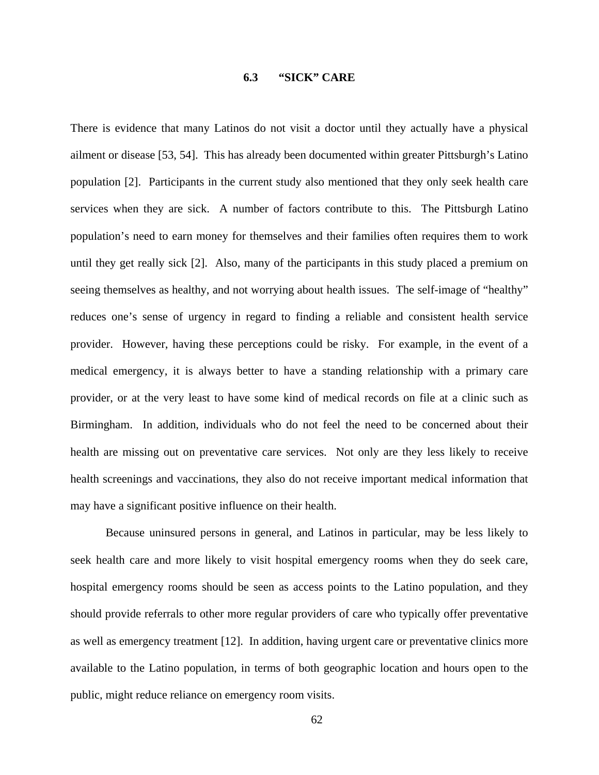## **6.3 "SICK" CARE**

There is evidence that many Latinos do not visit a doctor until they actually have a physical ailment or disease [53, 54]. This has already been documented within greater Pittsburgh's Latino population [2]. Participants in the current study also mentioned that they only seek health care service s when they are sick. A number of factors contribute to this. The Pittsburgh Latino Birmingham. In addition, individuals who do not feel the need to be concerned about their health are missing out on preventative care services. Not only are they less likely to receive population's need to earn money for themselves and their families often requires them to work until they get really sick [2]. Also, many of the participants in this study placed a premium on seeing themselves as healthy, and not worrying about health issues. The self-image of "healthy" reduces one's sense of urgency in regard to finding a reliable and consistent health service provider. However, having these perceptions could be risky. For example, in the event of a medical emergency, it is always better to have a standing relationship with a primary care provider, or at the very least to have some kind of medical records on file at a clinic such as health screenings and vaccinations, they also do not receive important medical information that may have a significant positive influence on their health.

seek health care and more likely to visit hospital emergency rooms when they do seek care, hospital emergency rooms should be seen as access points to the Latino population, and they should provide referrals to other more regular providers of care who typically offer preventative as well as emergency treatment [12]. In addition, having urgent care or preventative clinics more available to the Latino population, in terms of both geographic location and hours open to the public, might reduce reliance on emergency room visits. Because uninsured persons in general, and Latinos in particular, may be less likely to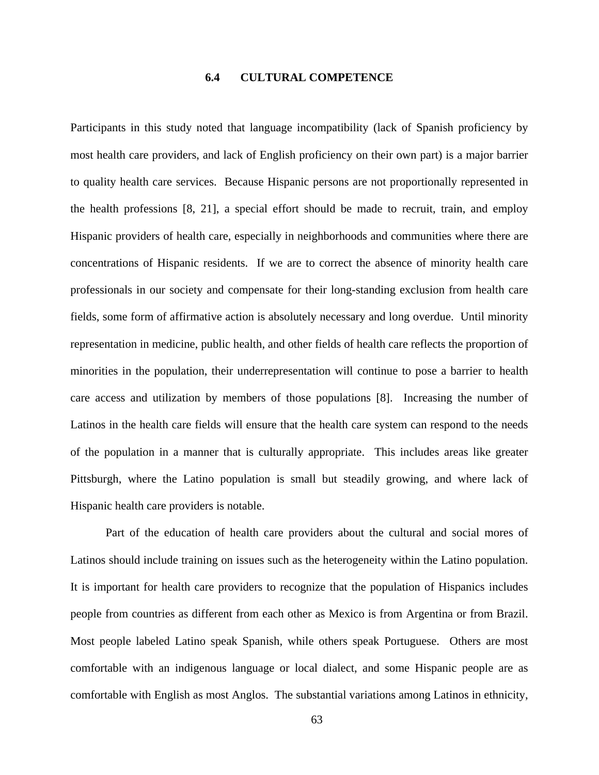### **6.4 CULTURAL COMPETENCE**

Participants in this study noted that language incompatibility (lack of Spanish proficiency by most health care providers, and lack of English proficiency on their own part) is a major barrier to quality health care services. Because Hispanic persons are not proportionally represented in the health professions [8, 21], a special effort should be made to recruit, train, and employ Hispanic providers of health care, especially in neighborhoods and communities where there are concentrations of Hispanic residents. If we are to correct the absence of minority health care professionals in our society and compensate for their long-standing exclusion from health care fields, some form of affirmative action is absolutely necessary and long overdue. Until minority representation in medicine, public health, and other fields of health care reflects the proportion of minorities in the population, their underrepresentation will continue to pose a barrier to health care access and utilization by members of those populations [8]. Increasing the number of Latinos in the health care fields will ensure that the health care system can respond to the needs of the population in a manner that is culturally appropriate. This includes areas like greater Pittsburgh, where the Latino population is small but steadily growing, and where lack of Hispanic health care providers is notable.

comfortable with English as most Anglos. The substantial variations among Latinos in ethnicity, Part of the education of health care providers about the cultural and social mores of Latinos should include training on issues such as the heterogeneity within the Latino population. It is important for health care providers to recognize that the population of Hispanics includes people from countries as different from each other as Mexico is from Argentina or from Brazil. Most people labeled Latino speak Spanish, while others speak Portuguese. Others are most comfortable with an indigenous language or local dialect, and some Hispanic people are as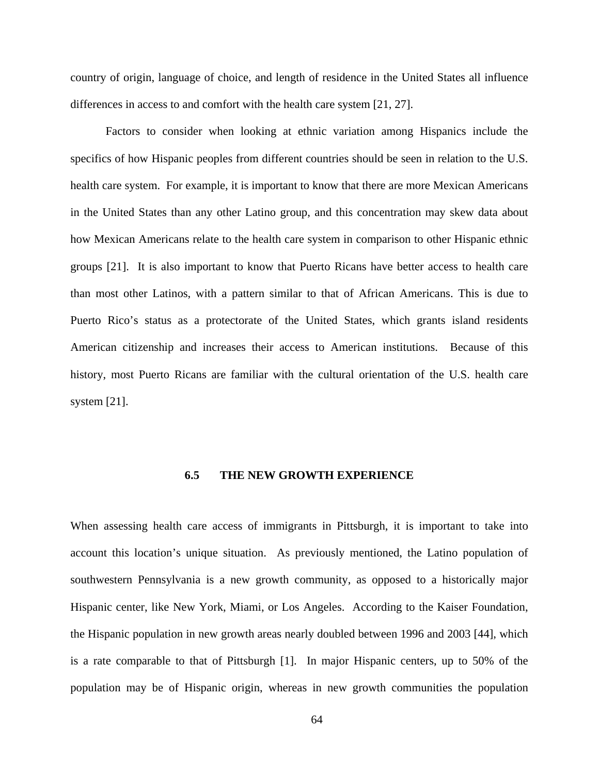country of origin, language of choice, and length of residence in the United States all influence differences in access to and comfort with the health care system [21, 27].

Factors to consider when looking at ethnic variation among Hispanics include the specifics of how Hispanic peoples from different countries should be seen in relation to the U.S. health care system. For example, it is important to know that there are more Mexican Americans in the United States than any other Latino group, and this concentration may skew data about how Mexican Americans relate to the health care system in comparison to other Hispanic ethnic groups [21]. It is also important to know that Puerto Ricans have better access to health care than most other Latinos, with a pattern similar to that of African Americans. This is due to Puerto Rico's status as a protectorate of the United States, which grants island residents American citizenship and increases their access to American institutions. Because of this history, most Puerto Ricans are familiar with the cultural orientation of the U.S. health care system [21].

### **6.5 THE NEW GROWTH EXPERIENCE**

When assessing health care access of immigrants in Pittsburgh, it is important to take into account this location's unique situation. As previously mentioned, the Latino population of southwestern Pennsylvania is a new growth community, as opposed to a historically major Hispanic center, like New York, Miami, or Los Angeles. According to the Kaiser Foundation, the Hispanic population in new growth areas nearly doubled between 1996 and 2003 [44], which is a rate comparable to that of Pittsburgh [1]. In major Hispanic centers, up to 50% of the population may be of Hispanic origin, whereas in new growth communities the population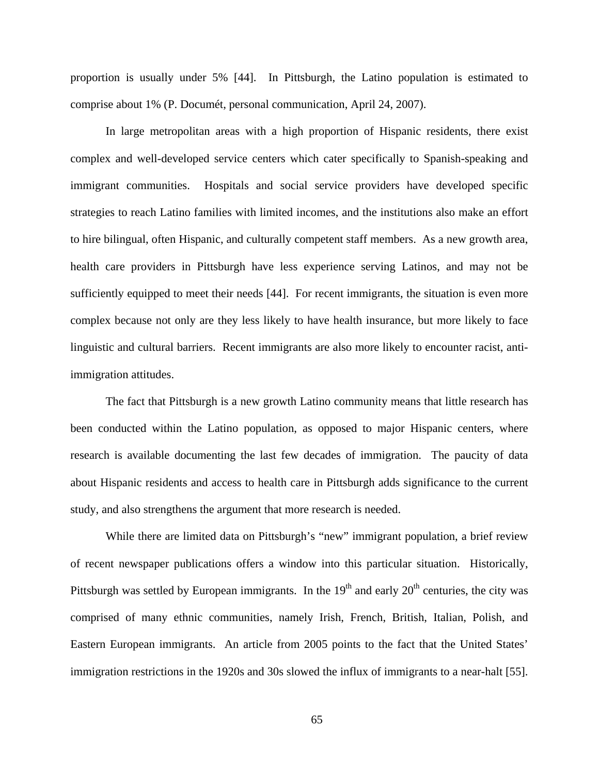proportion is usually under 5% [44]. In Pittsburgh, the Latino population is estimated to comprise about 1% (P. Documét, personal communication, April 24, 2007).

In large metropolitan areas with a high proportion of Hispanic residents, there exist complex and well-developed service centers which cater specifically to Spanish-speaking and immigrant communities. Hospitals and social service providers have developed specific strategies to reach Latino families with limited incomes, and the institutions also make an effort to hire bilingual, often Hispanic, and culturally competent staff members. As a new growth area, health care providers in Pittsburgh have less experience serving Latinos, and may not be sufficiently equipped to meet their needs [44]. For recent immigrants, the situation is even more complex because not only are they less likely to have health insurance, but more likely to face linguistic and cultural barriers. Recent immigrants are also more likely to encounter racist, antiimmigration attitudes.

The fact that Pittsburgh is a new growth Latino community means that little research has been conducted within the Latino population, as opposed to major Hispanic centers, where research is available documenting the last few decades of immigration. The paucity of data about Hispanic residents and access to health care in Pittsburgh adds significance to the current study, and also strengthens the argument that more research is needed.

of recent newspaper publications offers a window into this particular situation. Historically, Pittsburgh was settled by European immigrants. In the  $19<sup>th</sup>$  and early  $20<sup>th</sup>$  centuries, the city was comprised of many ethnic communities, namely Irish, French, British, Italian, Polish, and Eastern European immigrants. An article from 2005 points to the fact that the United States' While there are limited data on Pittsburgh's "new" immigrant population, a brief review immigration restrictions in the 1920s and 30s slowed the influx of immigrants to a near-halt [55].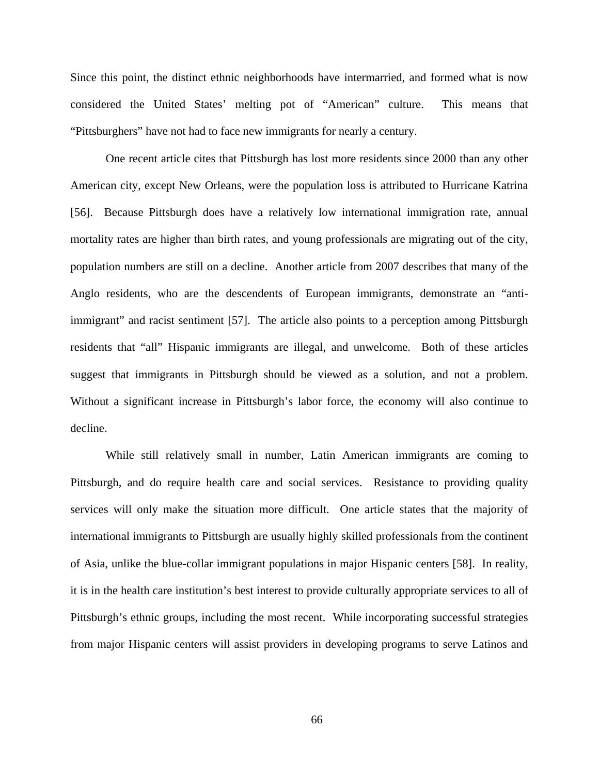Since this point, the distinct ethnic neighborhoods have intermarried, and formed what is now considered the United States' melting pot of "American" culture. This means that "Pittsburghers" have not had to face new immigrants for nearly a century.

suggest that immigrants in Pittsburgh should be viewed as a solution, and not a problem. Without a significant increase in Pittsburgh's labor force, the economy will also continue to One recent article cites that Pittsburgh has lost more residents since 2000 than any other American city, except New Orleans, were the population loss is attributed to Hurricane Katrina [56]. Because Pittsburgh does have a relatively low international immigration rate, annual mortality rates are higher than birth rates, and young professionals are migrating out of the city, population numbers are still on a decline. Another article from 2007 describes that many of the Anglo residents, who are the descendents of European immigrants, demonstrate an "antiimmigrant" and racist sentiment [57]. The article also points to a perception among Pittsburgh residents that "all" Hispanic immigrants are illegal, and unwelcome. Both of these articles decline.

services will only make the situation more difficult. One article states that the majority of interna tional immigrants to Pittsburgh are usually highly skilled professionals from the continent While still relatively small in number, Latin American immigrants are coming to Pittsburgh, and do require health care and social services. Resistance to providing quality of Asia, unlike the blue-collar immigrant populations in major Hispanic centers [58]. In reality, it is in the health care institution's best interest to provide culturally appropriate services to all of Pittsburgh's ethnic groups, including the most recent. While incorporating successful strategies from major Hispanic centers will assist providers in developing programs to serve Latinos and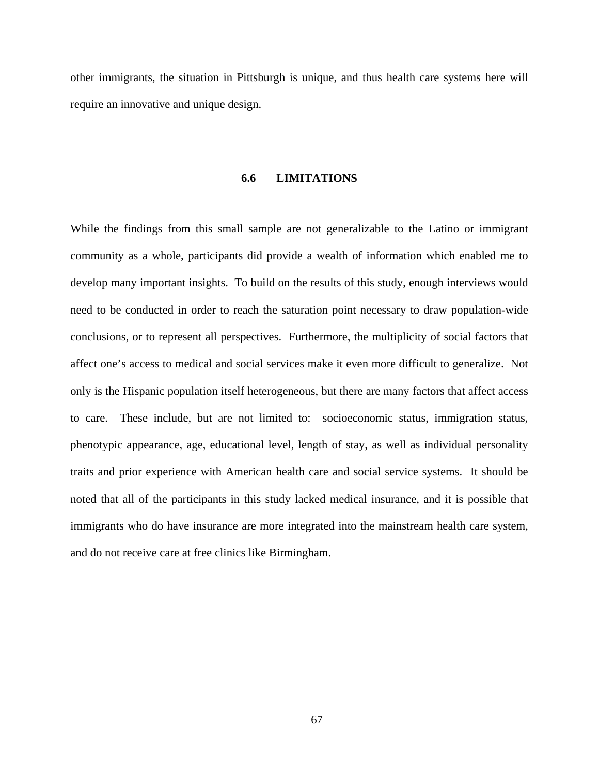other immigrants, the situation in Pittsburgh is unique, and thus health care systems here will require an innovative and unique design.

## **6.6 LIMITATIONS**

conclusions, or to represent all perspectives. Furthermore, the multiplicity of social factors that While the findings from this small sample are not generalizable to the Latino or immigrant community as a whole, participants did provide a wealth of information which enabled me to develop many important insights. To build on the results of this study, enough interviews would need to be conducted in order to reach the saturation point necessary to draw population-wide affect one's access to medical and social services make it even more difficult to generalize. Not only is the Hispanic population itself heterogeneous, but there are many factors that affect access to care. These include, but are not limited to: socioeconomic status, immigration status, phenotypic appearance, age, educational level, length of stay, as well as individual personality noted that all of the participants in this study lacked medical insurance, and it is possible that immigrants who do have insurance are more integrated into the mainstream health care system, and do not receive care at free clinics like Birmingham. traits and prior experience with American health care and social service systems. It should be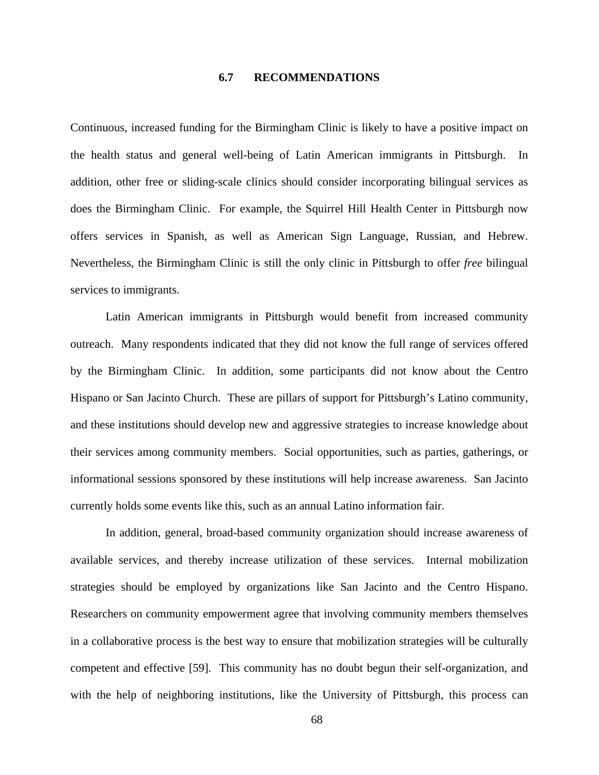## **6.7 RECOMMENDATIONS**

Continuous, increased funding for the Birmingham Clinic is likely to have a positive impact on the health status and general well-being of Latin American immigrants in Pittsburgh. In addition, other free or sliding-scale clinics should consider incorporating bilingual services as does the Birmingham Clinic. For example, the Squirrel Hill Health Center in Pittsburgh now offers services in Spanish, as well as American Sign Language, Russian, and Hebrew. Nevertheless, the Birmingham Clinic is still the only clinic in Pittsburgh to offer *free* bilingual services to immigrants.

Latin American immigrants in Pittsburgh would benefit from increased community outreach. Many respondents indicated that they did not know the full range of services offered by the Birmingham Clinic. In addition, some participants did not know about the Centro Hispano or San Jacinto Church. These are pillars of support for Pittsburgh's Latino community, and these institutions should develop new and aggressive strategies to increase knowledge about their services among community members. Social opportunities, such as parties, gatherings, or informational sessions sponsored by these institutions will help increase awareness. San Jacinto currently holds some events like this, such as an annual Latino information fair.

available services, and thereby increase utilization of these services. Internal mobilization strategies should be employed by organizations like San Jacinto and the Centro Hispano. Researchers on community empowerment agree that involving community members themselves in a collaborative process is the best way to ensure that mobilization strategies will be culturally competent and effective [59]. This community has no doubt begun their self-organization, and with the help of neighboring institutions, like the University of Pittsburgh, this process can In addition, general, broad-based community organization should increase awareness of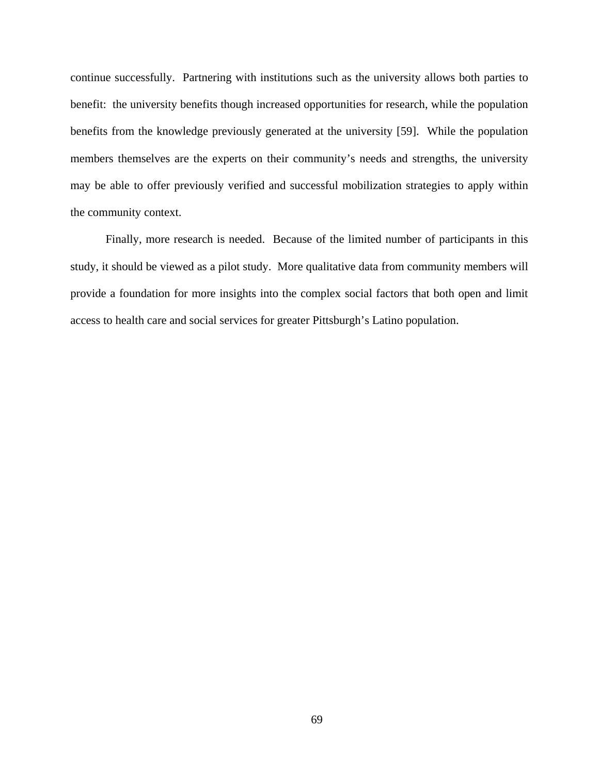continue successfully. Partnering with institutions such as the university allows both parties to benefit: the university benefits though increased opportunities for research, while the population benefits from the knowledge previously generated at the university [59]. While the population members themselves are the experts on their community's needs and strengths, the university may be able to offer previously verified and successful mobilization strategies to apply within the community context.

provide a foundation for more insights into the complex social factors that both open and limit access to health care and social services for greater Pittsburgh's Latino population. Finally, more research is needed. Because of the limited number of participants in this study, it should be viewed as a pilot study. More qualitative data from community members will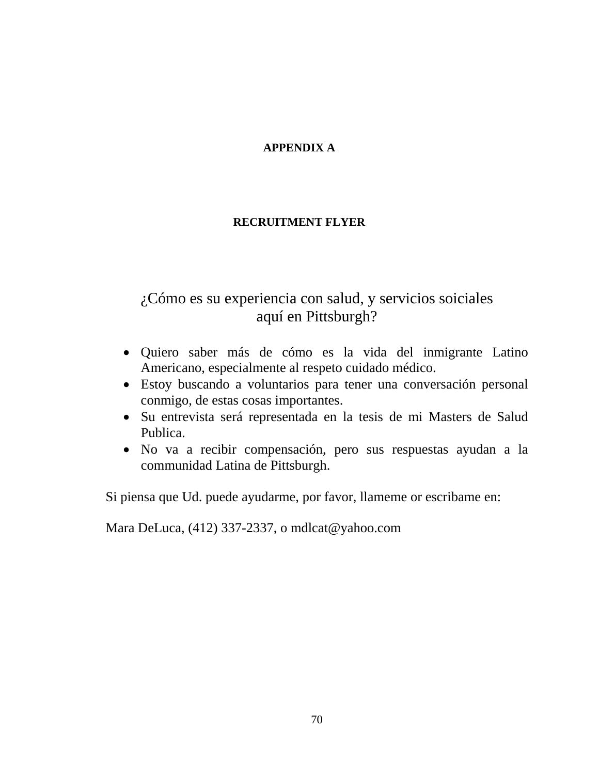## **APPENDIX A**

## **RECRUITMENT FLYER**

# ¿Cómo es su experiencia con salud, y servicios soiciales aquí en Pittsburgh?

- Quiero saber más de cómo es la vida del inmigrante Latino Americano, especialmente al respeto cuidado médico.
- Estoy buscando a voluntarios para tener una conversación personal conmigo, de estas cosas importantes.
- Su entrevista será representada en la tesis de mi Masters de Salud Publica.
- No va a recibir compensación, pero sus respuestas ayudan a la communidad Latina de Pittsburgh.

Si piensa que Ud. puede ayudarme, por favor, llameme or escribame en:

Mara DeLuca, (412) 337-2337, o mdlcat@yahoo.com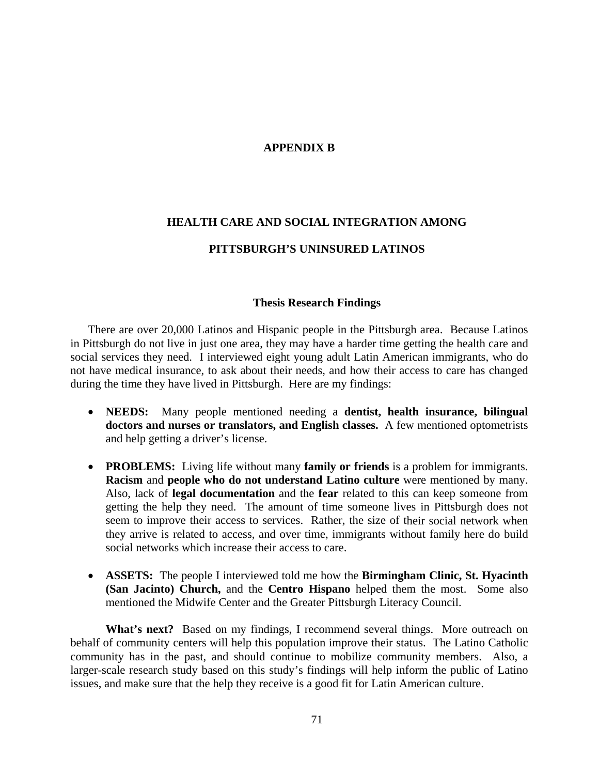## **APPENDIX B**

# **HEALTH CARE AND SOCIAL INTEGRATION AMONG PITTSBURGH'S UNINSURED LATINOS**

## **Thesis Research Findings**

There are over 20,000 Latinos and Hispanic people in the Pittsburgh area. Because Latinos in Pittsburg h do not live in just one area, they may have a harder time getting the health care and social serv ices they need. I interviewed eight young adult Latin American immigrants, who do not have medical insurance, to ask about their needs, and how their access to care has changed during the time they have lived in Pittsburgh. Here are my findings:

- **NE EDS:** Many people mentioned needing a **dentist, health insurance, bilingual doc tors and nurses or translators, and English classes.** A few mentioned optometrists and help getting a driver's license.
- **PROBLEMS:** Living life without many family or friends is a problem for immigrants. **acism** and **people who do not understand Latino culture** were mentioned by many. **R** Also, lack of legal documentation and the fear related to this can keep someone from seem to improve their access to services. Rather, the size of their social network when they arrive is related to access, and over time, immigrants without family here do build social networks which increase their access to care. getting the help they need. The amount of time someone lives in Pittsburgh does not
- **ASSETS:** The people I interviewed told me how the **Birmingham Clinic, St. Hyacinth (San Jacinto) Church,** and the **Centro Hispano** helped them the most. Some also mentioned the Midwife Center and the Greater Pittsburgh Literacy Council.

What's next? Based on my findings, I recommend several things. More outreach on behalf of community centers will help this population improve their status. The Latino Catholic community has in the past, and should continue to mobilize community members. Also, a larger-scale research study based on this study's findings will help inform the public of Latino issues, and make sure that the help they receive is a good fit for Latin American culture.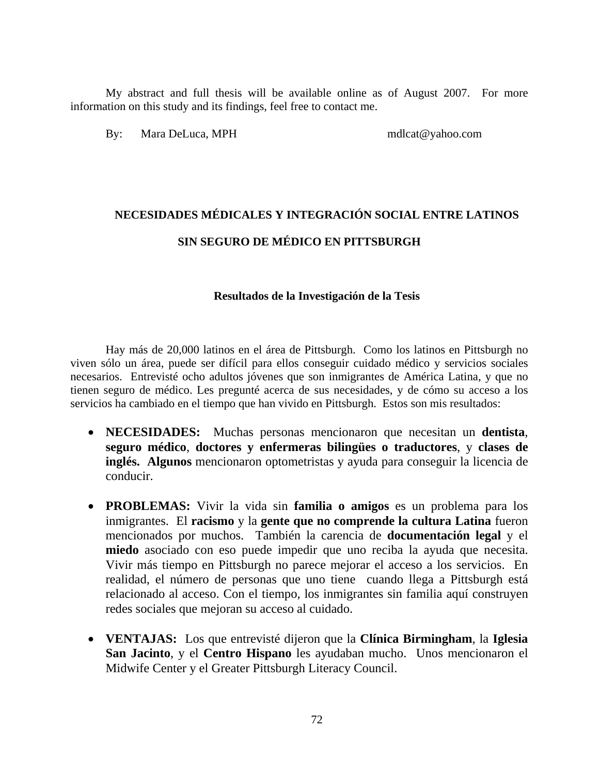My abstract and full thesis will be available online as of August 2007. For more information on this study and its findings, feel free to contact me.

By: Mara DeLuca, MPH mdlcat@yahoo.com

# **NECESID TINOS ADES MÉDICALES Y INTEGRACIÓN SOCIAL ENTRE LA SIN S EGURO DE MÉDICO EN PITTSBURGH**

## **Resultados de la Investigación de la Tesis**

tienen seguro de médico. Les pregunté acerca de sus necesidades, y de cómo su acceso a los servicios ha cambiado en el tiempo que han vivido en Pittsburgh. Estos son mis resultados: Hay más de 20,000 latinos en el área de Pittsburgh. Como los latinos en Pittsburgh no viven sólo un área, puede ser difícil para ellos conseguir cuidado médico y servicios sociales necesarios. Entrevisté ocho adultos jóvenes que son inmigrantes de América Latina, y que no

- **NECESIDADES:** Muchas personas mencionaron que necesitan un **dentista**, seguro médico, doctores y enfermeras bilingües o traductores, y clases de **inglés. Algunos** mencionaron optometristas y ayuda para conseguir la licencia de conducir.
- **PROBLEMAS:** Vivir la vida sin **familia o amigos** es un problema para los miedo asociado con eso puede impedir que uno reciba la ayuda que necesita. Vivir más tiempo en Pittsburgh no parece mejorar el acceso a los servicios. En inmigrantes. El **racismo** y la **gente que no comprende la cultura Latina** fueron mencionados por muchos. También la carencia de **documentación legal** y el realidad, el número de personas que uno tiene cuando llega a Pittsburgh está relacionado al acceso. Con el tiempo, los inmigrantes sin familia aquí construyen redes sociales que mejoran su acceso al cuidado.
- **VENTAJAS:** Los que entrevisté dijeron que la **Clínica Birmingham**, la **Iglesia San Jacinto**, y el **Centro Hispano** les ayudaban mucho. Unos mencionaron el Midwife Center y el Greater Pittsburgh Literacy Council.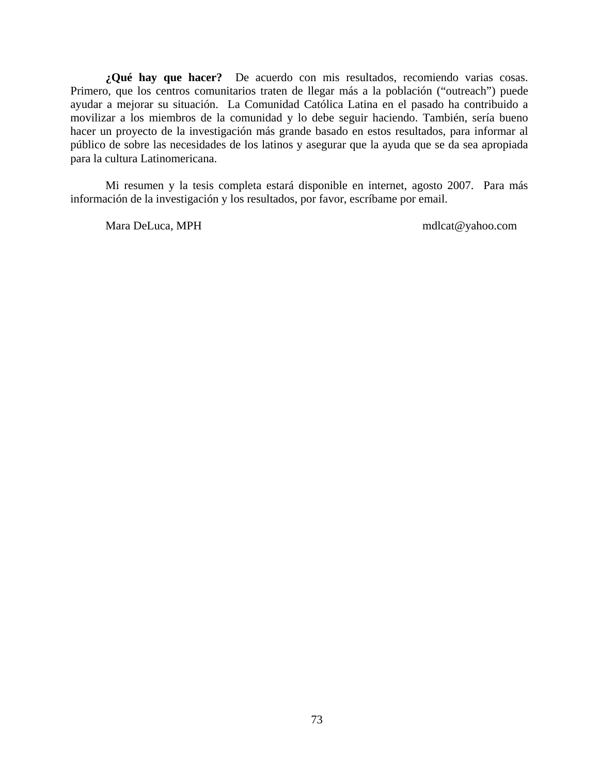**¿Qué hay que hacer?** De acuerdo con mis resultados, recomiendo varias cosas. Primero , que los centros comunitarios traten de llegar más a la población ("outreach") puede ayudar a mejorar su situación. La Comunidad Católica Latina en el pasado ha contribuido a movilizar a los miembros de la comunidad y lo debe seguir haciendo. También, sería bueno hacer un proyecto de la investigación más grande basado en estos resultados, para informar al público de sobre las necesidades de los latinos y asegurar que la ayuda que se da sea apropiada para la cultura Latinomericana.

Mi resumen y la tesis completa estará disponible en internet, agosto 2007. Para más información de la investigación y los resultados, por favor, escríbame por email.

Mara DeLuca, MPH mdlcat@yahoo.com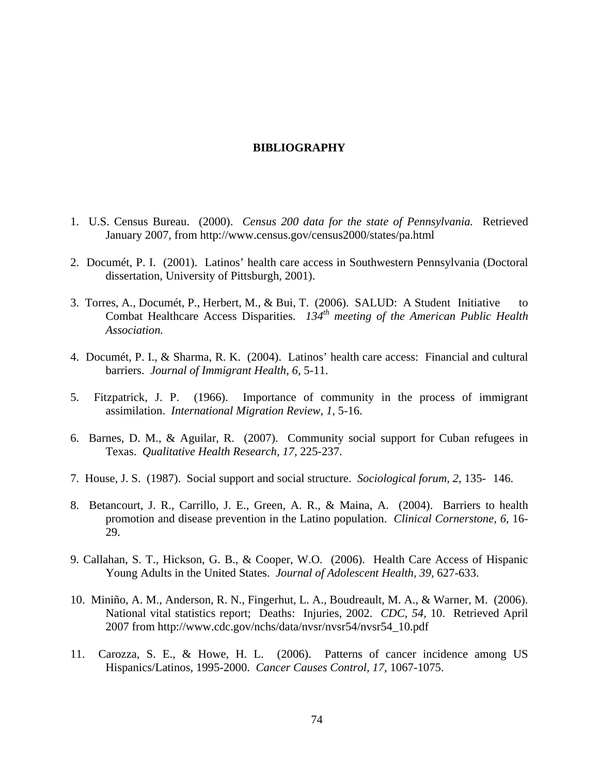### **BIBLIOGRAPHY**

- 1. U.S . Census Bureau. (2000). *Census 200 data for the state of Pennsylvania.* Retrieved January 2007, from http://www.census.gov/census2000/states/pa.html
- 2. Documét, P. I. (2001). Latinos' health care access in Southwestern Pennsylvania (Doctoral dissertation, University of Pittsburgh, 2001).
- 3. Torres, A., Documét, P., Herbert, M., & Bui, T. (2006). SALUD: A Student Initiative to Combat Healthcare Access Disparities. *134th meeting of the American Public Health Association.*
- 4. Documét, P. I., & Sharma, R. K. (2004). Latinos' health care access: Financial and cultural barriers. *Journal of Immigrant Health, 6,* 5-11.
- 5. Fitzpatrick, J. P. (1966). Importance of community in the process of immigrant assimilation. *International Migration Review, 1,* 5-16.
- 6. Barnes, D. M., & Aguilar, R. (2007). Community social support for Cuban refugees in Texas. *Qualitative Health Research, 17,* 225-237.
- 7. House, J. S. (1987). Social support and social structure. *Sociological forum, 2,* 135- 146.
- 8. Betancourt, J. R., Carrillo, J. E., Green, A. R., & Maina, A. (2004). Barriers to health promotion and disease prevention in the Latino population. *Clinical Cornerstone, 6,* 16- 29.
- 9. Callahan, S. T., Hickson, G. B., & Cooper, W.O. (2006). Health Care Access of Hispanic Young Adults in the United States. *Journal of Adolescent Health, 39,* 627-633.
- 10. Miniño, A. M., Anderson, R. N., Fingerhut, L. A., Boudreault, M. A., & Warner, M. (2006). National vital statistics report; Deaths: Injuries, 2002. *CDC, 54,* 10. Retrieved April 2007 from http://www.cdc.gov/nchs/data/nvsr/nvsr54/nvsr54\_10.pdf
- 11. Carozza, S. E., & Howe, H. L. (2006). Patterns of cancer incidence among US Hispanics/Latinos, 1995-2000. *Cancer Causes Control, 17,* 1067-1075.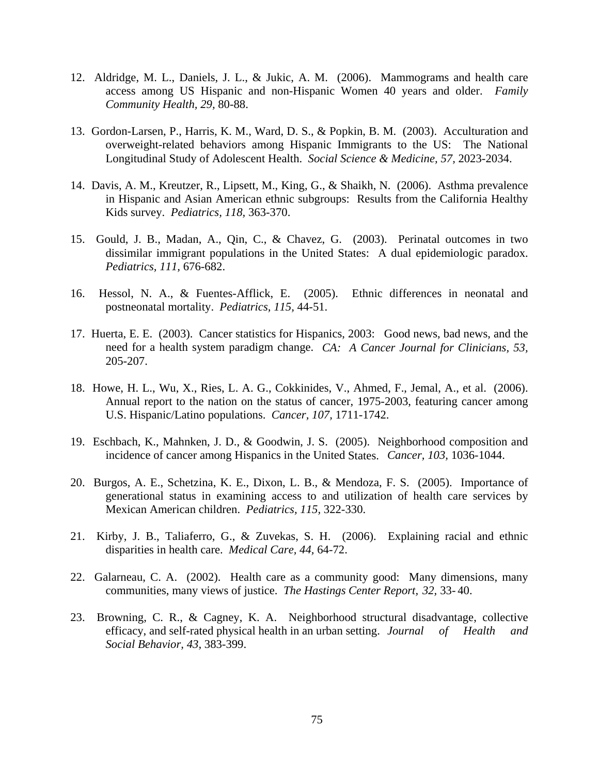- 12. Aldridge, M. L., Daniels, J. L., & Jukic, A. M. (2006). Mammograms and health care access among US Hispanic and non-Hispanic Women 40 years and older. *Family Community Health, 29,* 80-88.
- 13. Gordon-Larsen, P., Harris, K. M., Ward, D. S., & Popkin, B. M. (2003). Acculturation and overweight-related behaviors among Hispanic Immigrants to the US: The National Longitudinal Study of Adolescent Health. *Social Science & Medicine, 57,* 2023-2034.
- 14. Davis, A. M., Kreutzer, R., Lipsett, M., King, G., & Shaikh, N. (2006). Asthma prevalence in Hispanic and Asian American ethnic subgroups: Results from the California Healthy Kids survey. *Pediatrics, 118,* 363-370.
- 15. Gould, J. B., Madan, A., Qin, C., & Chavez, G. (2003). Perinatal outcomes in two dissimilar immigrant populations in the United States: A dual epidemiologic paradox. *Pediatrics, 111,* 676-682.
- 16. Hessol, N. A., & Fuentes-Afflick, E. (2005). Ethnic differences in neonatal and postneonatal mortality. *Pediatrics, 115,* 44-51.
- 17. Huerta, E. E. (2003). Cancer statistics for Hispanics, 2003: Good news, bad news, and the need for a health system paradigm change. *CA: A Cancer Journal for Clinicians*, 53, 205-207.
- U.S. Hispanic/Latino populations. *Cancer, 107,* 1711-1742. 18. Howe, H. L., Wu, X., Ries, L. A. G., Cokkinides, V., Ahmed, F., Jemal, A., et al. (2006). Annual report to the nation on the status of cancer, 1975-2003, featuring cancer among
- incidence of cancer among Hispanics in the United States. *Cancer*, 103, 1036-1044. 19. Eschbach, K., Mahnken, J. D., & Goodwin, J. S. (2005). Neighborhood composition and
- 20. Burgos, A. E., Schetzina, K. E., Dixon, L. B., & Mendoza, F. S. (2005). Importance of generational status in examining access to and utilization of health care services by Mexican American children. *Pediatrics, 115,* 322-330.
- 21. Kirby, J. B., Taliaferro, G., & Zuvekas, S. H. (2006). Explaining racial and ethnic disparities in health care. *Medical Care, 44, 64-72*.
- 22. Galarneau, C. A. (2002). Health care as a community good: Many dimensions, many communities, many views of justice. *The Hastings Center Report, 32, 33-40*.
- *h and*  23. Browning, C. R., & Cagney, K. A. Neighborhood structural disadvantage, collective efficacy, and self-rated physical health in an urban setting. *Journal of Healt Social Behavior, 43,* 383-399.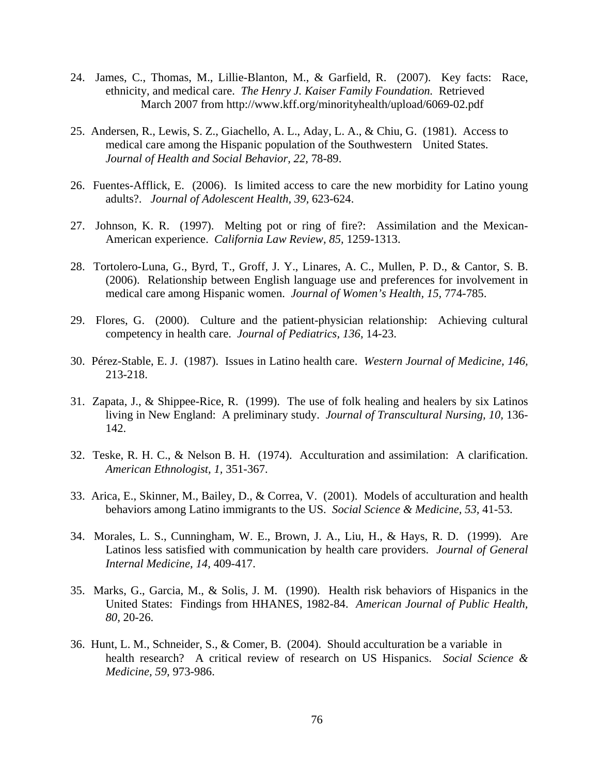- 24. James, C., Thomas, M., Lillie-Blanton, M., & Garfield, R. (2007). Key facts: Race, ethnicity, and medical care. *The Henry J. Kaiser Family Foundation.* Retrieved March 2007 from http://www.kff.org/minorityhealth/upload/6069-02.pdf
- 25. Andersen, R., Lewis, S. Z., Giachello, A. L., Aday, L. A., & Chiu, G. (1981). Access to medical care among the Hispanic population of the Southwestern United States. *Journal of Health and Social Behavior, 22,* 78-89.
- 26. Fuentes-Afflick, E. (2006). Is limited access to care the new morbidity for Latino young adults?. *Journal of Adolescent Health, 39,* 623-624.
- 27. Johnson, K. R. (1997). Melting pot or ring of fire?: Assimilation and the Mexican-American experience. *California Law Review, 85,* 1259-1313.
- 28. Tortolero-Luna, G., Byrd, T., Groff, J. Y., Linares, A. C., Mullen, P. D., & Cantor, S. B. (2006). Relationship between English language use and preferences for involvement in medical care among Hispanic women. *Journal of Women's Health, 15,* 774-785.
- 29. Flores, G. (2000). Culture and the patient-physician relationship: Achieving cultural competency in health care. *Journal of Pediatrics, 136,* 14-23.
- 30. Pérez-Stable, E. J. (1987). Issues in Latino health care. Western Journal of Medicine, 146, 213-218.
- living in New England: A preliminary study. *Journal of Transcultural Nursing, 10,* 136- 142. 31. Zapata, J., & Shippee-Rice, R. (1999). The use of folk healing and healers by six Latinos
- 32. Teske, R. H. C., & Nelson B. H. (1974). Acculturation and assimilation: A clarification. *merican Ethnologist, 1,* 351-367. *A*
- behaviors among Latino immigrants to the US. *Social Science & Medicine*, 53, 41-53. 33. Arica, E., Skinner, M., Bailey, D., & Correa, V. (2001). Models of acculturation and health
- Latinos less satisfied with communication by health care providers. *Journal of General Internal Medicine, 14, 409-417.* 34. Morales, L. S., Cunningham, W. E., Brown, J. A., Liu, H., & Hays, R. D. (1999). Are
- 35. Marks, G., Garcia, M., & Solis, J. M. (1990). Health risk behaviors of Hispanics in the United States: Findings from HHANES, 1982-84. *American Journal of Public Health, 80,* 20-26.
- 36. Hunt, L. M., Schneider, S., & Comer, B. (2004). Should acculturation be a variable in health research? A critical review of research on US Hispanics. *Social Science & Medicine, 59,* 973-986.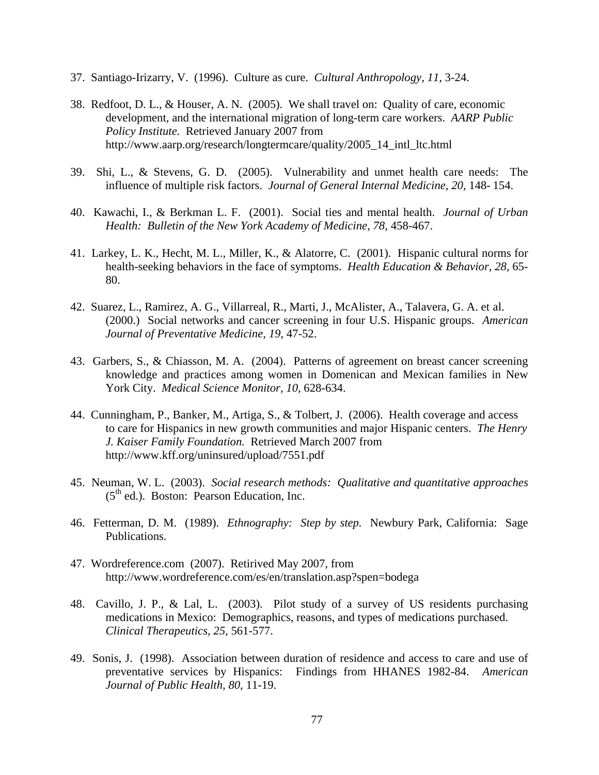- 37. Santiago-Irizarry, V. (1996). Culture as cure. *Cultural Anthropology, 11,* 3-24.
- 38. Redfoot, D. L., & Houser, A. N. (2005). We shall travel on: Quality of care, economic development, and the international migration of long-term care workers. AARP Public  *Policy Institute.* Retrieved January 2007 from http://www.aarp.org/research/longtermcare/quality/2005\_14\_intl\_ltc.html
- 39. Shi, L., & Stevens, G. D. (2005). Vulnerability and unmet health care needs: The influence of multiple risk factors. *Journal of General Internal Medicine, 20,* 148- 154.
- 40. Kawachi, I., & Berkman L. F. (2001). Social ties and mental health. *Journal of Urban Health: Bulletin of the New York Academy of Medicine, 78,* 458-467.
- 41. Larkey, L. K., Hecht, M. L., Miller, K., & Alatorre, C. (2001). Hispanic cultural norms for health-seeking behaviors in the face of symptoms. *Health Education & Behavior, 28,* 65- 80.
- 42. Suarez, L., Ramirez, A. G., Villarreal, R., Marti, J., McAlister, A., Talavera, G. A. et al. (2000.) Social networks and cancer screening in four U.S. Hispanic groups. *American Journal of Preventative Medicine, 19,* 47-52.
- knowledge and practices among women in Domenican and Mexican families in New York City. *Medical Science Monitor, 10, 628-634.* 43. Garbers, S., & Chiasson, M. A. (2004). Patterns of agreement on breast cancer screening
- to care for Hispanics in new growth communities and major Hispanic centers. *The Henry* J. Kaiser Family Foundation. Retrieved March 2007 from 44. Cunningham, P., Banker, M., Artiga, S., & Tolbert, J. (2006). Health coverage and access http://www.kff.org/uninsured/upload/7551.pdf
- 45. Neuman, W. L. (2003). *Social research methods: Qualitative and quantitative approaches*  $(5<sup>th</sup>$  ed.). Boston: Pearson Education, Inc.
- 46. Fetterman, D. M. (1989). *Ethnography: Step by step.* Newbury Park, California: Sage Publications.
- 47. Wordreference.com (2007). Retirived May 2007, from ttp://www.wordreference.com/es/en/translation.asp?spen=bodega h
- medications in Mexico: Demographics, reasons, and types of medications purchased. *linical Therapeutics, 25,* 561-577. *C* 48. Cavillo, J. P., & Lal, L. (2003). Pilot study of a survey of US residents purchasing
- preventative services by Hispanics: Findings from HHANES 1982-84. American *Journal of Public Health, 80, 11-19.* 49. Sonis, J. (1998). Association between duration of residence and access to care and use of